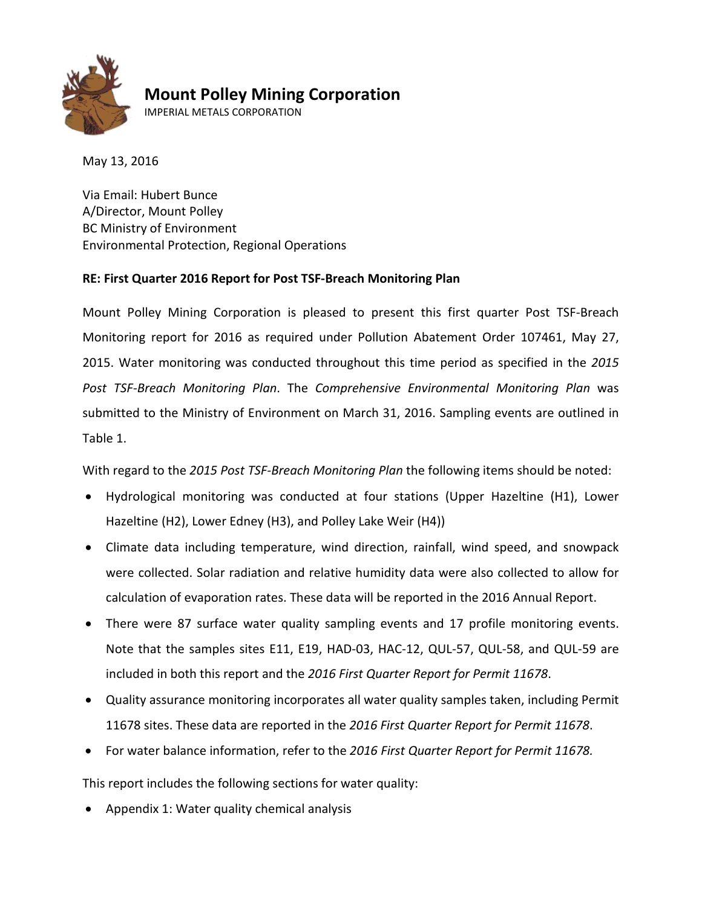

#### **Mount Polley Mining Corporation**

IMPERIAL METALS CORPORATION

May 13, 2016

Via Email: Hubert Bunce A/Director, Mount Polley BC Ministry of Environment Environmental Protection, Regional Operations

#### **RE: First Quarter 2016 Report for Post TSF-Breach Monitoring Plan**

Mount Polley Mining Corporation is pleased to present this first quarter Post TSF-Breach Monitoring report for 2016 as required under Pollution Abatement Order 107461, May 27, 2015. Water monitoring was conducted throughout this time period as specified in the *2015 Post TSF-Breach Monitoring Plan*. The *Comprehensive Environmental Monitoring Plan* was submitted to the Ministry of Environment on March 31, 2016. Sampling events are outlined in Table 1.

With regard to the *2015 Post TSF-Breach Monitoring Plan* the following items should be noted:

- Hydrological monitoring was conducted at four stations (Upper Hazeltine (H1), Lower Hazeltine (H2), Lower Edney (H3), and Polley Lake Weir (H4))
- Climate data including temperature, wind direction, rainfall, wind speed, and snowpack were collected. Solar radiation and relative humidity data were also collected to allow for calculation of evaporation rates. These data will be reported in the 2016 Annual Report.
- There were 87 surface water quality sampling events and 17 profile monitoring events. Note that the samples sites E11, E19, HAD-03, HAC-12, QUL-57, QUL-58, and QUL-59 are included in both this report and the *2016 First Quarter Report for Permit 11678*.
- Quality assurance monitoring incorporates all water quality samples taken, including Permit 11678 sites. These data are reported in the *2016 First Quarter Report for Permit 11678*.
- For water balance information, refer to the *2016 First Quarter Report for Permit 11678.*

This report includes the following sections for water quality:

• Appendix 1: Water quality chemical analysis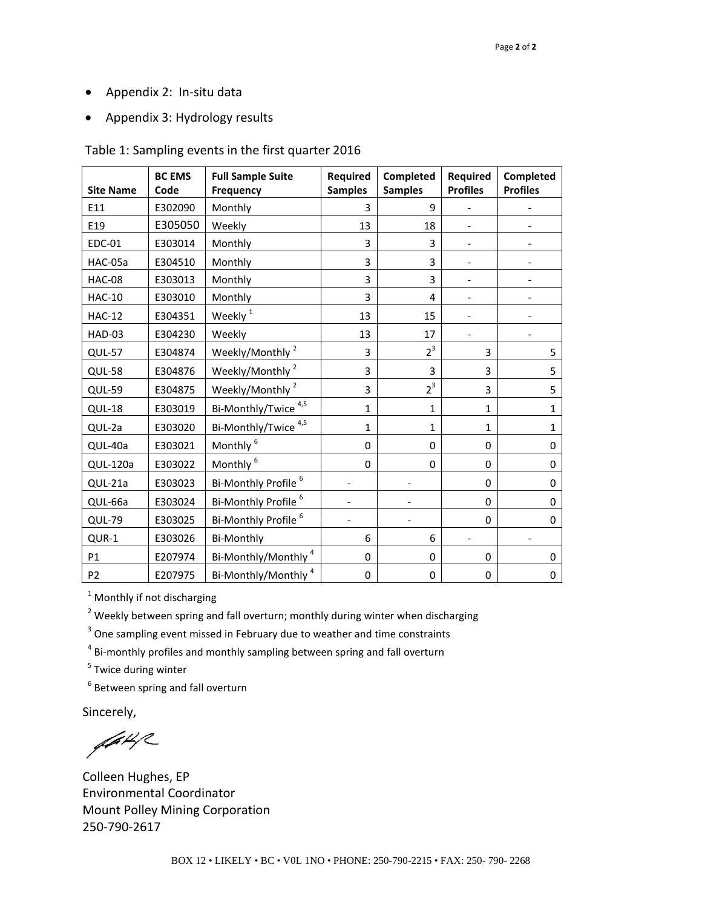- Appendix 2: In-situ data
- Appendix 3: Hydrology results

#### Table 1: Sampling events in the first quarter 2016

| <b>Site Name</b> | <b>BC EMS</b><br>Code | <b>Full Sample Suite</b><br><b>Frequency</b> | <b>Required</b><br><b>Samples</b> | Completed<br><b>Samples</b> | Required<br><b>Profiles</b> | Completed<br><b>Profiles</b> |
|------------------|-----------------------|----------------------------------------------|-----------------------------------|-----------------------------|-----------------------------|------------------------------|
| E11              | E302090               | Monthly                                      | 3                                 | 9                           |                             |                              |
| E19              | E305050               | Weekly                                       | 13                                | 18                          |                             |                              |
| <b>EDC-01</b>    | E303014               | Monthly                                      | 3                                 | 3                           |                             |                              |
| HAC-05a          | E304510               | Monthly                                      | 3                                 | 3                           |                             |                              |
| <b>HAC-08</b>    | E303013               | Monthly                                      | 3                                 | 3                           |                             |                              |
| <b>HAC-10</b>    | E303010               | Monthly                                      | 3                                 | 4                           |                             |                              |
| <b>HAC-12</b>    | E304351               | Weekly <sup>1</sup>                          | 13                                | 15                          |                             |                              |
| HAD-03           | E304230               | Weekly                                       | 13                                | 17                          |                             |                              |
| QUL-57           | E304874               | Weekly/Monthly <sup>2</sup>                  | 3                                 | $2^3$                       | 3                           | 5                            |
| QUL-58           | E304876               | Weekly/Monthly <sup>2</sup>                  | 3                                 | 3                           | 3                           | 5                            |
| QUL-59           | E304875               | Weekly/Monthly <sup>2</sup>                  | 3                                 | $2^3$                       | 3                           | 5                            |
| QUL-18           | E303019               | Bi-Monthly/Twice <sup>4,5</sup>              | $\mathbf 1$                       | $\mathbf{1}$                | $\mathbf{1}$                | $\mathbf{1}$                 |
| QUL-2a           | E303020               | Bi-Monthly/Twice <sup>4,5</sup>              | $\mathbf{1}$                      | 1                           | $\mathbf{1}$                | 1                            |
| QUL-40a          | E303021               | Monthly <sup>6</sup>                         | 0                                 | $\mathbf 0$                 | $\Omega$                    | $\Omega$                     |
| <b>QUL-120a</b>  | E303022               | Monthly <sup>6</sup>                         | 0                                 | 0                           | 0                           | 0                            |
| QUL-21a          | E303023               | Bi-Monthly Profile <sup>6</sup>              |                                   |                             | $\Omega$                    | 0                            |
| QUL-66a          | E303024               | Bi-Monthly Profile <sup>6</sup>              |                                   |                             | $\Omega$                    | 0                            |
| QUL-79           | E303025               | Bi-Monthly Profile <sup>6</sup>              |                                   |                             | 0                           | 0                            |
| QUR-1            | E303026               | <b>Bi-Monthly</b>                            | 6                                 | 6                           |                             |                              |
| P1               | E207974               | Bi-Monthly/Monthly <sup>4</sup>              | $\mathbf 0$                       | $\mathbf 0$                 | $\Omega$                    | $\Omega$                     |
| P <sub>2</sub>   | E207975               | Bi-Monthly/Monthly <sup>4</sup>              | 0                                 | 0                           | 0                           | 0                            |

 $1$  Monthly if not discharging

 $2$  Weekly between spring and fall overturn; monthly during winter when discharging

<sup>3</sup> One sampling event missed in February due to weather and time constraints

<sup>4</sup> Bi-monthly profiles and monthly sampling between spring and fall overturn

<sup>5</sup> Twice during winter

<sup>6</sup> Between spring and fall overturn

Sincerely,

 $442$ 

Colleen Hughes, EP Environmental Coordinator Mount Polley Mining Corporation 250-790-2617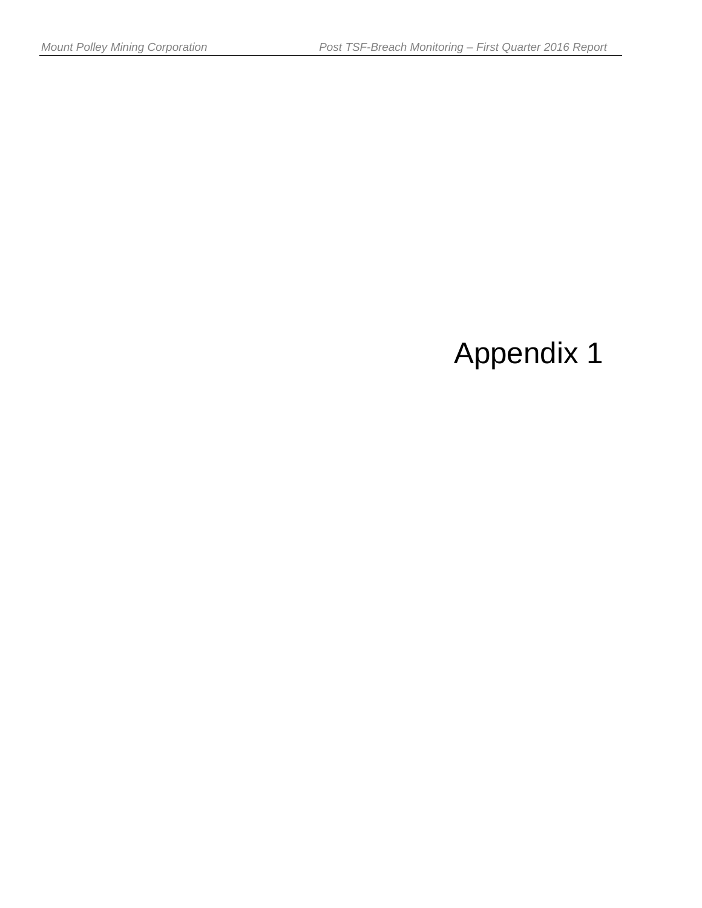# Appendix 1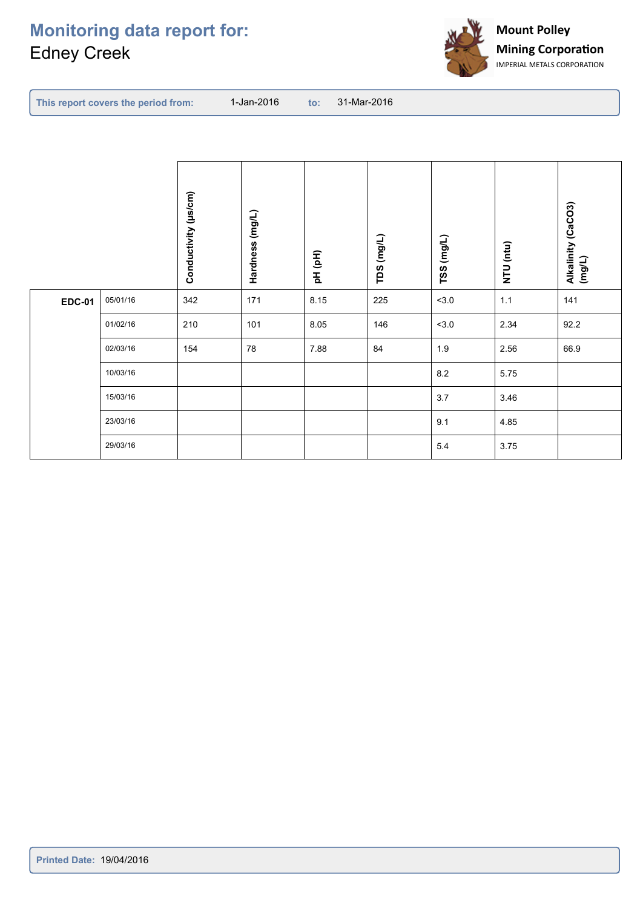## **Monitoring data report for:** Edney Creek



|  |  |  | <b>to: 31-Mar-2016</b> | 1-Jan-2016 <b>1</b> | This report covers the period from: |
|--|--|--|------------------------|---------------------|-------------------------------------|
|--|--|--|------------------------|---------------------|-------------------------------------|

|               |          | Conductivity (µs/cm) | Hardness (mg/L) | pH (pH) | TDS (mg/L) | TSS (mg/L) | NTU (ntu) | Alkalinity (CaCO3)<br>(mg/L) |
|---------------|----------|----------------------|-----------------|---------|------------|------------|-----------|------------------------------|
| <b>EDC-01</b> | 05/01/16 | 342                  | 171             | 8.15    | 225        | 3.0        | $1.1$     | 141                          |
|               | 01/02/16 | 210                  | 101             | 8.05    | 146        | 3.0        | 2.34      | 92.2                         |
|               | 02/03/16 | 154                  | 78              | 7.88    | 84         | 1.9        | 2.56      | 66.9                         |
|               | 10/03/16 |                      |                 |         |            | 8.2        | 5.75      |                              |
|               | 15/03/16 |                      |                 |         |            | 3.7        | 3.46      |                              |
|               | 23/03/16 |                      |                 |         |            | 9.1        | 4.85      |                              |
|               | 29/03/16 |                      |                 |         |            | $5.4\,$    | 3.75      |                              |
|               |          |                      |                 |         |            |            |           |                              |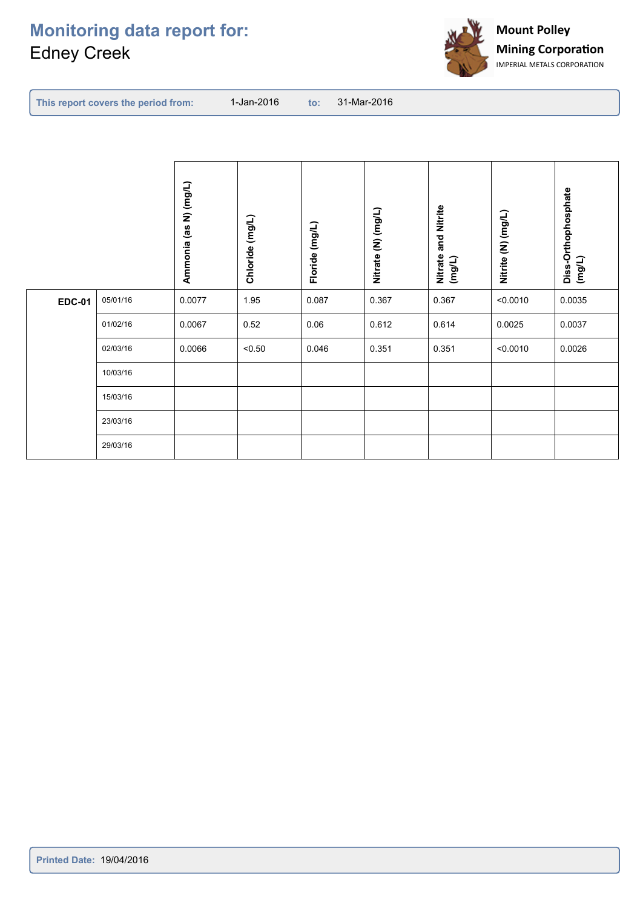

|--|--|--|

|               |          | Ammonia (as N) (mg/L) | Chloride (mg/L) | Floride (mg/L) | Nitrate (N) (mg/L) | and Nitrite<br>Nitrate<br>(mg/L) | Nitrite (N) (mg/L) | Diss-Orthophosphate<br>(mg/L) |
|---------------|----------|-----------------------|-----------------|----------------|--------------------|----------------------------------|--------------------|-------------------------------|
| <b>EDC-01</b> | 05/01/16 | 0.0077                | 1.95            | 0.087          | 0.367              | 0.367                            | < 0.0010           | 0.0035                        |
|               | 01/02/16 | 0.0067                | 0.52            | 0.06           | 0.612              | 0.614                            | 0.0025             | 0.0037                        |
|               | 02/03/16 | 0.0066                | < 0.50          | 0.046          | 0.351              | 0.351                            | < 0.0010           | 0.0026                        |
|               | 10/03/16 |                       |                 |                |                    |                                  |                    |                               |
|               | 15/03/16 |                       |                 |                |                    |                                  |                    |                               |
|               | 23/03/16 |                       |                 |                |                    |                                  |                    |                               |
|               | 29/03/16 |                       |                 |                |                    |                                  |                    |                               |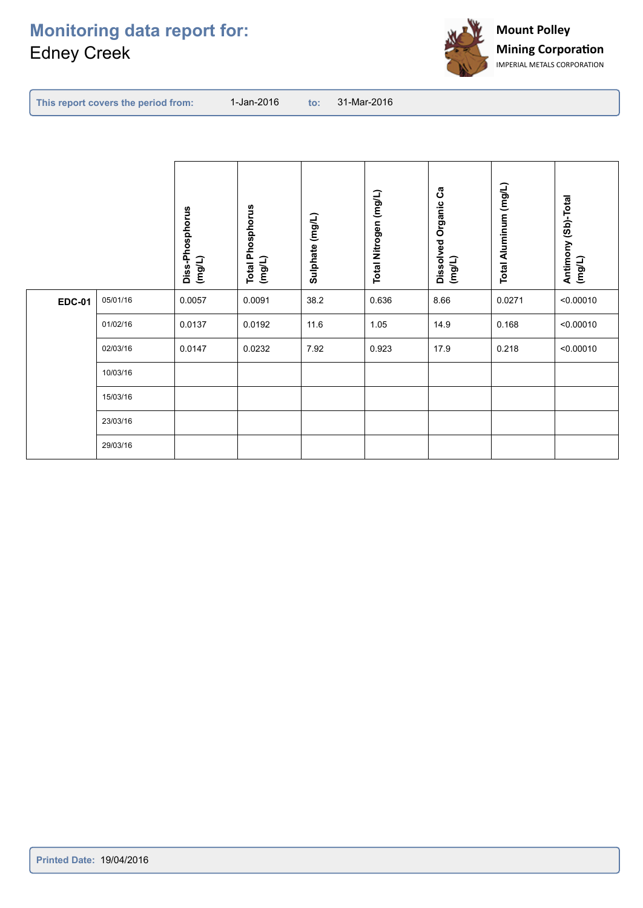

|               |          | Diss-Phosphorus<br>(mg/L) | <b>Total Phosphorus</b><br>(mg/L) | Sulphate (mg/L) | Total Nitrogen (mg/L) | ပိ<br>Dissolved Organic<br>(mg/L) | Total Aluminum (mg/L) | Antimony (Sb)-Total<br>(mg/L) |
|---------------|----------|---------------------------|-----------------------------------|-----------------|-----------------------|-----------------------------------|-----------------------|-------------------------------|
| <b>EDC-01</b> | 05/01/16 | 0.0057                    | 0.0091                            | 38.2            | 0.636                 | 8.66                              | 0.0271                | < 0.00010                     |
|               | 01/02/16 | 0.0137                    | 0.0192                            | 11.6            | 1.05                  | 14.9                              | 0.168                 | < 0.00010                     |
|               | 02/03/16 | 0.0147                    | 0.0232                            | 7.92            | 0.923                 | 17.9                              | 0.218                 | < 0.00010                     |
|               | 10/03/16 |                           |                                   |                 |                       |                                   |                       |                               |
|               | 15/03/16 |                           |                                   |                 |                       |                                   |                       |                               |
|               | 23/03/16 |                           |                                   |                 |                       |                                   |                       |                               |
|               | 29/03/16 |                           |                                   |                 |                       |                                   |                       |                               |
|               |          |                           |                                   |                 |                       |                                   |                       |                               |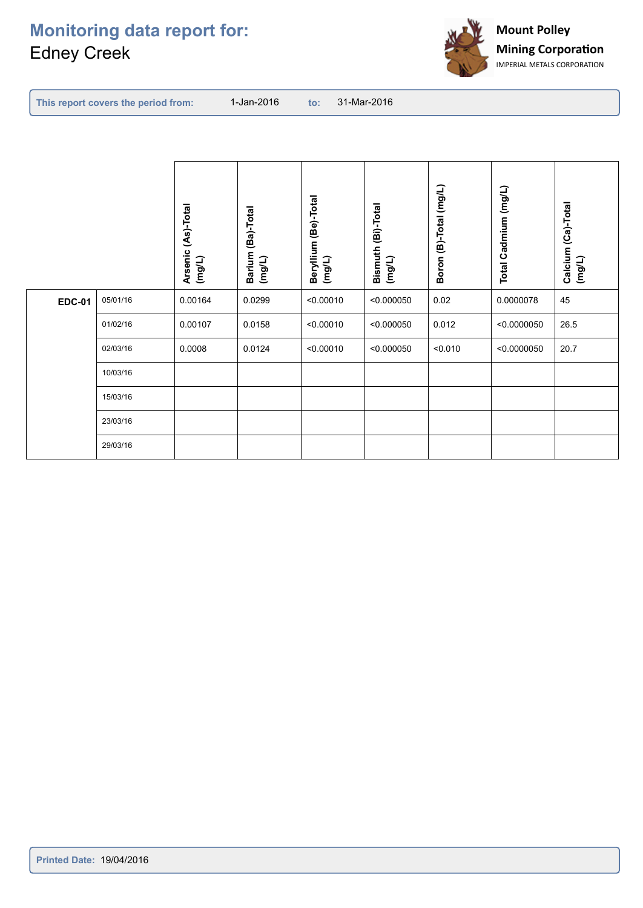

| $\qquad \qquad \text{to:} \qquad 31\text{-} \text{Mar-}2016$ |  |
|--------------------------------------------------------------|--|
|--------------------------------------------------------------|--|

|               |          | Arsenic (As)-Total<br>(mg/L) | Barium (Ba)-Total<br>$($ mg/L) | Beryllium (Be)-Total<br>$($ mg/L) | Bismuth (Bi)-Total<br>(mg/L) | Boron (B)-Total (mg/L) | Total Cadmium (mg/L) | Calcium (Ca)-Total<br>(mg/L) |
|---------------|----------|------------------------------|--------------------------------|-----------------------------------|------------------------------|------------------------|----------------------|------------------------------|
| <b>EDC-01</b> | 05/01/16 | 0.00164                      | 0.0299                         | < 0.00010                         | < 0.000050                   | 0.02                   | 0.0000078            | 45                           |
|               | 01/02/16 | 0.00107                      | 0.0158                         | < 0.00010                         | < 0.000050                   | 0.012                  | < 0.0000050          | 26.5                         |
|               | 02/03/16 | 0.0008                       | 0.0124                         | < 0.00010                         | < 0.000050                   | < 0.010                | < 0.0000050          | 20.7                         |
|               | 10/03/16 |                              |                                |                                   |                              |                        |                      |                              |
|               | 15/03/16 |                              |                                |                                   |                              |                        |                      |                              |
|               | 23/03/16 |                              |                                |                                   |                              |                        |                      |                              |
|               | 29/03/16 |                              |                                |                                   |                              |                        |                      |                              |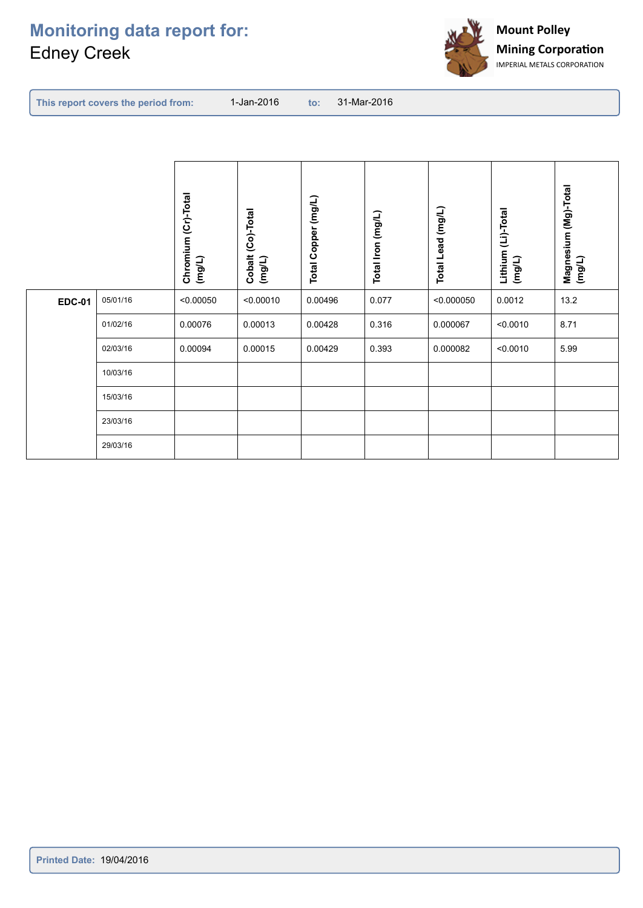

|--|

|               |          | Chromium (Cr)-Total<br>(mg/L) | Cobalt (Co)-Total<br>(mg/L) | Total Copper (mg/L) | Total Iron (mg/L) | Total Lead (mg/L) | Lithium (Li)-Total<br>$($ mg/L) | Magnesium (Mg)-Total<br>(mg/L) |
|---------------|----------|-------------------------------|-----------------------------|---------------------|-------------------|-------------------|---------------------------------|--------------------------------|
| <b>EDC-01</b> | 05/01/16 | < 0.00050                     | < 0.00010                   | 0.00496             | 0.077             | < 0.000050        | 0.0012                          | 13.2                           |
|               | 01/02/16 | 0.00076                       | 0.00013                     | 0.00428             | 0.316             | 0.000067          | < 0.0010                        | 8.71                           |
|               | 02/03/16 | 0.00094                       | 0.00015                     | 0.00429             | 0.393             | 0.000082          | < 0.0010                        | 5.99                           |
|               | 10/03/16 |                               |                             |                     |                   |                   |                                 |                                |
|               | 15/03/16 |                               |                             |                     |                   |                   |                                 |                                |
|               | 23/03/16 |                               |                             |                     |                   |                   |                                 |                                |
|               | 29/03/16 |                               |                             |                     |                   |                   |                                 |                                |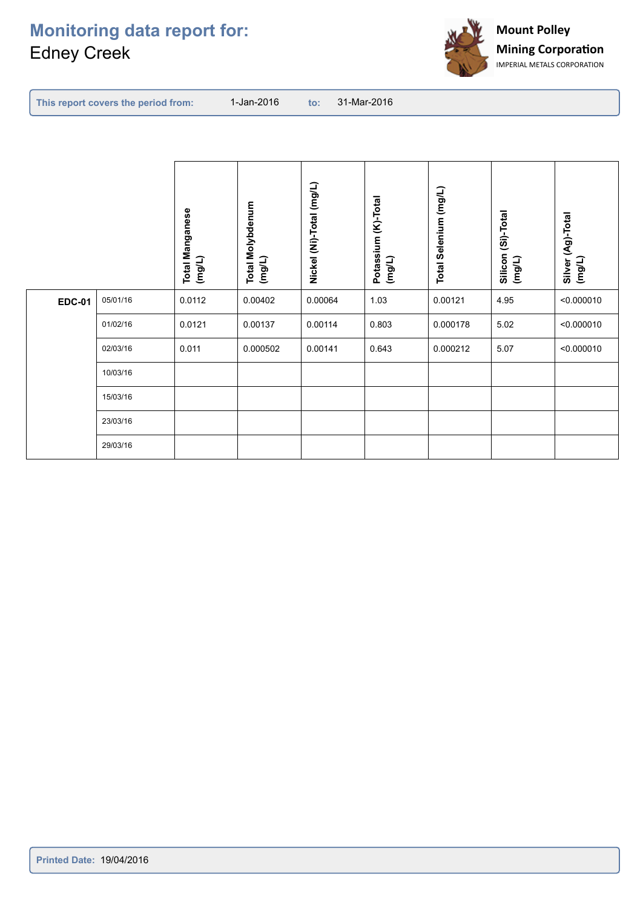

|--|

|               |          | <b>Total Manganese</b><br>(mg/L) | <b>Total Molybdenum</b><br>(mg/L) | Nickel (Ni)-Total (mg/L) | Potassium (K)-Total<br>(mg/L) | Total Selenium (mg/L) | Silicon (Si)-Total<br>(mg/L) | Silver (Ag)-Total<br>(mg/L) |
|---------------|----------|----------------------------------|-----------------------------------|--------------------------|-------------------------------|-----------------------|------------------------------|-----------------------------|
| <b>EDC-01</b> | 05/01/16 | 0.0112                           | 0.00402                           | 0.00064                  | 1.03                          | 0.00121               | 4.95                         | < 0.000010                  |
|               | 01/02/16 | 0.0121                           | 0.00137                           | 0.00114                  | 0.803                         | 0.000178              | 5.02                         | < 0.000010                  |
|               | 02/03/16 | 0.011                            | 0.000502                          | 0.00141                  | 0.643                         | 0.000212              | 5.07                         | < 0.000010                  |
|               | 10/03/16 |                                  |                                   |                          |                               |                       |                              |                             |
|               | 15/03/16 |                                  |                                   |                          |                               |                       |                              |                             |
|               | 23/03/16 |                                  |                                   |                          |                               |                       |                              |                             |
|               | 29/03/16 |                                  |                                   |                          |                               |                       |                              |                             |
|               |          |                                  |                                   |                          |                               |                       |                              |                             |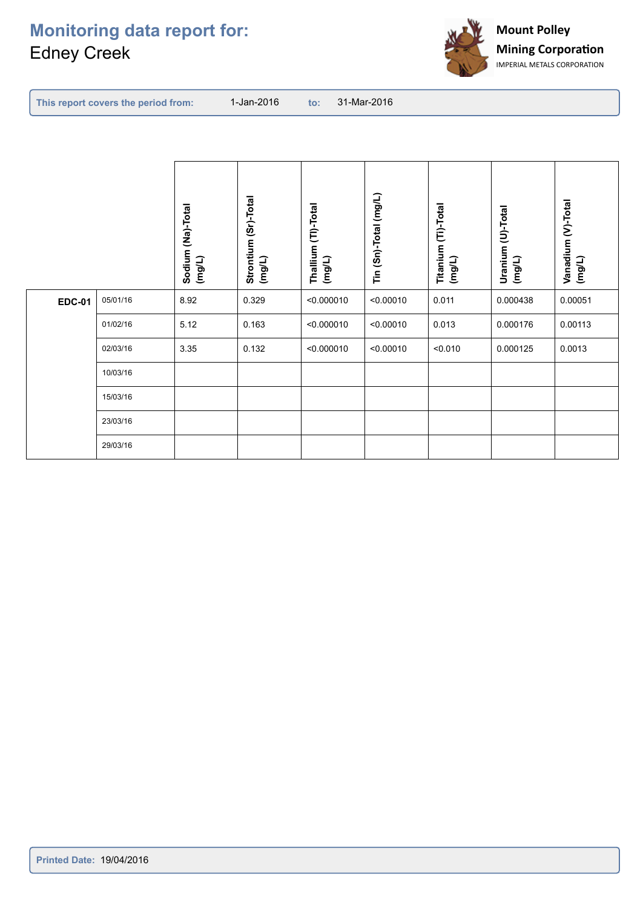

|--|

|               |          | Sodium (Na)-Total<br>$($ mg/L) | Strontium (Sr)-Total<br>$($ mg/L) | Thallium (TI)-Total<br>$($ mg/L) | Tin (Sn)-Total (mg/L) | Titanium (Ti)-Total<br>(mg/L) | Uranium (U)-Total<br>(mg/L) | Vanadium (V)-Total<br>(mg/L) |
|---------------|----------|--------------------------------|-----------------------------------|----------------------------------|-----------------------|-------------------------------|-----------------------------|------------------------------|
| <b>EDC-01</b> | 05/01/16 | 8.92                           | 0.329                             | < 0.000010                       | < 0.00010             | 0.011                         | 0.000438                    | 0.00051                      |
|               | 01/02/16 | 5.12                           | 0.163                             | < 0.000010                       | < 0.00010             | 0.013                         | 0.000176                    | 0.00113                      |
|               | 02/03/16 | 3.35                           | 0.132                             | < 0.000010                       | < 0.00010             | < 0.010                       | 0.000125                    | 0.0013                       |
|               | 10/03/16 |                                |                                   |                                  |                       |                               |                             |                              |
|               | 15/03/16 |                                |                                   |                                  |                       |                               |                             |                              |
|               | 23/03/16 |                                |                                   |                                  |                       |                               |                             |                              |
|               | 29/03/16 |                                |                                   |                                  |                       |                               |                             |                              |
|               |          |                                |                                   |                                  |                       |                               |                             |                              |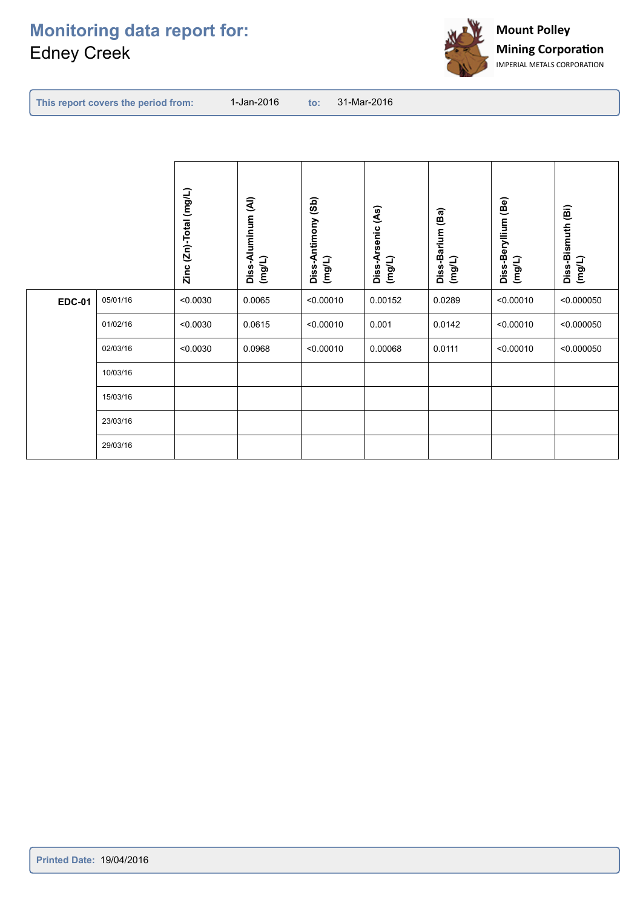

| <b>to: 31-Mar-2016</b> |  |  |  |  |
|------------------------|--|--|--|--|
|------------------------|--|--|--|--|

|               |          | Zinc (Zn)-Total (mg/L) | Diss-Aluminum (Al)<br>(mg/L) | Diss-Antimony (Sb)<br>(mg/L) | Diss-Arsenic (As)<br>(mg/L) | Diss-Barium (Ba)<br>(mg/L) | Diss-Beryllium (Be)<br>(mg/L) | Diss-Bismuth (Bi)<br>(mg/L) |
|---------------|----------|------------------------|------------------------------|------------------------------|-----------------------------|----------------------------|-------------------------------|-----------------------------|
| <b>EDC-01</b> | 05/01/16 | < 0.0030               | 0.0065                       | < 0.00010                    | 0.00152                     | 0.0289                     | < 0.00010                     | < 0.000050                  |
|               | 01/02/16 | < 0.0030               | 0.0615                       | < 0.00010                    | 0.001                       | 0.0142                     | < 0.00010                     | < 0.000050                  |
|               | 02/03/16 | < 0.0030               | 0.0968                       | < 0.00010                    | 0.00068                     | 0.0111                     | < 0.00010                     | < 0.000050                  |
|               | 10/03/16 |                        |                              |                              |                             |                            |                               |                             |
|               | 15/03/16 |                        |                              |                              |                             |                            |                               |                             |
|               | 23/03/16 |                        |                              |                              |                             |                            |                               |                             |
|               | 29/03/16 |                        |                              |                              |                             |                            |                               |                             |
|               |          |                        |                              |                              |                             |                            |                               |                             |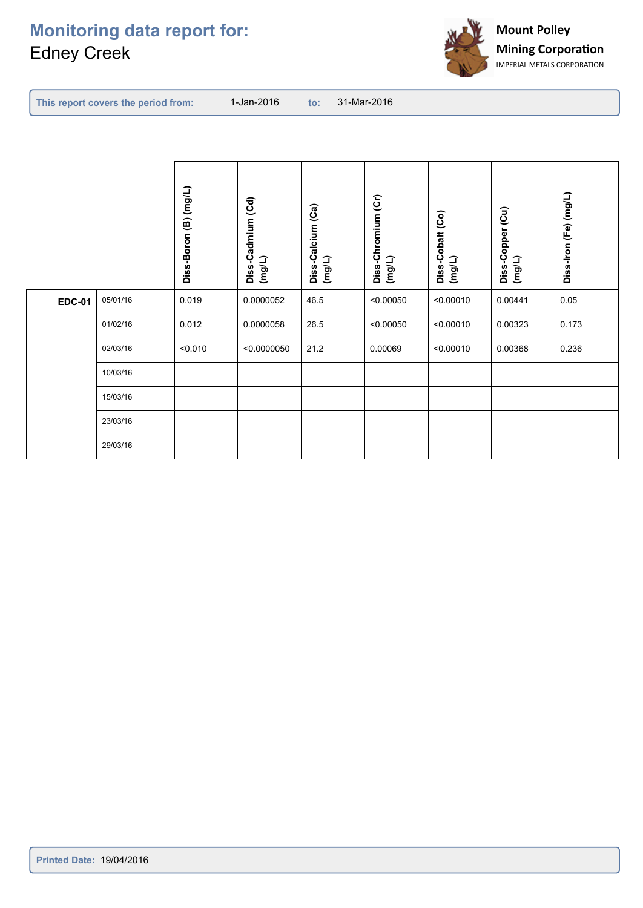

|--|

|               |          | Diss-Boron (B) (mg/L) | Diss-Cadmium (Cd)<br>(mg/L) | Diss-Calcium (Ca)<br>(mg/L) | Diss-Chromium (Cr)<br>(mg/L) | Diss-Cobalt (Co)<br>(mg/L) | Diss-Copper (Cu)<br>(mg/L) | Diss-Iron (Fe) (mg/L) |
|---------------|----------|-----------------------|-----------------------------|-----------------------------|------------------------------|----------------------------|----------------------------|-----------------------|
| <b>EDC-01</b> | 05/01/16 | 0.019                 | 0.0000052                   | 46.5                        | < 0.00050                    | < 0.00010                  | 0.00441                    | 0.05                  |
|               | 01/02/16 | 0.012                 | 0.0000058                   | 26.5                        | < 0.00050                    | < 0.00010                  | 0.00323                    | 0.173                 |
|               | 02/03/16 | < 0.010               | < 0.0000050                 | 21.2                        | 0.00069                      | < 0.00010                  | 0.00368                    | 0.236                 |
|               | 10/03/16 |                       |                             |                             |                              |                            |                            |                       |
|               | 15/03/16 |                       |                             |                             |                              |                            |                            |                       |
|               | 23/03/16 |                       |                             |                             |                              |                            |                            |                       |
|               | 29/03/16 |                       |                             |                             |                              |                            |                            |                       |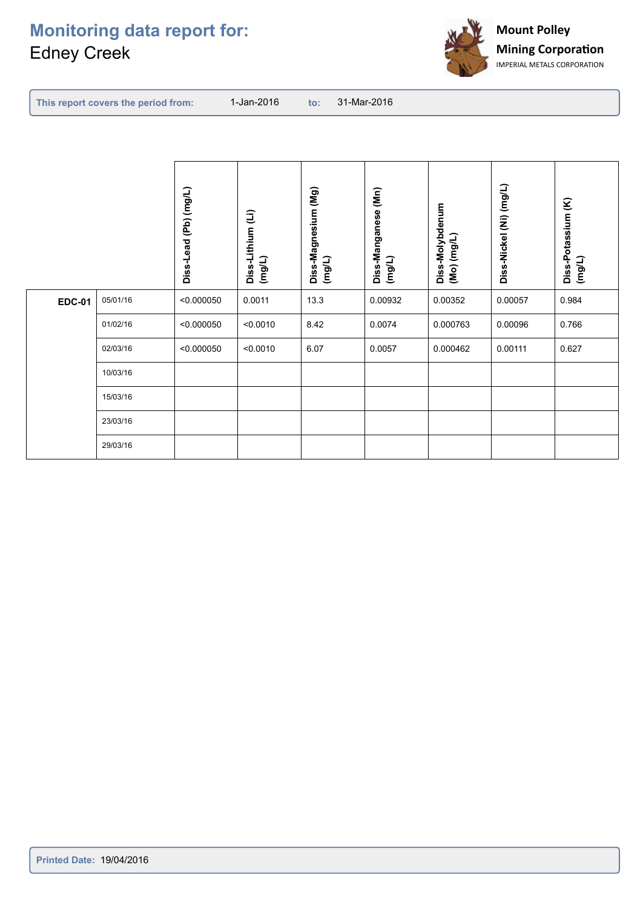

|--|

|               |          | Diss-Lead (Pb) (mg/L) | Diss-Lithium (Li)<br>(mg/L) | Diss-Magnesium (Mg)<br>(mg/L) | Diss-Manganese (Mn)<br>(mg/L) | Diss-Molybdenum<br>$($ Mo) (mg/L) | Diss-Nickel (Ni) (mg/L) | Diss-Potassium (K)<br>(mg/L) |
|---------------|----------|-----------------------|-----------------------------|-------------------------------|-------------------------------|-----------------------------------|-------------------------|------------------------------|
| <b>EDC-01</b> | 05/01/16 | < 0.000050            | 0.0011                      | 13.3                          | 0.00932                       | 0.00352                           | 0.00057                 | 0.984                        |
|               | 01/02/16 | < 0.000050            | < 0.0010                    | 8.42                          | 0.0074                        | 0.000763                          | 0.00096                 | 0.766                        |
|               | 02/03/16 | < 0.000050            | < 0.0010                    | 6.07                          | 0.0057                        | 0.000462                          | 0.00111                 | 0.627                        |
|               | 10/03/16 |                       |                             |                               |                               |                                   |                         |                              |
|               | 15/03/16 |                       |                             |                               |                               |                                   |                         |                              |
|               | 23/03/16 |                       |                             |                               |                               |                                   |                         |                              |
|               | 29/03/16 |                       |                             |                               |                               |                                   |                         |                              |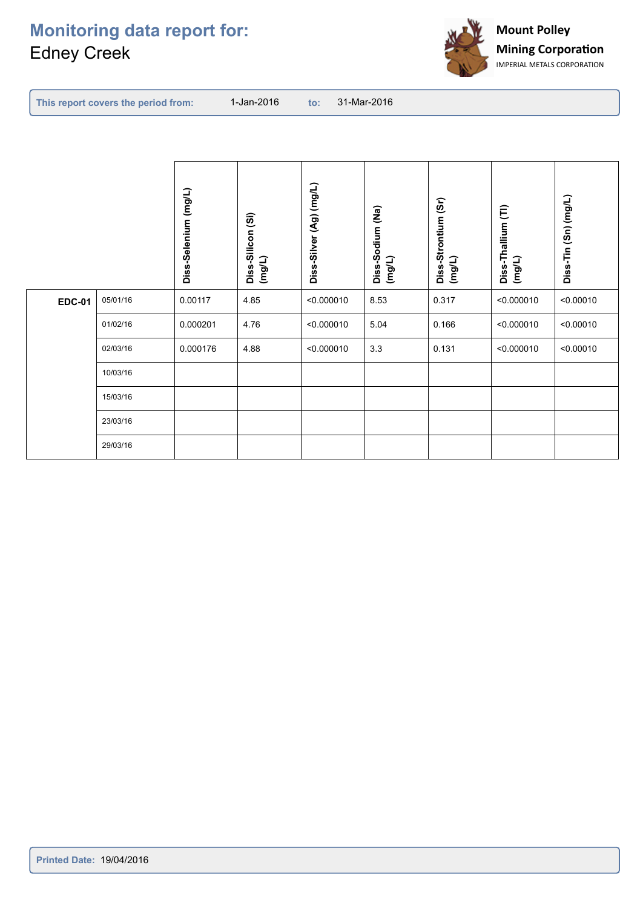

|--|

|               |          | Diss-Selenium (mg/L) | Diss-Silicon (Si)<br>(mg/L) | Diss-Silver (Ag) (mg/L) | Diss-Sodium (Na)<br>(mg/L) | Diss-Strontium (Sr)<br>(mg/L) | Diss-Thallium (TI)<br>(mg/L) | Diss-Tin (Sn) (mg/L) |
|---------------|----------|----------------------|-----------------------------|-------------------------|----------------------------|-------------------------------|------------------------------|----------------------|
| <b>EDC-01</b> | 05/01/16 | 0.00117              | 4.85                        | < 0.000010              | 8.53                       | 0.317                         | < 0.000010                   | < 0.00010            |
|               | 01/02/16 | 0.000201             | 4.76                        | < 0.000010              | 5.04                       | 0.166                         | < 0.000010                   | < 0.00010            |
|               | 02/03/16 | 0.000176             | 4.88                        | < 0.000010              | 3.3                        | 0.131                         | < 0.000010                   | < 0.00010            |
|               | 10/03/16 |                      |                             |                         |                            |                               |                              |                      |
|               | 15/03/16 |                      |                             |                         |                            |                               |                              |                      |
|               | 23/03/16 |                      |                             |                         |                            |                               |                              |                      |
|               | 29/03/16 |                      |                             |                         |                            |                               |                              |                      |
|               |          |                      |                             |                         |                            |                               |                              |                      |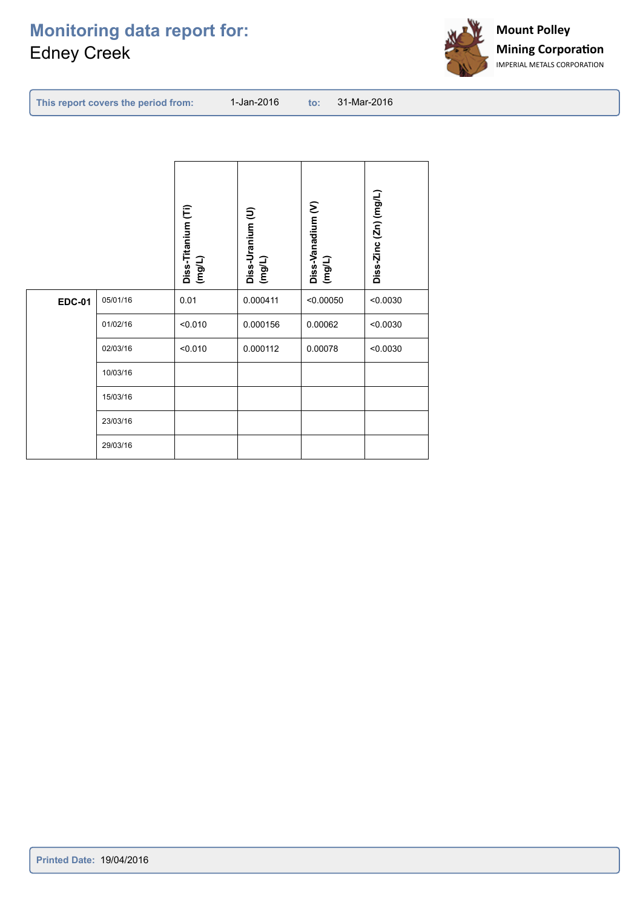

| This report covers the period from: | 1-Jan-2016 |  | 31-Mar-2016 |
|-------------------------------------|------------|--|-------------|
|-------------------------------------|------------|--|-------------|

|               |          | Diss-Titanium (Ti)<br>(mg/L) | Diss-Uranium (U)<br>(mgL) | Diss-Vanadium (V)<br>$($ mg/L) | Diss-Zinc (Zn) (mg/L) |
|---------------|----------|------------------------------|---------------------------|--------------------------------|-----------------------|
| <b>EDC-01</b> | 05/01/16 | 0.01                         | 0.000411                  | < 0.00050                      | < 0.0030              |
|               | 01/02/16 | < 0.010                      | 0.000156                  | 0.00062                        | < 0.0030              |
|               | 02/03/16 | < 0.010                      | 0.000112                  | 0.00078                        | < 0.0030              |
|               | 10/03/16 |                              |                           |                                |                       |
|               | 15/03/16 |                              |                           |                                |                       |
|               | 23/03/16 |                              |                           |                                |                       |
|               | 29/03/16 |                              |                           |                                |                       |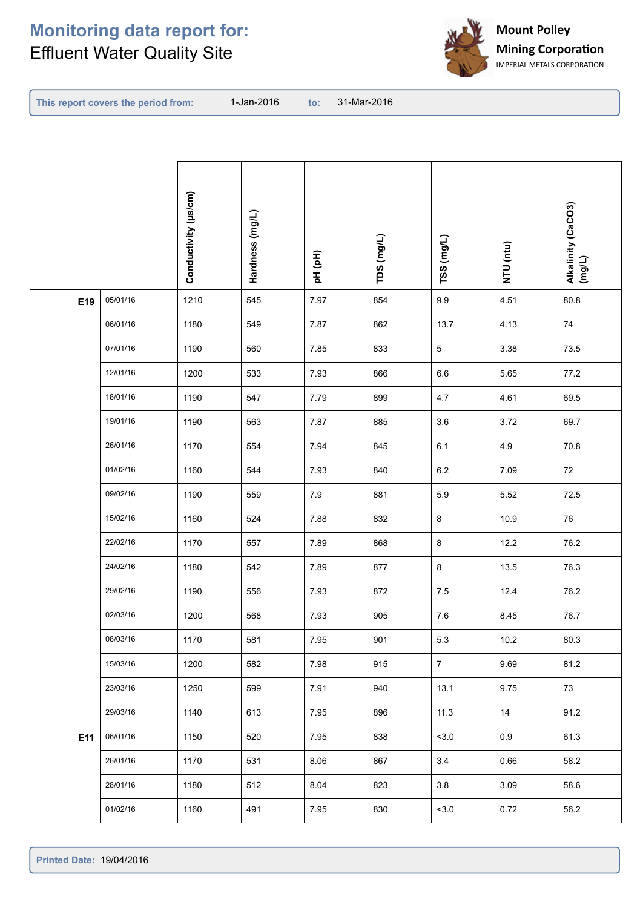

**This report covers the period from:** 

|     |          | Conductivity (µs/cm) | Hardness (mg/L) | pH (pH) | TDS (mg/L) | TSS (mg/L)     | NTU (ntu) | Alkalinity (CaCO3)<br>(mg/L) |
|-----|----------|----------------------|-----------------|---------|------------|----------------|-----------|------------------------------|
| E19 | 05/01/16 | 1210                 | 545             | 7.97    | 854        | $9.9\,$        | 4.51      | 80.8                         |
|     | 06/01/16 | 1180                 | 549             | 7.87    | 862        | 13.7           | 4.13      | 74                           |
|     | 07/01/16 | 1190                 | 560             | 7.85    | 833        | $\sqrt{5}$     | 3.38      | 73.5                         |
|     | 12/01/16 | 1200                 | 533             | 7.93    | 866        | $6.6\,$        | 5.65      | $77.2\,$                     |
|     | 18/01/16 | 1190                 | 547             | 7.79    | 899        | 4.7            | 4.61      | 69.5                         |
|     | 19/01/16 | 1190                 | 563             | 7.87    | 885        | $3.6\,$        | 3.72      | 69.7                         |
|     | 26/01/16 | 1170                 | 554             | 7.94    | 845        | 6.1            | 4.9       | 70.8                         |
|     | 01/02/16 | 1160                 | 544             | 7.93    | 840        | $6.2\,$        | 7.09      | 72                           |
|     | 09/02/16 | 1190                 | 559             | 7.9     | 881        | $5.9\,$        | 5.52      | 72.5                         |
|     | 15/02/16 | 1160                 | 524             | 7.88    | 832        | 8              | 10.9      | 76                           |
|     | 22/02/16 | 1170                 | 557             | 7.89    | 868        | 8              | 12.2      | 76.2                         |
|     | 24/02/16 | 1180                 | 542             | 7.89    | 877        | 8              | 13.5      | 76.3                         |
|     | 29/02/16 | 1190                 | 556             | 7.93    | 872        | $7.5\,$        | 12.4      | 76.2                         |
|     | 02/03/16 | 1200                 | 568             | 7.93    | 905        | 7.6            | 8.45      | 76.7                         |
|     | 08/03/16 | 1170                 | 581             | 7.95    | 901        | 5.3            | 10.2      | 80.3                         |
|     | 15/03/16 | 1200                 | 582             | 7.98    | 915        | $\overline{7}$ | 9.69      | 81.2                         |
|     | 23/03/16 | 1250                 | 599             | 7.91    | 940        | 13.1           | 9.75      | 73                           |
|     | 29/03/16 | 1140                 | 613             | 7.95    | 896        | 11.3           | 14        | 91.2                         |
| E11 | 06/01/16 | 1150                 | 520             | 7.95    | 838        | < 3.0          | 0.9       | 61.3                         |
|     | 26/01/16 | 1170                 | 531             | 8.06    | 867        | 3.4            | 0.66      | 58.2                         |
|     | 28/01/16 | 1180                 | 512             | 8.04    | 823        | 3.8            | 3.09      | 58.6                         |
|     | 01/02/16 | 1160                 | 491             | 7.95    | 830        | 3.0            | 0.72      | 56.2                         |
|     |          |                      |                 |         |            |                |           |                              |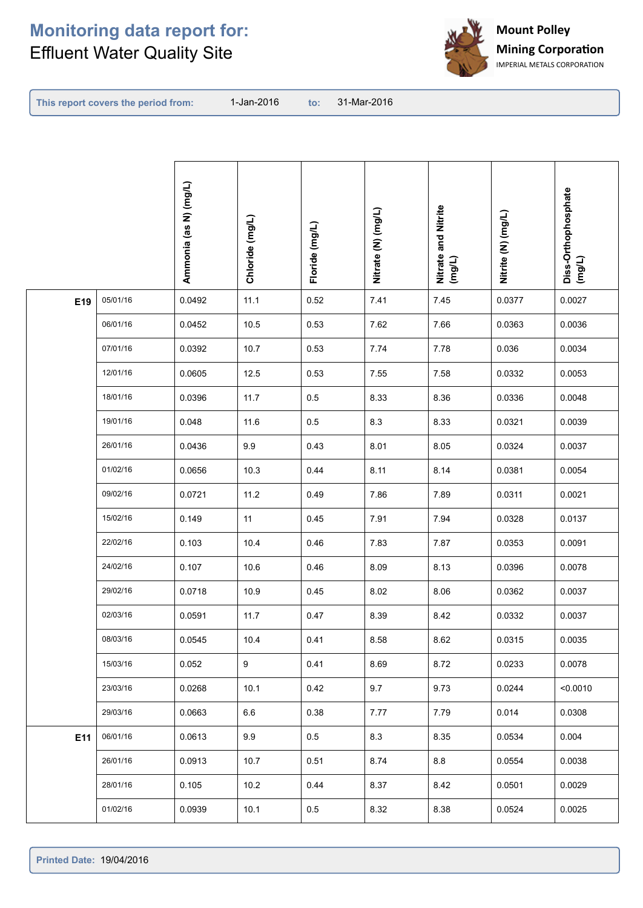

**This report covers the period from:** 

| 05/01/16<br>0.0492<br>11.1<br>0.52<br>7.41<br>7.45<br>0.0027<br>E19<br>0.0377<br>06/01/16<br>0.0452<br>10.5<br>0.53<br>7.62<br>7.66<br>0.0363<br>0.0036<br>07/01/16<br>0.0392<br>10.7<br>0.53<br>7.74<br>7.78<br>0.0034<br>0.036<br>12/01/16<br>12.5<br>7.58<br>0.0605<br>0.53<br>7.55<br>0.0332<br>0.0053<br>18/01/16<br>0.0396<br>11.7<br>0.5<br>8.33<br>8.36<br>0.0336<br>0.0048<br>19/01/16<br>11.6<br>8.3<br>8.33<br>0.048<br>0.5<br>0.0321<br>0.0039<br>26/01/16<br>9.9<br>0.43<br>8.01<br>8.05<br>0.0037<br>0.0436<br>0.0324<br>01/02/16<br>0.0656<br>10.3<br>0.44<br>8.11<br>8.14<br>0.0381<br>0.0054<br>09/02/16<br>0.0721<br>11.2<br>0.49<br>7.86<br>7.89<br>0.0311<br>0.0021<br>15/02/16<br>11<br>0.45<br>7.91<br>7.94<br>0.149<br>0.0328<br>0.0137<br>22/02/16<br>0.103<br>0.46<br>7.83<br>7.87<br>10.4<br>0.0353<br>0.0091<br>24/02/16<br>10.6<br>8.13<br>0.0078<br>0.107<br>0.46<br>8.09<br>0.0396<br>29/02/16<br>8.02<br>8.06<br>0.0718<br>10.9<br>0.45<br>0.0362<br>0.0037<br>02/03/16<br>11.7<br>0.47<br>8.39<br>8.42<br>0.0591<br>0.0332<br>0.0037<br>08/03/16<br>8.58<br>8.62<br>0.0315<br>0.0035<br>0.0545<br>10.4<br>0.41<br>15/03/16<br>9<br>0.41<br>8.69<br>8.72<br>0.0078<br>0.052<br>0.0233<br>23/03/16<br>10.1<br>9.7<br>0.0268<br>0.42<br>9.73<br>0.0244<br>< 0.0010<br>29/03/16<br>0.0663<br>6.6<br>0.38<br>7.77<br>7.79<br>0.014<br>0.0308<br>06/01/16<br>0.0613<br>9.9<br>$0.5\,$<br>8.3<br>8.35<br>0.004<br>E11<br>0.0534<br>0.0913<br>10.7<br>8.8<br>26/01/16<br>0.51<br>8.74<br>0.0554<br>0.0038 |  | Ammonia (as N) (mg/L) | Chloride (mg/L) | Floride (mg/L) | Nitrate (N) (mg/L) | Nitrate and Nitrite<br>(mg/L) | Nitrite (N) (mg/L) | Diss-Orthophosphate<br>(mg/L) |
|-----------------------------------------------------------------------------------------------------------------------------------------------------------------------------------------------------------------------------------------------------------------------------------------------------------------------------------------------------------------------------------------------------------------------------------------------------------------------------------------------------------------------------------------------------------------------------------------------------------------------------------------------------------------------------------------------------------------------------------------------------------------------------------------------------------------------------------------------------------------------------------------------------------------------------------------------------------------------------------------------------------------------------------------------------------------------------------------------------------------------------------------------------------------------------------------------------------------------------------------------------------------------------------------------------------------------------------------------------------------------------------------------------------------------------------------------------------------------------------------------------------------------------------|--|-----------------------|-----------------|----------------|--------------------|-------------------------------|--------------------|-------------------------------|
|                                                                                                                                                                                                                                                                                                                                                                                                                                                                                                                                                                                                                                                                                                                                                                                                                                                                                                                                                                                                                                                                                                                                                                                                                                                                                                                                                                                                                                                                                                                                   |  |                       |                 |                |                    |                               |                    |                               |
|                                                                                                                                                                                                                                                                                                                                                                                                                                                                                                                                                                                                                                                                                                                                                                                                                                                                                                                                                                                                                                                                                                                                                                                                                                                                                                                                                                                                                                                                                                                                   |  |                       |                 |                |                    |                               |                    |                               |
|                                                                                                                                                                                                                                                                                                                                                                                                                                                                                                                                                                                                                                                                                                                                                                                                                                                                                                                                                                                                                                                                                                                                                                                                                                                                                                                                                                                                                                                                                                                                   |  |                       |                 |                |                    |                               |                    |                               |
|                                                                                                                                                                                                                                                                                                                                                                                                                                                                                                                                                                                                                                                                                                                                                                                                                                                                                                                                                                                                                                                                                                                                                                                                                                                                                                                                                                                                                                                                                                                                   |  |                       |                 |                |                    |                               |                    |                               |
|                                                                                                                                                                                                                                                                                                                                                                                                                                                                                                                                                                                                                                                                                                                                                                                                                                                                                                                                                                                                                                                                                                                                                                                                                                                                                                                                                                                                                                                                                                                                   |  |                       |                 |                |                    |                               |                    |                               |
|                                                                                                                                                                                                                                                                                                                                                                                                                                                                                                                                                                                                                                                                                                                                                                                                                                                                                                                                                                                                                                                                                                                                                                                                                                                                                                                                                                                                                                                                                                                                   |  |                       |                 |                |                    |                               |                    |                               |
|                                                                                                                                                                                                                                                                                                                                                                                                                                                                                                                                                                                                                                                                                                                                                                                                                                                                                                                                                                                                                                                                                                                                                                                                                                                                                                                                                                                                                                                                                                                                   |  |                       |                 |                |                    |                               |                    |                               |
|                                                                                                                                                                                                                                                                                                                                                                                                                                                                                                                                                                                                                                                                                                                                                                                                                                                                                                                                                                                                                                                                                                                                                                                                                                                                                                                                                                                                                                                                                                                                   |  |                       |                 |                |                    |                               |                    |                               |
|                                                                                                                                                                                                                                                                                                                                                                                                                                                                                                                                                                                                                                                                                                                                                                                                                                                                                                                                                                                                                                                                                                                                                                                                                                                                                                                                                                                                                                                                                                                                   |  |                       |                 |                |                    |                               |                    |                               |
|                                                                                                                                                                                                                                                                                                                                                                                                                                                                                                                                                                                                                                                                                                                                                                                                                                                                                                                                                                                                                                                                                                                                                                                                                                                                                                                                                                                                                                                                                                                                   |  |                       |                 |                |                    |                               |                    |                               |
|                                                                                                                                                                                                                                                                                                                                                                                                                                                                                                                                                                                                                                                                                                                                                                                                                                                                                                                                                                                                                                                                                                                                                                                                                                                                                                                                                                                                                                                                                                                                   |  |                       |                 |                |                    |                               |                    |                               |
|                                                                                                                                                                                                                                                                                                                                                                                                                                                                                                                                                                                                                                                                                                                                                                                                                                                                                                                                                                                                                                                                                                                                                                                                                                                                                                                                                                                                                                                                                                                                   |  |                       |                 |                |                    |                               |                    |                               |
|                                                                                                                                                                                                                                                                                                                                                                                                                                                                                                                                                                                                                                                                                                                                                                                                                                                                                                                                                                                                                                                                                                                                                                                                                                                                                                                                                                                                                                                                                                                                   |  |                       |                 |                |                    |                               |                    |                               |
|                                                                                                                                                                                                                                                                                                                                                                                                                                                                                                                                                                                                                                                                                                                                                                                                                                                                                                                                                                                                                                                                                                                                                                                                                                                                                                                                                                                                                                                                                                                                   |  |                       |                 |                |                    |                               |                    |                               |
|                                                                                                                                                                                                                                                                                                                                                                                                                                                                                                                                                                                                                                                                                                                                                                                                                                                                                                                                                                                                                                                                                                                                                                                                                                                                                                                                                                                                                                                                                                                                   |  |                       |                 |                |                    |                               |                    |                               |
|                                                                                                                                                                                                                                                                                                                                                                                                                                                                                                                                                                                                                                                                                                                                                                                                                                                                                                                                                                                                                                                                                                                                                                                                                                                                                                                                                                                                                                                                                                                                   |  |                       |                 |                |                    |                               |                    |                               |
|                                                                                                                                                                                                                                                                                                                                                                                                                                                                                                                                                                                                                                                                                                                                                                                                                                                                                                                                                                                                                                                                                                                                                                                                                                                                                                                                                                                                                                                                                                                                   |  |                       |                 |                |                    |                               |                    |                               |
|                                                                                                                                                                                                                                                                                                                                                                                                                                                                                                                                                                                                                                                                                                                                                                                                                                                                                                                                                                                                                                                                                                                                                                                                                                                                                                                                                                                                                                                                                                                                   |  |                       |                 |                |                    |                               |                    |                               |
|                                                                                                                                                                                                                                                                                                                                                                                                                                                                                                                                                                                                                                                                                                                                                                                                                                                                                                                                                                                                                                                                                                                                                                                                                                                                                                                                                                                                                                                                                                                                   |  |                       |                 |                |                    |                               |                    |                               |
|                                                                                                                                                                                                                                                                                                                                                                                                                                                                                                                                                                                                                                                                                                                                                                                                                                                                                                                                                                                                                                                                                                                                                                                                                                                                                                                                                                                                                                                                                                                                   |  |                       |                 |                |                    |                               |                    |                               |
| 8.42<br>28/01/16<br>0.105<br>10.2<br>0.44<br>8.37<br>0.0501<br>0.0029                                                                                                                                                                                                                                                                                                                                                                                                                                                                                                                                                                                                                                                                                                                                                                                                                                                                                                                                                                                                                                                                                                                                                                                                                                                                                                                                                                                                                                                             |  |                       |                 |                |                    |                               |                    |                               |
| 8.38<br>01/02/16<br>0.0939<br>10.1<br>$0.5\,$<br>8.32<br>0.0524<br>0.0025                                                                                                                                                                                                                                                                                                                                                                                                                                                                                                                                                                                                                                                                                                                                                                                                                                                                                                                                                                                                                                                                                                                                                                                                                                                                                                                                                                                                                                                         |  |                       |                 |                |                    |                               |                    |                               |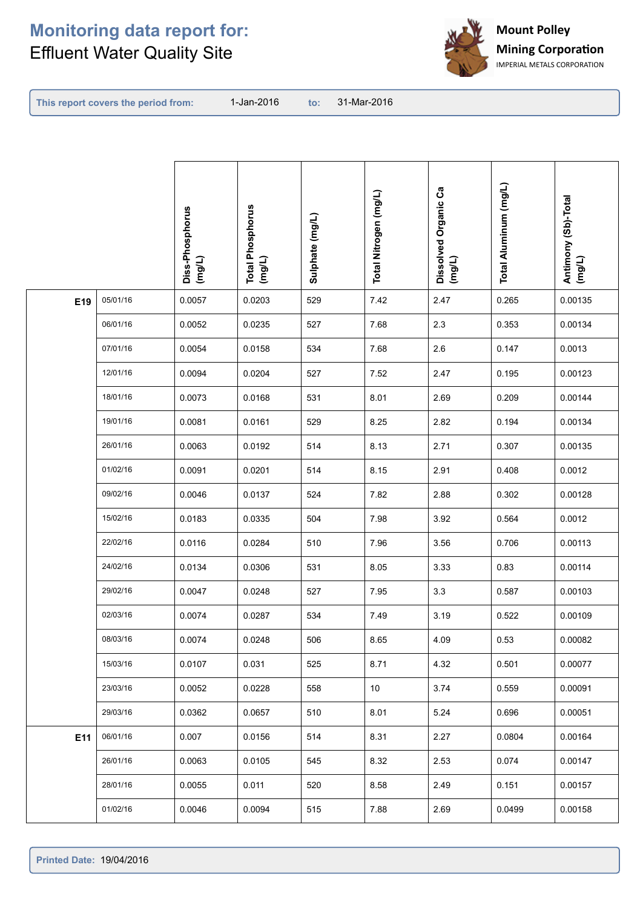

**This report covers the period from:** 

|     |          | Diss-Phosphorus<br>$($ mg/L) | <b>Total Phosphorus</b><br>(mg/L) | Sulphate (mg/L) | Total Nitrogen (mg/L) | Dissolved Organic Ca<br>(mg/L) | Total Aluminum (mg/L) | Antimony (Sb)-Total<br>(mg/L) |
|-----|----------|------------------------------|-----------------------------------|-----------------|-----------------------|--------------------------------|-----------------------|-------------------------------|
| E19 | 05/01/16 | 0.0057                       | 0.0203                            | 529             | 7.42                  | 2.47                           | 0.265                 | 0.00135                       |
|     | 06/01/16 | 0.0052                       | 0.0235                            | 527             | 7.68                  | 2.3                            | 0.353                 | 0.00134                       |
|     | 07/01/16 | 0.0054                       | 0.0158                            | 534             | 7.68                  | 2.6                            | 0.147                 | 0.0013                        |
|     | 12/01/16 | 0.0094                       | 0.0204                            | 527             | 7.52                  | 2.47                           | 0.195                 | 0.00123                       |
|     | 18/01/16 | 0.0073                       | 0.0168                            | 531             | 8.01                  | 2.69                           | 0.209                 | 0.00144                       |
|     | 19/01/16 | 0.0081                       | 0.0161                            | 529             | 8.25                  | 2.82                           | 0.194                 | 0.00134                       |
|     | 26/01/16 | 0.0063                       | 0.0192                            | 514             | 8.13                  | 2.71                           | 0.307                 | 0.00135                       |
|     | 01/02/16 | 0.0091                       | 0.0201                            | 514             | 8.15                  | 2.91                           | 0.408                 | 0.0012                        |
|     | 09/02/16 | 0.0046                       | 0.0137                            | 524             | 7.82                  | 2.88                           | 0.302                 | 0.00128                       |
|     | 15/02/16 | 0.0183                       | 0.0335                            | 504             | 7.98                  | 3.92                           | 0.564                 | 0.0012                        |
|     | 22/02/16 | 0.0116                       | 0.0284                            | 510             | 7.96                  | 3.56                           | 0.706                 | 0.00113                       |
|     | 24/02/16 | 0.0134                       | 0.0306                            | 531             | 8.05                  | 3.33                           | 0.83                  | 0.00114                       |
|     | 29/02/16 | 0.0047                       | 0.0248                            | 527             | 7.95                  | $3.3\,$                        | 0.587                 | 0.00103                       |
|     | 02/03/16 | 0.0074                       | 0.0287                            | 534             | 7.49                  | 3.19                           | 0.522                 | 0.00109                       |
|     | 08/03/16 | 0.0074                       | 0.0248                            | 506             | 8.65                  | 4.09                           | 0.53                  | 0.00082                       |
|     | 15/03/16 | 0.0107                       | 0.031                             | 525             | 8.71                  | 4.32                           | 0.501                 | 0.00077                       |
|     | 23/03/16 | 0.0052                       | 0.0228                            | 558             | 10                    | 3.74                           | 0.559                 | 0.00091                       |
|     | 29/03/16 | 0.0362                       | 0.0657                            | 510             | 8.01                  | 5.24                           | 0.696                 | 0.00051                       |
| E11 | 06/01/16 | 0.007                        | 0.0156                            | 514             | 8.31                  | 2.27                           | 0.0804                | 0.00164                       |
|     | 26/01/16 | 0.0063                       | 0.0105                            | 545             | 8.32                  | 2.53                           | 0.074                 | 0.00147                       |
|     | 28/01/16 | 0.0055                       | 0.011                             | 520             | 8.58                  | 2.49                           | 0.151                 | 0.00157                       |
|     | 01/02/16 | 0.0046                       | 0.0094                            | 515             | 7.88                  | 2.69                           | 0.0499                | 0.00158                       |
|     |          |                              |                                   |                 |                       |                                |                       |                               |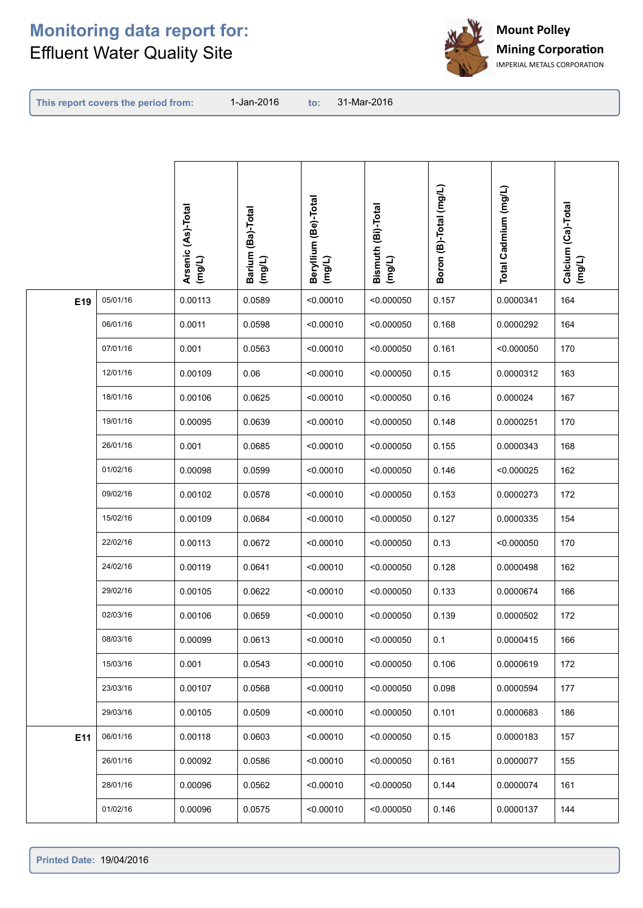

**This report covers the period from:** 

|     |          | Arsenic (As)-Total<br>(mg/L) | Barium (Ba)-Total<br>(mg/L) | Beryllium (Be)-Total<br>(mg/L) | Bismuth (Bi)-Total<br>(mg/L) | Boron (B)-Total (mg/L) | Total Cadmium (mg/L) | Calcium (Ca)-Total<br>(mg/L) |
|-----|----------|------------------------------|-----------------------------|--------------------------------|------------------------------|------------------------|----------------------|------------------------------|
| E19 | 05/01/16 | 0.00113                      | 0.0589                      | < 0.00010                      | < 0.000050                   | 0.157                  | 0.0000341            | 164                          |
|     | 06/01/16 | 0.0011                       | 0.0598                      | < 0.00010                      | < 0.000050                   | 0.168                  | 0.0000292            | 164                          |
|     | 07/01/16 | 0.001                        | 0.0563                      | < 0.00010                      | < 0.000050                   | 0.161                  | < 0.000050           | 170                          |
|     | 12/01/16 | 0.00109                      | 0.06                        | < 0.00010                      | < 0.000050                   | 0.15                   | 0.0000312            | 163                          |
|     | 18/01/16 | 0.00106                      | 0.0625                      | < 0.00010                      | < 0.000050                   | 0.16                   | 0.000024             | 167                          |
|     | 19/01/16 | 0.00095                      | 0.0639                      | < 0.00010                      | < 0.000050                   | 0.148                  | 0.0000251            | 170                          |
|     | 26/01/16 | 0.001                        | 0.0685                      | < 0.00010                      | < 0.000050                   | 0.155                  | 0.0000343            | 168                          |
|     | 01/02/16 | 0.00098                      | 0.0599                      | < 0.00010                      | < 0.000050                   | 0.146                  | < 0.000025           | 162                          |
|     | 09/02/16 | 0.00102                      | 0.0578                      | < 0.00010                      | < 0.000050                   | 0.153                  | 0.0000273            | 172                          |
|     | 15/02/16 | 0.00109                      | 0.0684                      | < 0.00010                      | < 0.000050                   | 0.127                  | 0.0000335            | 154                          |
|     | 22/02/16 | 0.00113                      | 0.0672                      | < 0.00010                      | < 0.000050                   | 0.13                   | < 0.000050           | 170                          |
|     | 24/02/16 | 0.00119                      | 0.0641                      | < 0.00010                      | < 0.000050                   | 0.128                  | 0.0000498            | 162                          |
|     | 29/02/16 | 0.00105                      | 0.0622                      | < 0.00010                      | < 0.000050                   | 0.133                  | 0.0000674            | 166                          |
|     | 02/03/16 | 0.00106                      | 0.0659                      | < 0.00010                      | < 0.000050                   | 0.139                  | 0.0000502            | 172                          |
|     | 08/03/16 | 0.00099                      | 0.0613                      | < 0.00010                      | < 0.000050                   | 0.1                    | 0.0000415            | 166                          |
|     | 15/03/16 | 0.001                        | 0.0543                      | < 0.00010                      | < 0.000050                   | 0.106                  | 0.0000619            | 172                          |
|     | 23/03/16 | 0.00107                      | 0.0568                      | < 0.00010                      | < 0.000050                   | 0.098                  | 0.0000594            | 177                          |
|     | 29/03/16 | 0.00105                      | 0.0509                      | < 0.00010                      | < 0.000050                   | 0.101                  | 0.0000683            | 186                          |
| E11 | 06/01/16 | 0.00118                      | 0.0603                      | < 0.00010                      | < 0.000050                   | 0.15                   | 0.0000183            | 157                          |
|     | 26/01/16 | 0.00092                      | 0.0586                      | < 0.00010                      | < 0.000050                   | 0.161                  | 0.0000077            | 155                          |
|     | 28/01/16 | 0.00096                      | 0.0562                      | < 0.00010                      | < 0.000050                   | 0.144                  | 0.0000074            | 161                          |
|     | 01/02/16 | 0.00096                      | 0.0575                      | < 0.00010                      | < 0.000050                   | 0.146                  | 0.0000137            | 144                          |
|     |          |                              |                             |                                |                              |                        |                      |                              |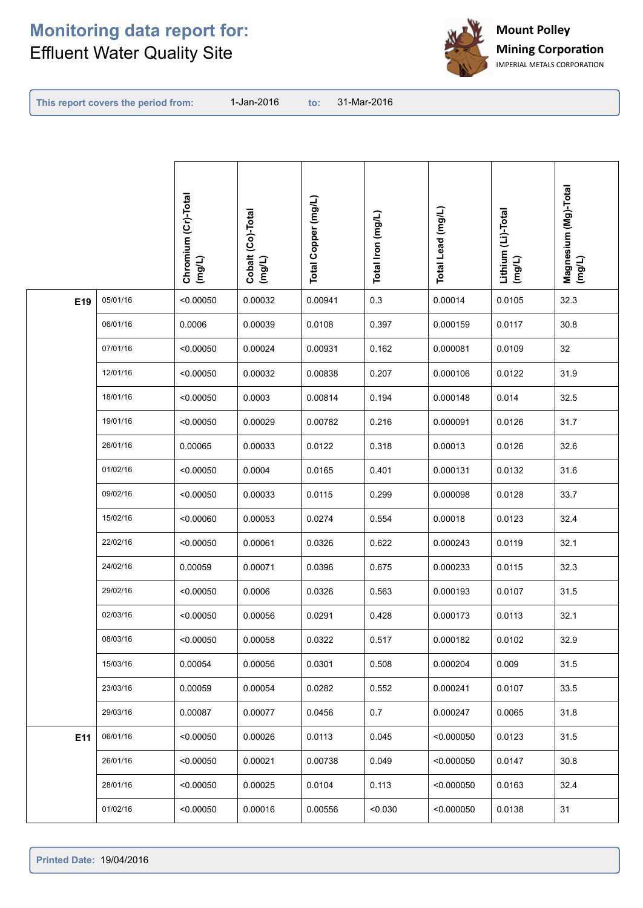

**This report covers the period from:** 

|     |          | Chromium (Cr)-Total<br>(mg/L) | Cobalt (Co)-Total<br>(mg/L) | Total Copper (mg/L) | Total Iron (mg/L) | Total Lead (mg/L) | Lithium (Li)-Total<br>(mg/L) | Magnesium (Mg)-Total<br>(mg/L) |
|-----|----------|-------------------------------|-----------------------------|---------------------|-------------------|-------------------|------------------------------|--------------------------------|
| E19 | 05/01/16 | < 0.00050                     | 0.00032                     | 0.00941             | 0.3               | 0.00014           | 0.0105                       | 32.3                           |
|     | 06/01/16 | 0.0006                        | 0.00039                     | 0.0108              | 0.397             | 0.000159          | 0.0117                       | 30.8                           |
|     | 07/01/16 | < 0.00050                     | 0.00024                     | 0.00931             | 0.162             | 0.000081          | 0.0109                       | 32                             |
|     | 12/01/16 | < 0.00050                     | 0.00032                     | 0.00838             | 0.207             | 0.000106          | 0.0122                       | 31.9                           |
|     | 18/01/16 | < 0.00050                     | 0.0003                      | 0.00814             | 0.194             | 0.000148          | 0.014                        | 32.5                           |
|     | 19/01/16 | < 0.00050                     | 0.00029                     | 0.00782             | 0.216             | 0.000091          | 0.0126                       | 31.7                           |
|     | 26/01/16 | 0.00065                       | 0.00033                     | 0.0122              | 0.318             | 0.00013           | 0.0126                       | 32.6                           |
|     | 01/02/16 | < 0.00050                     | 0.0004                      | 0.0165              | 0.401             | 0.000131          | 0.0132                       | 31.6                           |
|     | 09/02/16 | < 0.00050                     | 0.00033                     | 0.0115              | 0.299             | 0.000098          | 0.0128                       | 33.7                           |
|     | 15/02/16 | < 0.00060                     | 0.00053                     | 0.0274              | 0.554             | 0.00018           | 0.0123                       | 32.4                           |
|     | 22/02/16 | < 0.00050                     | 0.00061                     | 0.0326              | 0.622             | 0.000243          | 0.0119                       | 32.1                           |
|     | 24/02/16 | 0.00059                       | 0.00071                     | 0.0396              | 0.675             | 0.000233          | 0.0115                       | 32.3                           |
|     | 29/02/16 | < 0.00050                     | 0.0006                      | 0.0326              | 0.563             | 0.000193          | 0.0107                       | 31.5                           |
|     | 02/03/16 | < 0.00050                     | 0.00056                     | 0.0291              | 0.428             | 0.000173          | 0.0113                       | 32.1                           |
|     | 08/03/16 | < 0.00050                     | 0.00058                     | 0.0322              | 0.517             | 0.000182          | 0.0102                       | 32.9                           |
|     | 15/03/16 | 0.00054                       | 0.00056                     | 0.0301              | 0.508             | 0.000204          | 0.009                        | 31.5                           |
|     | 23/03/16 | 0.00059                       | 0.00054                     | 0.0282              | 0.552             | 0.000241          | 0.0107                       | 33.5                           |
|     | 29/03/16 | 0.00087                       | 0.00077                     | 0.0456              | 0.7               | 0.000247          | 0.0065                       | 31.8                           |
| E11 | 06/01/16 | < 0.00050                     | 0.00026                     | 0.0113              | 0.045             | < 0.000050        | 0.0123                       | 31.5                           |
|     | 26/01/16 | < 0.00050                     | 0.00021                     | 0.00738             | 0.049             | < 0.000050        | 0.0147                       | 30.8                           |
|     | 28/01/16 | < 0.00050                     | 0.00025                     | 0.0104              | 0.113             | < 0.000050        | 0.0163                       | 32.4                           |
|     | 01/02/16 | < 0.00050                     | 0.00016                     | 0.00556             | < 0.030           | < 0.000050        | 0.0138                       | 31                             |
|     |          |                               |                             |                     |                   |                   |                              |                                |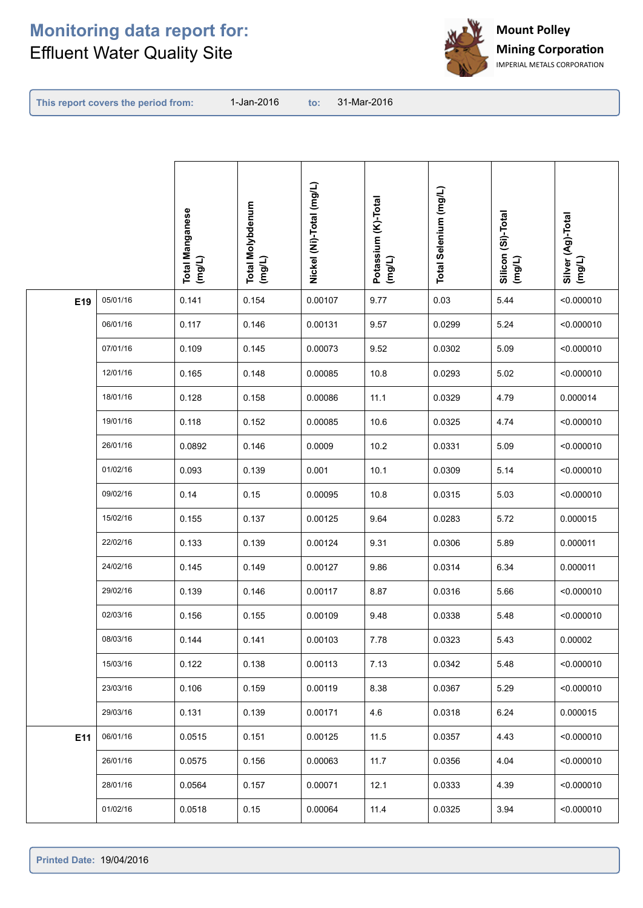

**This report covers the period from:** 

|     |          | <b>Total Manganese</b><br>$($ mg/L) | <b>Total Molybdenum</b><br>$($ mg/L) | Nickel (Ni)-Total (mg/L) | Potassium (K)-Total<br>(mg/L) | Total Selenium (mg/L) | Silicon (Si)-Total<br>(mg/L) | Silver (Ag)-Total<br>(mg/L) |
|-----|----------|-------------------------------------|--------------------------------------|--------------------------|-------------------------------|-----------------------|------------------------------|-----------------------------|
| E19 | 05/01/16 | 0.141                               | 0.154                                | 0.00107                  | 9.77                          | 0.03                  | 5.44                         | < 0.000010                  |
|     | 06/01/16 | 0.117                               | 0.146                                | 0.00131                  | 9.57                          | 0.0299                | 5.24                         | < 0.000010                  |
|     | 07/01/16 | 0.109                               | 0.145                                | 0.00073                  | 9.52                          | 0.0302                | 5.09                         | < 0.000010                  |
|     | 12/01/16 | 0.165                               | 0.148                                | 0.00085                  | 10.8                          | 0.0293                | 5.02                         | < 0.000010                  |
|     | 18/01/16 | 0.128                               | 0.158                                | 0.00086                  | 11.1                          | 0.0329                | 4.79                         | 0.000014                    |
|     | 19/01/16 | 0.118                               | 0.152                                | 0.00085                  | 10.6                          | 0.0325                | 4.74                         | < 0.000010                  |
|     | 26/01/16 | 0.0892                              | 0.146                                | 0.0009                   | 10.2                          | 0.0331                | 5.09                         | < 0.000010                  |
|     | 01/02/16 | 0.093                               | 0.139                                | 0.001                    | 10.1                          | 0.0309                | 5.14                         | < 0.000010                  |
|     | 09/02/16 | 0.14                                | 0.15                                 | 0.00095                  | 10.8                          | 0.0315                | 5.03                         | < 0.000010                  |
|     | 15/02/16 | 0.155                               | 0.137                                | 0.00125                  | 9.64                          | 0.0283                | 5.72                         | 0.000015                    |
|     | 22/02/16 | 0.133                               | 0.139                                | 0.00124                  | 9.31                          | 0.0306                | 5.89                         | 0.000011                    |
|     | 24/02/16 | 0.145                               | 0.149                                | 0.00127                  | 9.86                          | 0.0314                | 6.34                         | 0.000011                    |
|     | 29/02/16 | 0.139                               | 0.146                                | 0.00117                  | 8.87                          | 0.0316                | 5.66                         | < 0.000010                  |
|     | 02/03/16 | 0.156                               | 0.155                                | 0.00109                  | 9.48                          | 0.0338                | 5.48                         | < 0.000010                  |
|     | 08/03/16 | 0.144                               | 0.141                                | 0.00103                  | 7.78                          | 0.0323                | 5.43                         | 0.00002                     |
|     | 15/03/16 | 0.122                               | 0.138                                | 0.00113                  | 7.13                          | 0.0342                | 5.48                         | < 0.000010                  |
|     | 23/03/16 | 0.106                               | 0.159                                | 0.00119                  | 8.38                          | 0.0367                | 5.29                         | < 0.000010                  |
|     | 29/03/16 | 0.131                               | 0.139                                | 0.00171                  | 4.6                           | 0.0318                | 6.24                         | 0.000015                    |
| E11 | 06/01/16 | 0.0515                              | 0.151                                | 0.00125                  | 11.5                          | 0.0357                | 4.43                         | < 0.000010                  |
|     | 26/01/16 | 0.0575                              | 0.156                                | 0.00063                  | 11.7                          | 0.0356                | 4.04                         | < 0.000010                  |
|     | 28/01/16 | 0.0564                              | 0.157                                | 0.00071                  | 12.1                          | 0.0333                | 4.39                         | < 0.000010                  |
|     | 01/02/16 | 0.0518                              | 0.15                                 | 0.00064                  | 11.4                          | 0.0325                | 3.94                         | < 0.000010                  |
|     |          |                                     |                                      |                          |                               |                       |                              |                             |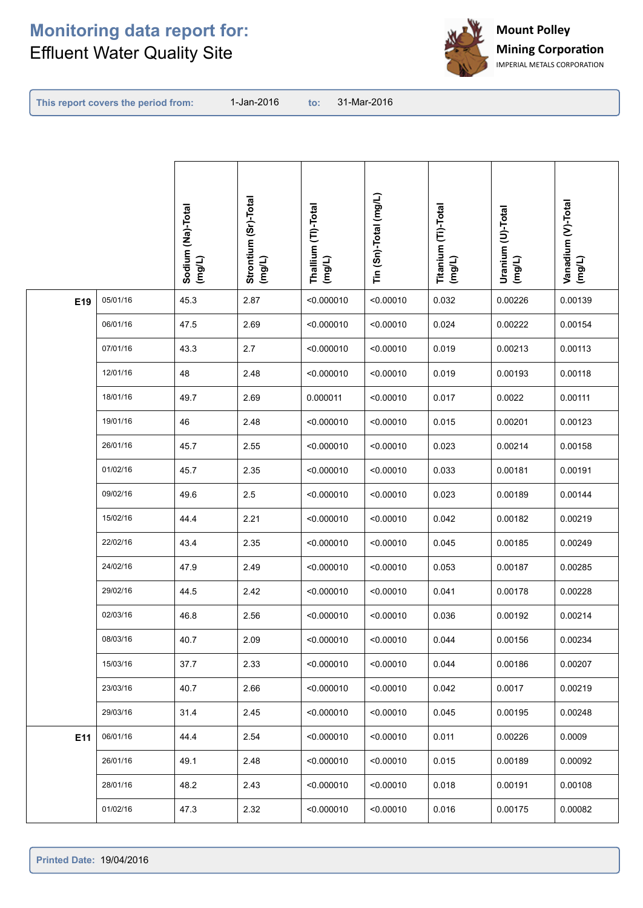

**This report covers the period from:** 

|     |          | Sodium (Na)-Total<br>(mg/L) | Strontium (Sr)-Total<br>(mg/L) | Thallium (TI)-Total<br>(mg/L) | Tin (Sn)-Total (mg/L) | Titanium (Ti)-Total<br>(mg/L) | Uranium (U)-Total<br>(mg/L) | Vanadium (V)-Total<br>(mg/L) |
|-----|----------|-----------------------------|--------------------------------|-------------------------------|-----------------------|-------------------------------|-----------------------------|------------------------------|
| E19 | 05/01/16 | 45.3                        | 2.87                           | < 0.000010                    | < 0.00010             | 0.032                         | 0.00226                     | 0.00139                      |
|     | 06/01/16 | 47.5                        | 2.69                           | < 0.000010                    | < 0.00010             | 0.024                         | 0.00222                     | 0.00154                      |
|     | 07/01/16 | 43.3                        | 2.7                            | < 0.000010                    | < 0.00010             | 0.019                         | 0.00213                     | 0.00113                      |
|     | 12/01/16 | 48                          | 2.48                           | < 0.000010                    | < 0.00010             | 0.019                         | 0.00193                     | 0.00118                      |
|     | 18/01/16 | 49.7                        | 2.69                           | 0.000011                      | < 0.00010             | 0.017                         | 0.0022                      | 0.00111                      |
|     | 19/01/16 | 46                          | 2.48                           | < 0.000010                    | < 0.00010             | 0.015                         | 0.00201                     | 0.00123                      |
|     | 26/01/16 | 45.7                        | 2.55                           | < 0.000010                    | < 0.00010             | 0.023                         | 0.00214                     | 0.00158                      |
|     | 01/02/16 | 45.7                        | 2.35                           | < 0.000010                    | < 0.00010             | 0.033                         | 0.00181                     | 0.00191                      |
|     | 09/02/16 | 49.6                        | 2.5                            | < 0.000010                    | < 0.00010             | 0.023                         | 0.00189                     | 0.00144                      |
|     | 15/02/16 | 44.4                        | 2.21                           | < 0.000010                    | < 0.00010             | 0.042                         | 0.00182                     | 0.00219                      |
|     | 22/02/16 | 43.4                        | 2.35                           | < 0.000010                    | < 0.00010             | 0.045                         | 0.00185                     | 0.00249                      |
|     | 24/02/16 | 47.9                        | 2.49                           | < 0.000010                    | < 0.00010             | 0.053                         | 0.00187                     | 0.00285                      |
|     | 29/02/16 | 44.5                        | 2.42                           | < 0.000010                    | < 0.00010             | 0.041                         | 0.00178                     | 0.00228                      |
|     | 02/03/16 | 46.8                        | 2.56                           | < 0.000010                    | < 0.00010             | 0.036                         | 0.00192                     | 0.00214                      |
|     | 08/03/16 | 40.7                        | 2.09                           | < 0.000010                    | < 0.00010             | 0.044                         | 0.00156                     | 0.00234                      |
|     | 15/03/16 | 37.7                        | 2.33                           | < 0.000010                    | < 0.00010             | 0.044                         | 0.00186                     | 0.00207                      |
|     | 23/03/16 | 40.7                        | 2.66                           | < 0.000010                    | < 0.00010             | 0.042                         | 0.0017                      | 0.00219                      |
|     | 29/03/16 | 31.4                        | 2.45                           | < 0.000010                    | < 0.00010             | 0.045                         | 0.00195                     | 0.00248                      |
| E11 | 06/01/16 | 44.4                        | 2.54                           | < 0.000010                    | < 0.00010             | 0.011                         | 0.00226                     | 0.0009                       |
|     | 26/01/16 | 49.1                        | 2.48                           | < 0.000010                    | < 0.00010             | 0.015                         | 0.00189                     | 0.00092                      |
|     | 28/01/16 | 48.2                        | 2.43                           | < 0.000010                    | < 0.00010             | 0.018                         | 0.00191                     | 0.00108                      |
|     | 01/02/16 | 47.3                        | 2.32                           | < 0.000010                    | < 0.00010             | 0.016                         | 0.00175                     | 0.00082                      |
|     |          |                             |                                |                               |                       |                               |                             |                              |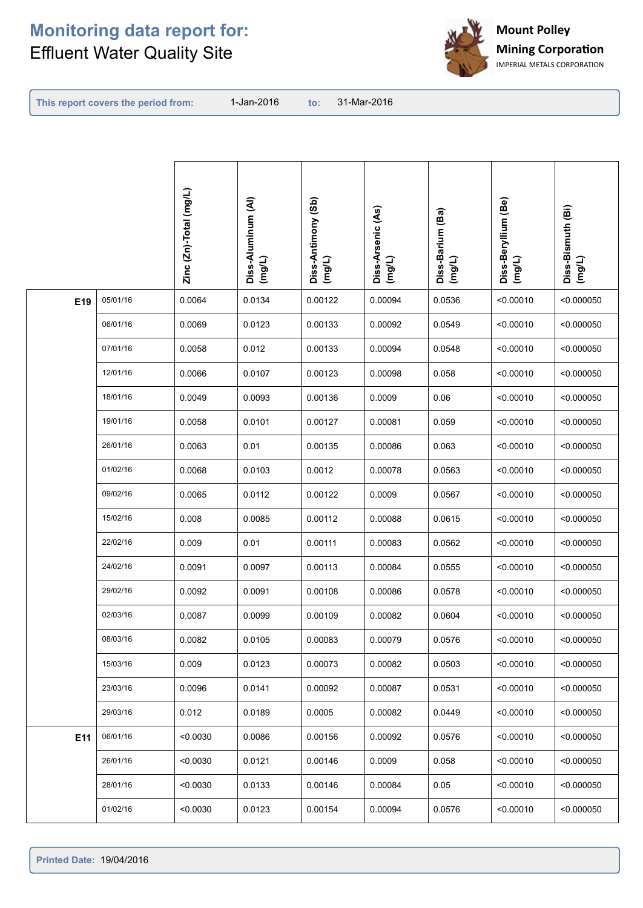

**This report covers the period from:** 

|     |          | Zinc (Zn)-Total (mg/L) | Diss-Aluminum (Al)<br>(mg/L) | Diss-Antimony (Sb)<br>(mg/L) | Diss-Arsenic (As)<br>(mg/L) | Diss-Barium (Ba)<br>(mg/L) | Diss-Beryllium (Be)<br>$($ mg/L) | Diss-Bismuth (Bi)<br>(mg/L) |
|-----|----------|------------------------|------------------------------|------------------------------|-----------------------------|----------------------------|----------------------------------|-----------------------------|
| E19 | 05/01/16 | 0.0064                 | 0.0134                       | 0.00122                      | 0.00094                     | 0.0536                     | < 0.00010                        | < 0.000050                  |
|     | 06/01/16 | 0.0069                 | 0.0123                       | 0.00133                      | 0.00092                     | 0.0549                     | < 0.00010                        | < 0.000050                  |
|     | 07/01/16 | 0.0058                 | 0.012                        | 0.00133                      | 0.00094                     | 0.0548                     | < 0.00010                        | < 0.000050                  |
|     | 12/01/16 | 0.0066                 | 0.0107                       | 0.00123                      | 0.00098                     | 0.058                      | < 0.00010                        | < 0.000050                  |
|     | 18/01/16 | 0.0049                 | 0.0093                       | 0.00136                      | 0.0009                      | 0.06                       | < 0.00010                        | < 0.000050                  |
|     | 19/01/16 | 0.0058                 | 0.0101                       | 0.00127                      | 0.00081                     | 0.059                      | < 0.00010                        | < 0.000050                  |
|     | 26/01/16 | 0.0063                 | 0.01                         | 0.00135                      | 0.00086                     | 0.063                      | < 0.00010                        | < 0.000050                  |
|     | 01/02/16 | 0.0068                 | 0.0103                       | 0.0012                       | 0.00078                     | 0.0563                     | < 0.00010                        | < 0.000050                  |
|     | 09/02/16 | 0.0065                 | 0.0112                       | 0.00122                      | 0.0009                      | 0.0567                     | < 0.00010                        | < 0.000050                  |
|     | 15/02/16 | 0.008                  | 0.0085                       | 0.00112                      | 0.00088                     | 0.0615                     | < 0.00010                        | < 0.000050                  |
|     | 22/02/16 | 0.009                  | 0.01                         | 0.00111                      | 0.00083                     | 0.0562                     | < 0.00010                        | < 0.000050                  |
|     | 24/02/16 | 0.0091                 | 0.0097                       | 0.00113                      | 0.00084                     | 0.0555                     | < 0.00010                        | < 0.000050                  |
|     | 29/02/16 | 0.0092                 | 0.0091                       | 0.00108                      | 0.00086                     | 0.0578                     | < 0.00010                        | < 0.000050                  |
|     | 02/03/16 | 0.0087                 | 0.0099                       | 0.00109                      | 0.00082                     | 0.0604                     | < 0.00010                        | < 0.000050                  |
|     | 08/03/16 | 0.0082                 | 0.0105                       | 0.00083                      | 0.00079                     | 0.0576                     | < 0.00010                        | < 0.000050                  |
|     | 15/03/16 | 0.009                  | 0.0123                       | 0.00073                      | 0.00082                     | 0.0503                     | < 0.00010                        | < 0.000050                  |
|     | 23/03/16 | 0.0096                 | 0.0141                       | 0.00092                      | 0.00087                     | 0.0531                     | < 0.00010                        | < 0.000050                  |
|     | 29/03/16 | 0.012                  | 0.0189                       | 0.0005                       | 0.00082                     | 0.0449                     | < 0.00010                        | < 0.000050                  |
| E11 | 06/01/16 | < 0.0030               | 0.0086                       | 0.00156                      | 0.00092                     | 0.0576                     | < 0.00010                        | < 0.000050                  |
|     | 26/01/16 | < 0.0030               | 0.0121                       | 0.00146                      | 0.0009                      | 0.058                      | < 0.00010                        | < 0.000050                  |
|     | 28/01/16 | < 0.0030               | 0.0133                       | 0.00146                      | 0.00084                     | 0.05                       | < 0.00010                        | < 0.000050                  |
|     | 01/02/16 | < 0.0030               | 0.0123                       | 0.00154                      | 0.00094                     | 0.0576                     | < 0.00010                        | < 0.000050                  |
|     |          |                        |                              |                              |                             |                            |                                  |                             |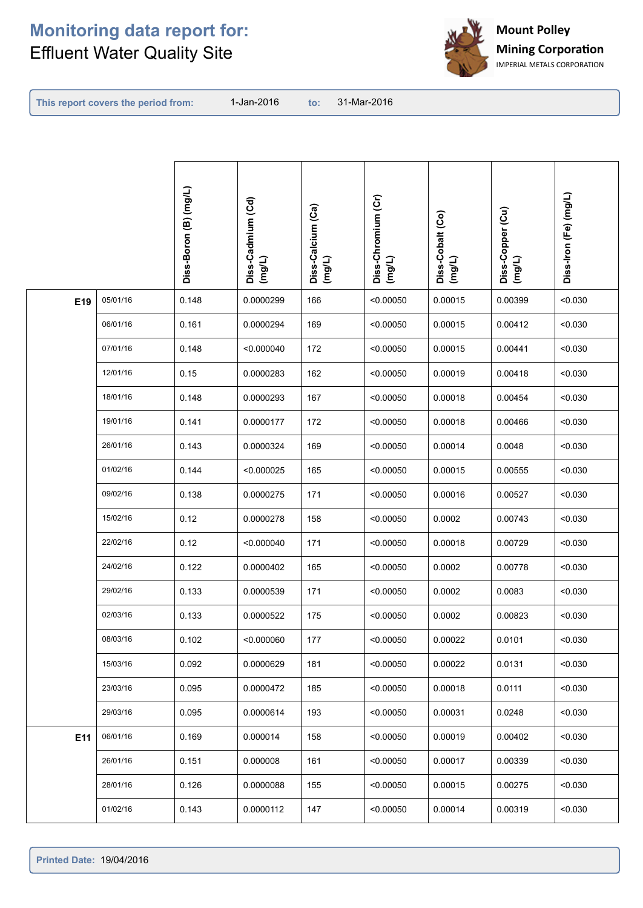

**This report covers the period from:** 

|     |          | Diss-Boron (B) (mg/L) | Diss-Cadmium (Cd)<br>(mg/L) | Diss-Calcium (Ca)<br>(mg/L) | Diss-Chromium (Cr)<br>(mg/L) | Diss-Cobalt (Co)<br>(mg/L) | Diss-Copper (Cu)<br>(mg/L) | Diss-Iron (Fe) (mg/L) |
|-----|----------|-----------------------|-----------------------------|-----------------------------|------------------------------|----------------------------|----------------------------|-----------------------|
| E19 | 05/01/16 | 0.148                 | 0.0000299                   | 166                         | < 0.00050                    | 0.00015                    | 0.00399                    | < 0.030               |
|     | 06/01/16 | 0.161                 | 0.0000294                   | 169                         | < 0.00050                    | 0.00015                    | 0.00412                    | < 0.030               |
|     | 07/01/16 | 0.148                 | < 0.000040                  | 172                         | < 0.00050                    | 0.00015                    | 0.00441                    | < 0.030               |
|     | 12/01/16 | 0.15                  | 0.0000283                   | 162                         | < 0.00050                    | 0.00019                    | 0.00418                    | < 0.030               |
|     | 18/01/16 | 0.148                 | 0.0000293                   | 167                         | < 0.00050                    | 0.00018                    | 0.00454                    | < 0.030               |
|     | 19/01/16 | 0.141                 | 0.0000177                   | 172                         | < 0.00050                    | 0.00018                    | 0.00466                    | < 0.030               |
|     | 26/01/16 | 0.143                 | 0.0000324                   | 169                         | < 0.00050                    | 0.00014                    | 0.0048                     | < 0.030               |
|     | 01/02/16 | 0.144                 | < 0.000025                  | 165                         | < 0.00050                    | 0.00015                    | 0.00555                    | < 0.030               |
|     | 09/02/16 | 0.138                 | 0.0000275                   | 171                         | < 0.00050                    | 0.00016                    | 0.00527                    | < 0.030               |
|     | 15/02/16 | 0.12                  | 0.0000278                   | 158                         | < 0.00050                    | 0.0002                     | 0.00743                    | < 0.030               |
|     | 22/02/16 | 0.12                  | < 0.000040                  | 171                         | < 0.00050                    | 0.00018                    | 0.00729                    | < 0.030               |
|     | 24/02/16 | 0.122                 | 0.0000402                   | 165                         | < 0.00050                    | 0.0002                     | 0.00778                    | < 0.030               |
|     | 29/02/16 | 0.133                 | 0.0000539                   | 171                         | < 0.00050                    | 0.0002                     | 0.0083                     | < 0.030               |
|     | 02/03/16 | 0.133                 | 0.0000522                   | 175                         | < 0.00050                    | 0.0002                     | 0.00823                    | < 0.030               |
|     | 08/03/16 | 0.102                 | < 0.000060                  | 177                         | < 0.00050                    | 0.00022                    | 0.0101                     | < 0.030               |
|     | 15/03/16 | 0.092                 | 0.0000629                   | 181                         | < 0.00050                    | 0.00022                    | 0.0131                     | < 0.030               |
|     | 23/03/16 | 0.095                 | 0.0000472                   | 185                         | < 0.00050                    | 0.00018                    | 0.0111                     | < 0.030               |
|     | 29/03/16 | 0.095                 | 0.0000614                   | 193                         | < 0.00050                    | 0.00031                    | 0.0248                     | < 0.030               |
| E11 | 06/01/16 | 0.169                 | 0.000014                    | 158                         | < 0.00050                    | 0.00019                    | 0.00402                    | < 0.030               |
|     | 26/01/16 | 0.151                 | 0.000008                    | 161                         | < 0.00050                    | 0.00017                    | 0.00339                    | < 0.030               |
|     | 28/01/16 | 0.126                 | 0.0000088                   | 155                         | < 0.00050                    | 0.00015                    | 0.00275                    | < 0.030               |
|     | 01/02/16 | 0.143                 | 0.0000112                   | 147                         | < 0.00050                    | 0.00014                    | 0.00319                    | < 0.030               |
|     |          |                       |                             |                             |                              |                            |                            |                       |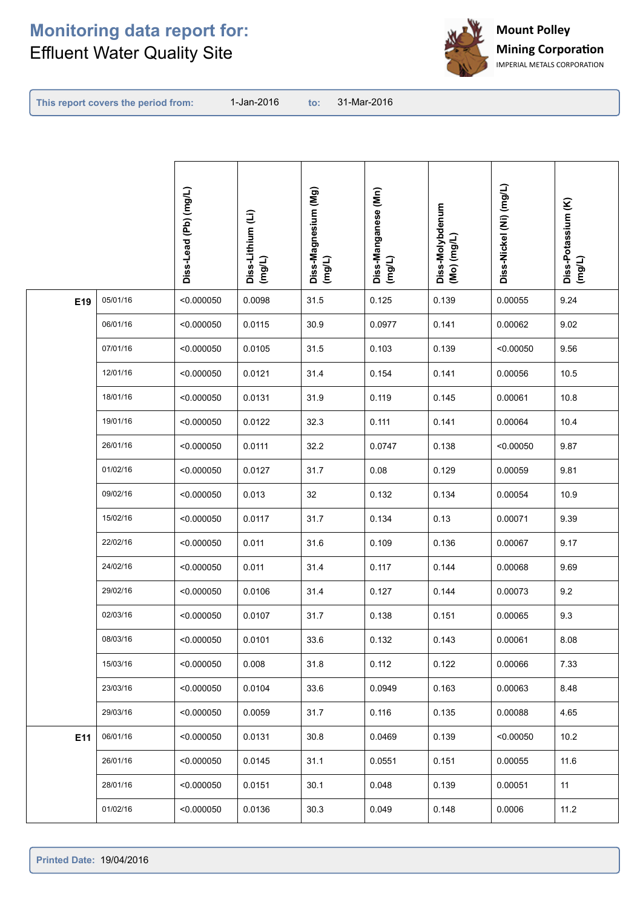

**This report covers the period from:** 

| Diss-Nickel (Ni) (mg/L)<br>Diss-Manganese (Mn)<br>(mg/L)<br>Diss-Magnesium (Mg)<br>(mg/L)<br>Diss-Lead (Pb) (mg/L)<br>Diss-Potassium (K)<br>(mg/L)<br>Diss-Molybdenum<br>(Mo) (mg/L)<br>Diss-Lithium (Li)<br>(mg/L) |  |
|---------------------------------------------------------------------------------------------------------------------------------------------------------------------------------------------------------------------|--|
| 05/01/16<br>0.0098<br>31.5<br>0.125<br>0.139<br>0.00055<br>9.24<br>E19<br>< 0.000050                                                                                                                                |  |
| 9.02<br>06/01/16<br>< 0.000050<br>0.0115<br>30.9<br>0.0977<br>0.141<br>0.00062                                                                                                                                      |  |
| 0.139<br>9.56<br>07/01/16<br>0.0105<br>31.5<br>0.103<br>< 0.000050<br>< 0.00050                                                                                                                                     |  |
| 12/01/16<br>0.154<br>10.5<br>0.0121<br>31.4<br>0.141<br>0.00056<br>< 0.000050                                                                                                                                       |  |
| 10.8<br>18/01/16<br>< 0.000050<br>0.0131<br>31.9<br>0.119<br>0.145<br>0.00061                                                                                                                                       |  |
| 19/01/16<br>< 0.000050<br>0.0122<br>32.3<br>0.111<br>0.141<br>0.00064<br>10.4                                                                                                                                       |  |
| 26/01/16<br>0.0111<br>32.2<br>0.0747<br>0.138<br>9.87<br>< 0.000050<br>< 0.00050                                                                                                                                    |  |
| 01/02/16<br>0.08<br>9.81<br>< 0.000050<br>0.0127<br>31.7<br>0.129<br>0.00059                                                                                                                                        |  |
| 09/02/16<br>10.9<br>< 0.000050<br>0.013<br>32<br>0.132<br>0.134<br>0.00054                                                                                                                                          |  |
| 9.39<br>15/02/16<br>0.0117<br>31.7<br>0.134<br>0.13<br>0.00071<br>< 0.000050                                                                                                                                        |  |
| 22/02/16<br>31.6<br>0.109<br>9.17<br>0.011<br>0.136<br>0.00067<br>< 0.000050                                                                                                                                        |  |
| 24/02/16<br>0.117<br>9.69<br>0.011<br>31.4<br>0.144<br>0.00068<br>< 0.000050                                                                                                                                        |  |
| 29/02/16<br>0.127<br>9.2<br>< 0.000050<br>0.0106<br>31.4<br>0.144<br>0.00073                                                                                                                                        |  |
| 9.3<br>02/03/16<br>31.7<br>0.138<br>< 0.000050<br>0.0107<br>0.151<br>0.00065                                                                                                                                        |  |
| 08/03/16<br>8.08<br>0.0101<br>33.6<br>0.132<br>0.143<br>0.00061<br>< 0.000050                                                                                                                                       |  |
| 15/03/16<br>7.33<br>< 0.000050<br>0.008<br>31.8<br>0.112<br>0.122<br>0.00066                                                                                                                                        |  |
| 23/03/16<br>8.48<br>< 0.000050<br>0.0104<br>33.6<br>0.0949<br>0.163<br>0.00063                                                                                                                                      |  |
| 4.65<br>29/03/16<br>< 0.000050<br>0.0059<br>31.7<br>0.116<br>0.135<br>0.00088                                                                                                                                       |  |
| 06/01/16<br>30.8<br>0.0469<br>10.2<br>< 0.000050<br>0.0131<br>0.139<br>< 0.00050<br>E11                                                                                                                             |  |
| 11.6<br>26/01/16<br>< 0.000050<br>0.0145<br>31.1<br>0.0551<br>0.151<br>0.00055                                                                                                                                      |  |
| 0.048<br>11<br>28/01/16<br>< 0.000050<br>0.0151<br>30.1<br>0.139<br>0.00051                                                                                                                                         |  |
| 0.049<br>11.2<br>01/02/16<br>< 0.000050<br>0.0136<br>30.3<br>0.148<br>0.0006                                                                                                                                        |  |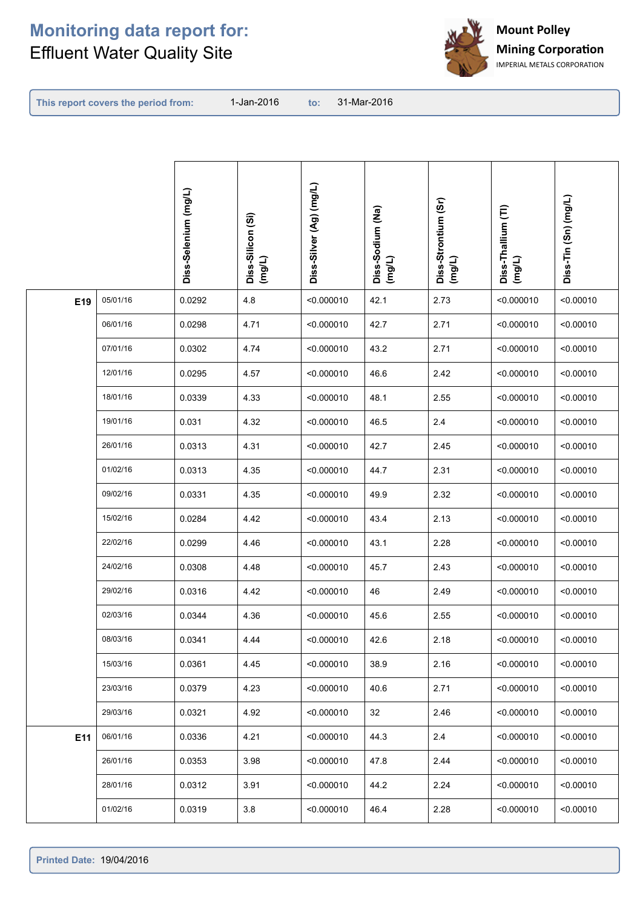

**This report covers the period from:** 

| Diss-Silver (Ag) (mg/L)<br>Diss-Selenium (mg/L)<br>Diss-Tin (Sn) (mg/L)<br>Diss-Strontium (Sr)<br>Diss-Thallium (TI)<br>Diss-Sodium (Na)<br>(mg/L)<br>Diss-Silicon (Si)<br>(mg/L)<br>(mg/L)<br>(mg/L) |           |
|-------------------------------------------------------------------------------------------------------------------------------------------------------------------------------------------------------|-----------|
| 05/01/16<br>4.8<br>2.73<br>E19<br>0.0292<br>42.1<br>< 0.000010<br>< 0.000010                                                                                                                          | < 0.00010 |
| 06/01/16<br>0.0298<br>4.71<br>< 0.000010<br>42.7<br>2.71<br>< 0.000010                                                                                                                                | < 0.00010 |
| 07/01/16<br>2.71<br>0.0302<br>4.74<br>< 0.000010<br>43.2<br>< 0.000010                                                                                                                                | < 0.00010 |
| 12/01/16<br>0.0295<br>4.57<br>46.6<br>2.42<br>< 0.000010<br>< 0.000010                                                                                                                                | < 0.00010 |
| 18/01/16<br>4.33<br>2.55<br>0.0339<br>< 0.000010<br>48.1<br>< 0.000010                                                                                                                                | < 0.00010 |
| 19/01/16<br>2.4<br>0.031<br>4.32<br>< 0.000010<br>46.5<br>< 0.000010                                                                                                                                  | < 0.00010 |
| 26/01/16<br>0.0313<br>4.31<br>< 0.000010<br>42.7<br>2.45<br>< 0.000010                                                                                                                                | < 0.00010 |
| 01/02/16<br>0.0313<br>4.35<br>2.31<br>< 0.000010<br>44.7<br>< 0.000010                                                                                                                                | < 0.00010 |
| 09/02/16<br>4.35<br>2.32<br>0.0331<br>< 0.000010<br>49.9<br>< 0.000010                                                                                                                                | < 0.00010 |
| 15/02/16<br>0.0284<br>4.42<br>< 0.000010<br>2.13<br>43.4<br>< 0.000010                                                                                                                                | < 0.00010 |
| 22/02/16<br>0.0299<br>4.46<br>43.1<br>2.28<br>< 0.000010<br>< 0.000010                                                                                                                                | < 0.00010 |
| 24/02/16<br>0.0308<br>4.48<br>2.43<br>< 0.000010<br>45.7<br>< 0.000010                                                                                                                                | < 0.00010 |
| 2.49<br>29/02/16<br>0.0316<br>4.42<br>46<br>< 0.000010<br>< 0.000010                                                                                                                                  | < 0.00010 |
| 02/03/16<br>0.0344<br>4.36<br>< 0.000010<br>2.55<br>45.6<br>< 0.000010                                                                                                                                | < 0.00010 |
| 08/03/16<br>0.0341<br>< 0.000010<br>42.6<br>2.18<br>4.44<br>< 0.000010                                                                                                                                | < 0.00010 |
| 15/03/16<br>0.0361<br>4.45<br>< 0.000010<br>38.9<br>2.16<br>< 0.000010                                                                                                                                | < 0.00010 |
| 23/03/16<br>4.23<br>2.71<br>0.0379<br>< 0.000010<br>40.6<br>< 0.000010                                                                                                                                | < 0.00010 |
| 29/03/16<br>0.0321<br>4.92<br>32<br>2.46<br>< 0.000010<br>< 0.000010                                                                                                                                  | < 0.00010 |
| $2.4\,$<br>E11<br>06/01/16<br>0.0336<br>4.21<br>44.3<br>< 0.000010<br>< 0.000010                                                                                                                      | < 0.00010 |
| 2.44<br>26/01/16<br>0.0353<br>3.98<br>< 0.000010<br>47.8<br>< 0.000010                                                                                                                                | < 0.00010 |
| 3.91<br>2.24<br>28/01/16<br>0.0312<br>44.2<br>< 0.000010<br>< 0.000010                                                                                                                                | < 0.00010 |
| 2.28<br>01/02/16<br>0.0319<br>3.8<br>< 0.000010<br>< 0.000010<br>46.4                                                                                                                                 | < 0.00010 |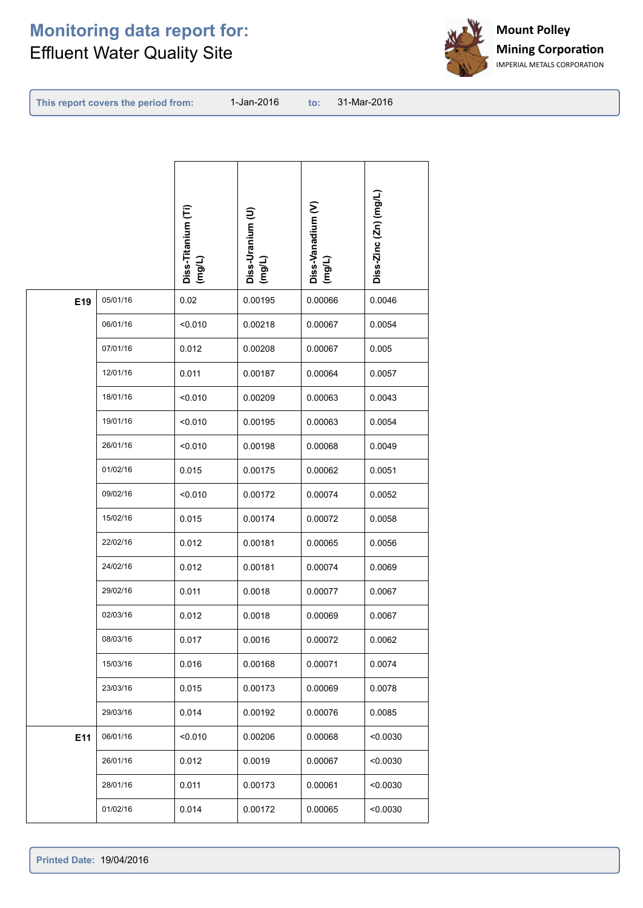

**This report covers the period from:** 

| 05/01/16<br>0.02<br>0.00195<br>0.00066<br>0.0046<br>E19<br>06/01/16<br>< 0.010<br>0.00218<br>0.00067<br>0.0054<br>07/01/16<br>0.012<br>0.00208<br>0.00067<br>0.005<br>12/01/16<br>0.011<br>0.00187<br>0.0057<br>0.00064<br>18/01/16<br>< 0.010<br>0.00209<br>0.00063<br>0.0043<br>19/01/16<br>< 0.010<br>0.00195<br>0.00063<br>0.0054<br>26/01/16<br>< 0.010<br>0.00198<br>0.00068<br>0.0049<br>01/02/16<br>0.015<br>0.00062<br>0.0051<br>0.00175<br>09/02/16<br>< 0.010<br>0.00172<br>0.00074<br>0.0052<br>15/02/16<br>0.015<br>0.00072<br>0.0058<br>0.00174<br>22/02/16<br>0.012<br>0.00181<br>0.00065<br>0.0056<br>24/02/16<br>0.012<br>0.00181<br>0.00074<br>0.0069<br>29/02/16<br>0.011<br>0.0018<br>0.00077<br>0.0067<br>02/03/16<br>0.012<br>0.0018<br>0.0067<br>0.00069<br>08/03/16<br>0.017<br>0.0016<br>0.00072<br>0.0062<br>15/03/16<br>0.016<br>0.00168<br>0.00071<br>0.0074<br>23/03/16<br>0.015<br>0.00173<br>0.00069<br>0.0078<br>29/03/16<br>0.014<br>0.00076<br>0.0085<br>0.00192<br>06/01/16<br>E11<br>< 0.010<br>0.00206<br>0.00068<br>< 0.0030<br>26/01/16<br>0.012<br>0.0019<br>0.00067<br>< 0.0030<br>0.011<br>28/01/16<br>0.00173<br>0.00061<br>< 0.0030<br>01/02/16<br>0.014<br>0.00065<br>< 0.0030<br>0.00172 |  | Diss-Titanium (Ti)<br>(mg/L) | Diss-Uranium (U)<br>(mg/L) | Diss-Vanadium (V)<br>$($ mg/L) | Diss-Zinc (Zn) (mg/L) |
|----------------------------------------------------------------------------------------------------------------------------------------------------------------------------------------------------------------------------------------------------------------------------------------------------------------------------------------------------------------------------------------------------------------------------------------------------------------------------------------------------------------------------------------------------------------------------------------------------------------------------------------------------------------------------------------------------------------------------------------------------------------------------------------------------------------------------------------------------------------------------------------------------------------------------------------------------------------------------------------------------------------------------------------------------------------------------------------------------------------------------------------------------------------------------------------------------------------------------------------|--|------------------------------|----------------------------|--------------------------------|-----------------------|
|                                                                                                                                                                                                                                                                                                                                                                                                                                                                                                                                                                                                                                                                                                                                                                                                                                                                                                                                                                                                                                                                                                                                                                                                                                        |  |                              |                            |                                |                       |
|                                                                                                                                                                                                                                                                                                                                                                                                                                                                                                                                                                                                                                                                                                                                                                                                                                                                                                                                                                                                                                                                                                                                                                                                                                        |  |                              |                            |                                |                       |
|                                                                                                                                                                                                                                                                                                                                                                                                                                                                                                                                                                                                                                                                                                                                                                                                                                                                                                                                                                                                                                                                                                                                                                                                                                        |  |                              |                            |                                |                       |
|                                                                                                                                                                                                                                                                                                                                                                                                                                                                                                                                                                                                                                                                                                                                                                                                                                                                                                                                                                                                                                                                                                                                                                                                                                        |  |                              |                            |                                |                       |
|                                                                                                                                                                                                                                                                                                                                                                                                                                                                                                                                                                                                                                                                                                                                                                                                                                                                                                                                                                                                                                                                                                                                                                                                                                        |  |                              |                            |                                |                       |
|                                                                                                                                                                                                                                                                                                                                                                                                                                                                                                                                                                                                                                                                                                                                                                                                                                                                                                                                                                                                                                                                                                                                                                                                                                        |  |                              |                            |                                |                       |
|                                                                                                                                                                                                                                                                                                                                                                                                                                                                                                                                                                                                                                                                                                                                                                                                                                                                                                                                                                                                                                                                                                                                                                                                                                        |  |                              |                            |                                |                       |
|                                                                                                                                                                                                                                                                                                                                                                                                                                                                                                                                                                                                                                                                                                                                                                                                                                                                                                                                                                                                                                                                                                                                                                                                                                        |  |                              |                            |                                |                       |
|                                                                                                                                                                                                                                                                                                                                                                                                                                                                                                                                                                                                                                                                                                                                                                                                                                                                                                                                                                                                                                                                                                                                                                                                                                        |  |                              |                            |                                |                       |
|                                                                                                                                                                                                                                                                                                                                                                                                                                                                                                                                                                                                                                                                                                                                                                                                                                                                                                                                                                                                                                                                                                                                                                                                                                        |  |                              |                            |                                |                       |
|                                                                                                                                                                                                                                                                                                                                                                                                                                                                                                                                                                                                                                                                                                                                                                                                                                                                                                                                                                                                                                                                                                                                                                                                                                        |  |                              |                            |                                |                       |
|                                                                                                                                                                                                                                                                                                                                                                                                                                                                                                                                                                                                                                                                                                                                                                                                                                                                                                                                                                                                                                                                                                                                                                                                                                        |  |                              |                            |                                |                       |
|                                                                                                                                                                                                                                                                                                                                                                                                                                                                                                                                                                                                                                                                                                                                                                                                                                                                                                                                                                                                                                                                                                                                                                                                                                        |  |                              |                            |                                |                       |
|                                                                                                                                                                                                                                                                                                                                                                                                                                                                                                                                                                                                                                                                                                                                                                                                                                                                                                                                                                                                                                                                                                                                                                                                                                        |  |                              |                            |                                |                       |
|                                                                                                                                                                                                                                                                                                                                                                                                                                                                                                                                                                                                                                                                                                                                                                                                                                                                                                                                                                                                                                                                                                                                                                                                                                        |  |                              |                            |                                |                       |
|                                                                                                                                                                                                                                                                                                                                                                                                                                                                                                                                                                                                                                                                                                                                                                                                                                                                                                                                                                                                                                                                                                                                                                                                                                        |  |                              |                            |                                |                       |
|                                                                                                                                                                                                                                                                                                                                                                                                                                                                                                                                                                                                                                                                                                                                                                                                                                                                                                                                                                                                                                                                                                                                                                                                                                        |  |                              |                            |                                |                       |
|                                                                                                                                                                                                                                                                                                                                                                                                                                                                                                                                                                                                                                                                                                                                                                                                                                                                                                                                                                                                                                                                                                                                                                                                                                        |  |                              |                            |                                |                       |
|                                                                                                                                                                                                                                                                                                                                                                                                                                                                                                                                                                                                                                                                                                                                                                                                                                                                                                                                                                                                                                                                                                                                                                                                                                        |  |                              |                            |                                |                       |
|                                                                                                                                                                                                                                                                                                                                                                                                                                                                                                                                                                                                                                                                                                                                                                                                                                                                                                                                                                                                                                                                                                                                                                                                                                        |  |                              |                            |                                |                       |
|                                                                                                                                                                                                                                                                                                                                                                                                                                                                                                                                                                                                                                                                                                                                                                                                                                                                                                                                                                                                                                                                                                                                                                                                                                        |  |                              |                            |                                |                       |
|                                                                                                                                                                                                                                                                                                                                                                                                                                                                                                                                                                                                                                                                                                                                                                                                                                                                                                                                                                                                                                                                                                                                                                                                                                        |  |                              |                            |                                |                       |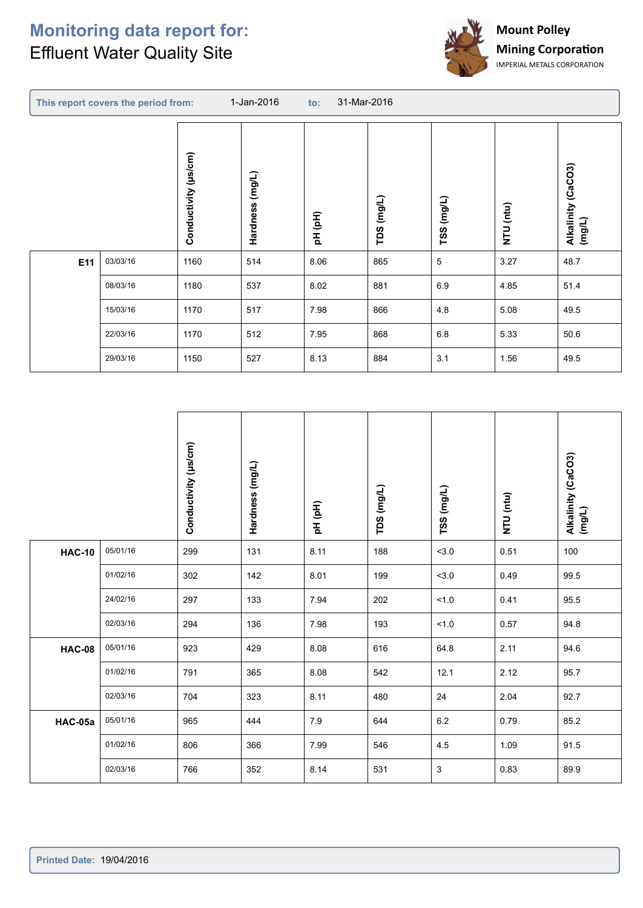r



|     | This report covers the period from: |                      | 1-Jan-2016      | 31-Mar-2016<br>$\mathsf{to}$ : |               |             |           |                                 |
|-----|-------------------------------------|----------------------|-----------------|--------------------------------|---------------|-------------|-----------|---------------------------------|
|     |                                     | Conductivity (µs/cm) | Hardness (mg/L) | pH (pH)                        | (mg/L)<br>TDS | TSS (mg/L)  | NTU (ntu) | (CaCO3)<br>Alkalinity<br>(mg/L) |
| E11 | 03/03/16                            | 1160                 | 514             | 8.06                           | 865           | $\,$ 5 $\,$ | 3.27      | 48.7                            |
|     | 08/03/16                            | 1180                 | 537             | 8.02                           | 881           | 6.9         | 4.85      | 51.4                            |
|     | 15/03/16                            | 1170                 | 517             | 7.98                           | 866           | 4.8         | 5.08      | 49.5                            |
|     | 22/03/16                            | 1170                 | 512             | 7.95                           | 868           | $6.8\,$     | 5.33      | 50.6                            |
|     | 29/03/16                            | 1150                 | 527             | 8.13                           | 884           | 3.1         | 1.56      | 49.5                            |

|               |          | Conductivity (µs/cm) | Hardness (mg/L) | pH (pH) | TDS (mg/L) | TSS (mg/L) | NTU (ntu) | Alkalinity (CaCO3)<br>(mg/L) |
|---------------|----------|----------------------|-----------------|---------|------------|------------|-----------|------------------------------|
| <b>HAC-10</b> | 05/01/16 | 299                  | 131             | 8.11    | 188        | 3.0        | 0.51      | 100                          |
|               | 01/02/16 | 302                  | 142             | 8.01    | 199        | 3.0        | 0.49      | 99.5                         |
|               | 24/02/16 | 297                  | 133             | 7.94    | 202        | 1.0        | 0.41      | 95.5                         |
|               | 02/03/16 | 294                  | 136             | 7.98    | 193        | 1.0        | 0.57      | 94.8                         |
| <b>HAC-08</b> | 05/01/16 | 923                  | 429             | 8.08    | 616        | 64.8       | 2.11      | 94.6                         |
|               | 01/02/16 | 791                  | 365             | 8.08    | 542        | 12.1       | 2.12      | 95.7                         |
|               | 02/03/16 | 704                  | 323             | 8.11    | 480        | 24         | 2.04      | 92.7                         |
| HAC-05a       | 05/01/16 | 965                  | 444             | 7.9     | 644        | $6.2\,$    | 0.79      | 85.2                         |
|               | 01/02/16 | 806                  | 366             | 7.99    | 546        | 4.5        | 1.09      | 91.5                         |
|               | 02/03/16 | 766                  | 352             | 8.14    | 531        | 3          | 0.83      | 89.9                         |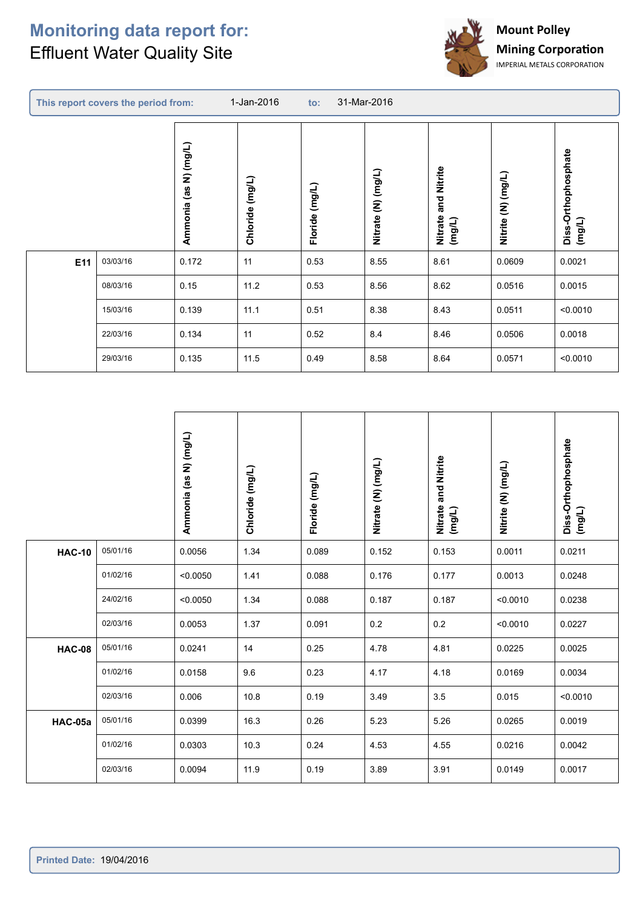r



|     | This report covers the period from: |                          | 1-Jan-2016<br>31-Mar-2016<br>$\mathbf{to}$ : |                |                    |                                  |                    |                               |
|-----|-------------------------------------|--------------------------|----------------------------------------------|----------------|--------------------|----------------------------------|--------------------|-------------------------------|
|     |                                     | N) (mg/L)<br>Ammonia (as | (mg/L)<br>Chloride                           | Floride (mg/L) | Nitrate (N) (mg/L) | and Nitrite<br>Nitrate<br>(mg/L) | Nitrite (N) (mg/L) | Diss-Orthophosphate<br>(mg/L) |
| E11 | 03/03/16                            | 0.172                    | 11                                           | 0.53           | 8.55               | 8.61                             | 0.0609             | 0.0021                        |
|     | 08/03/16                            | 0.15                     | 11.2                                         | 0.53           | 8.56               | 8.62                             | 0.0516             | 0.0015                        |
|     | 15/03/16                            | 0.139                    | 11.1                                         | 0.51           | 8.38               | 8.43                             | 0.0511             | < 0.0010                      |
|     | 22/03/16                            | 0.134                    | 11                                           | 0.52           | 8.4                | 8.46                             | 0.0506             | 0.0018                        |
|     | 29/03/16                            | 0.135                    | 11.5                                         | 0.49           | 8.58               | 8.64                             | 0.0571             | < 0.0010                      |

|               |          | Ammonia (as N) (mg/L) | Chloride (mg/L) | Floride (mg/L) | Nitrate (N) (mg/L) | Nitrate and Nitrite<br>(mg/L) | Nitrite (N) (mg/L) | Diss-Orthophosphate<br>(mg/L) |
|---------------|----------|-----------------------|-----------------|----------------|--------------------|-------------------------------|--------------------|-------------------------------|
| <b>HAC-10</b> | 05/01/16 | 0.0056                | 1.34            | 0.089          | 0.152              | 0.153                         | 0.0011             | 0.0211                        |
|               | 01/02/16 | < 0.0050              | 1.41            | 0.088          | 0.176              | 0.177                         | 0.0013             | 0.0248                        |
|               | 24/02/16 | < 0.0050              | 1.34            | 0.088          | 0.187              | 0.187                         | < 0.0010           | 0.0238                        |
|               | 02/03/16 | 0.0053                | 1.37            | 0.091          | 0.2                | 0.2                           | < 0.0010           | 0.0227                        |
| <b>HAC-08</b> | 05/01/16 | 0.0241                | 14              | 0.25           | 4.78               | 4.81                          | 0.0225             | 0.0025                        |
|               | 01/02/16 | 0.0158                | 9.6             | 0.23           | 4.17               | 4.18                          | 0.0169             | 0.0034                        |
|               | 02/03/16 | 0.006                 | 10.8            | 0.19           | 3.49               | 3.5                           | 0.015              | < 0.0010                      |
| HAC-05a       | 05/01/16 | 0.0399                | 16.3            | 0.26           | 5.23               | 5.26                          | 0.0265             | 0.0019                        |
|               | 01/02/16 | 0.0303                | 10.3            | 0.24           | 4.53               | 4.55                          | 0.0216             | 0.0042                        |
|               | 02/03/16 | 0.0094                | 11.9            | 0.19           | 3.89               | 3.91                          | 0.0149             | 0.0017                        |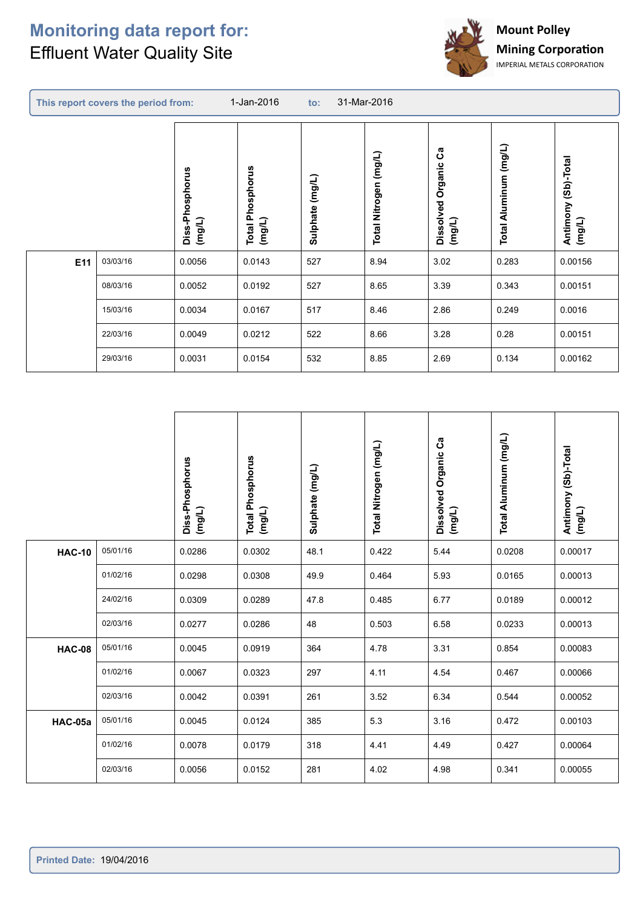r



|     | This report covers the period from: |                           | 1-Jan-2016<br>31-Mar-2016<br>$\mathsf{to}$ : |                 |                       |                                   |                       |                                  |
|-----|-------------------------------------|---------------------------|----------------------------------------------|-----------------|-----------------------|-----------------------------------|-----------------------|----------------------------------|
|     |                                     | Diss-Phosphorus<br>(mg/L) | Phosphorus<br>(mg/L)<br>Total                | Sulphate (mg/L) | Total Nitrogen (mg/L) | ပိ<br>Dissolved Organic<br>(mg/L) | Total Aluminum (mg/L) | (Sb)-Total<br>Antimony<br>(mg/L) |
| E11 | 03/03/16                            | 0.0056                    | 0.0143                                       | 527             | 8.94                  | 3.02                              | 0.283                 | 0.00156                          |
|     | 08/03/16                            | 0.0052                    | 0.0192                                       | 527             | 8.65                  | 3.39                              | 0.343                 | 0.00151                          |
|     | 15/03/16                            | 0.0034                    | 0.0167                                       | 517             | 8.46                  | 2.86                              | 0.249                 | 0.0016                           |
|     | 22/03/16                            | 0.0049                    | 0.0212                                       | 522             | 8.66                  | 3.28                              | 0.28                  | 0.00151                          |
|     | 29/03/16                            | 0.0031                    | 0.0154                                       | 532             | 8.85                  | 2.69                              | 0.134                 | 0.00162                          |
|     |                                     |                           |                                              |                 |                       |                                   |                       |                                  |

|               |          | Diss-Phosphorus<br>(mg/L) | <b>Total Phosphorus</b><br>(mg/L) | Sulphate (mg/L) | Total Nitrogen (mg/L) | Dissolved Organic Ca<br>(mg/L) | Total Aluminum (mg/L) | Antimony (Sb)-Total<br>(mg/L) |
|---------------|----------|---------------------------|-----------------------------------|-----------------|-----------------------|--------------------------------|-----------------------|-------------------------------|
| <b>HAC-10</b> | 05/01/16 | 0.0286                    | 0.0302                            | 48.1            | 0.422                 | 5.44                           | 0.0208                | 0.00017                       |
|               | 01/02/16 | 0.0298                    | 0.0308                            | 49.9            | 0.464                 | 5.93                           | 0.0165                | 0.00013                       |
|               | 24/02/16 | 0.0309                    | 0.0289                            | 47.8            | 0.485                 | 6.77                           | 0.0189                | 0.00012                       |
|               | 02/03/16 | 0.0277                    | 0.0286                            | 48              | 0.503                 | 6.58                           | 0.0233                | 0.00013                       |
| <b>HAC-08</b> | 05/01/16 | 0.0045                    | 0.0919                            | 364             | 4.78                  | 3.31                           | 0.854                 | 0.00083                       |
|               | 01/02/16 | 0.0067                    | 0.0323                            | 297             | 4.11                  | 4.54                           | 0.467                 | 0.00066                       |
|               | 02/03/16 | 0.0042                    | 0.0391                            | 261             | 3.52                  | 6.34                           | 0.544                 | 0.00052                       |
| HAC-05a       | 05/01/16 | 0.0045                    | 0.0124                            | 385             | 5.3                   | 3.16                           | 0.472                 | 0.00103                       |
|               | 01/02/16 | 0.0078                    | 0.0179                            | 318             | 4.41                  | 4.49                           | 0.427                 | 0.00064                       |
|               | 02/03/16 | 0.0056                    | 0.0152                            | 281             | 4.02                  | 4.98                           | 0.341                 | 0.00055                       |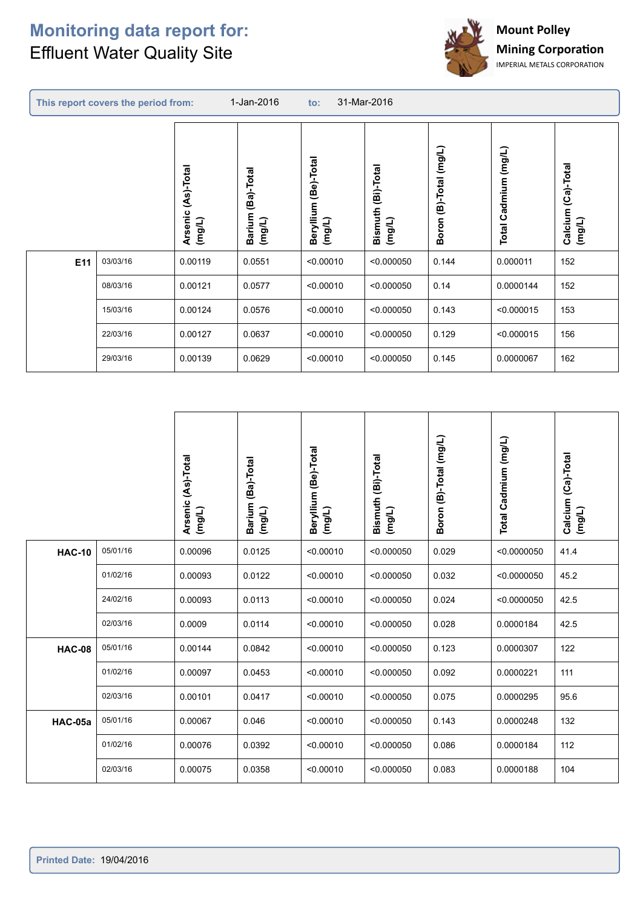C



|     | This report covers the period from: |                                 | 1-Jan-2016                            | $\mathsf{to}$ :                   | 31-Mar-2016                  |                        |                                |                                 |
|-----|-------------------------------------|---------------------------------|---------------------------------------|-----------------------------------|------------------------------|------------------------|--------------------------------|---------------------------------|
|     |                                     | (As)-Total<br>Arsenic<br>(mg/L) | (Ba)-Total<br><b>Barium</b><br>(mg/L) | (Be)-Total<br>Beryllium<br>(mg/L) | Bismuth (Bi)-Total<br>(mg/L) | Boron (B)-Total (mg/L) | Cadmium (mg/L)<br><b>Total</b> | (Ca)-Total<br>Calcium<br>(mg/L) |
| E11 | 03/03/16                            | 0.00119                         | 0.0551                                | < 0.00010                         | < 0.000050                   | 0.144                  | 0.000011                       | 152                             |
|     | 08/03/16                            | 0.00121                         | 0.0577                                | < 0.00010                         | < 0.000050                   | 0.14                   | 0.0000144                      | 152                             |
|     | 15/03/16                            | 0.00124                         | 0.0576                                | < 0.00010                         | < 0.000050                   | 0.143                  | < 0.000015                     | 153                             |
|     | 22/03/16                            | 0.00127                         | 0.0637                                | < 0.00010                         | < 0.000050                   | 0.129                  | < 0.000015                     | 156                             |
|     | 29/03/16                            | 0.00139                         | 0.0629                                | < 0.00010                         | < 0.000050                   | 0.145                  | 0.0000067                      | 162                             |

|               |          | Arsenic (As)-Total<br>(mg/L) | Barium (Ba)-Total<br>(mg/L) | Beryllium (Be)-Total<br>(mg/L) | Bismuth (Bi)-Total<br>(mg/L) | Boron (B)-Total (mg/L) | Total Cadmium (mg/L) | Calcium (Ca)-Total<br>(mg/L) |
|---------------|----------|------------------------------|-----------------------------|--------------------------------|------------------------------|------------------------|----------------------|------------------------------|
| <b>HAC-10</b> | 05/01/16 | 0.00096                      | 0.0125                      | < 0.00010                      | < 0.000050                   | 0.029                  | < 0.0000050          | 41.4                         |
|               | 01/02/16 | 0.00093                      | 0.0122                      | < 0.00010                      | < 0.000050                   | 0.032                  | < 0.0000050          | 45.2                         |
|               | 24/02/16 | 0.00093                      | 0.0113                      | < 0.00010                      | < 0.000050                   | 0.024                  | < 0.0000050          | 42.5                         |
|               | 02/03/16 | 0.0009                       | 0.0114                      | < 0.00010                      | < 0.000050                   | 0.028                  | 0.0000184            | 42.5                         |
| <b>HAC-08</b> | 05/01/16 | 0.00144                      | 0.0842                      | < 0.00010                      | < 0.000050                   | 0.123                  | 0.0000307            | 122                          |
|               | 01/02/16 | 0.00097                      | 0.0453                      | < 0.00010                      | < 0.000050                   | 0.092                  | 0.0000221            | 111                          |
|               | 02/03/16 | 0.00101                      | 0.0417                      | < 0.00010                      | < 0.000050                   | 0.075                  | 0.0000295            | 95.6                         |
| HAC-05a       | 05/01/16 | 0.00067                      | 0.046                       | < 0.00010                      | < 0.000050                   | 0.143                  | 0.0000248            | 132                          |
|               | 01/02/16 | 0.00076                      | 0.0392                      | < 0.00010                      | < 0.000050                   | 0.086                  | 0.0000184            | 112                          |
|               | 02/03/16 | 0.00075                      | 0.0358                      | < 0.00010                      | < 0.000050                   | 0.083                  | 0.0000188            | 104                          |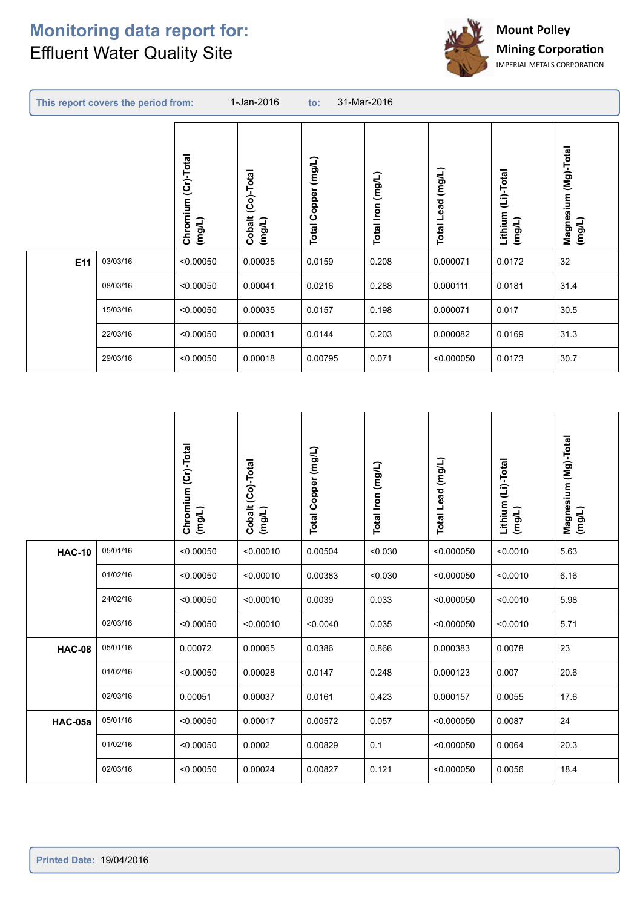

|     | This report covers the period from: |                                  | 1-Jan-2016                     | 31-Mar-2016<br>$\mathsf{to}$ : |                             |                   |                              |                                   |  |  |
|-----|-------------------------------------|----------------------------------|--------------------------------|--------------------------------|-----------------------------|-------------------|------------------------------|-----------------------------------|--|--|
|     |                                     | Chromium (Cr)-Total<br>$($ mg/L) | (Co)-Total<br>Cobalt<br>(mg/L) | (mg/L)<br>Copper<br>Total      | (mg/L)<br><b>Total Iron</b> | Total Lead (mg/L) | Lithium (Li)-Total<br>(mg/L) | (Mg)-Total<br>Magnesium<br>(mg/L) |  |  |
| E11 | 03/03/16                            | < 0.00050                        | 0.00035                        | 0.0159                         | 0.208                       | 0.000071          | 0.0172                       | 32                                |  |  |
|     | 08/03/16                            | < 0.00050                        | 0.00041                        | 0.0216                         | 0.288                       | 0.000111          | 0.0181                       | 31.4                              |  |  |
|     | 15/03/16                            | < 0.00050                        | 0.00035                        | 0.0157                         | 0.198                       | 0.000071          | 0.017                        | 30.5                              |  |  |
|     | 22/03/16                            | < 0.00050                        | 0.00031                        | 0.0144                         | 0.203                       | 0.000082          | 0.0169                       | 31.3                              |  |  |
|     | 29/03/16                            | < 0.00050                        | 0.00018                        | 0.00795                        | 0.071                       | < 0.000050        | 0.0173                       | 30.7                              |  |  |

|               |          | Chromium (Cr)-Total<br>(mg/L) | Cobalt (Co)-Total<br>(mg/L) | Total Copper (mg/L) | Total Iron (mg/L) | Total Lead (mg/L) | Lithium (Li)-Total<br>$($ mg/L) | Magnesium (Mg)-Total<br>(mg/L) |
|---------------|----------|-------------------------------|-----------------------------|---------------------|-------------------|-------------------|---------------------------------|--------------------------------|
| <b>HAC-10</b> | 05/01/16 | < 0.00050                     | < 0.00010                   | 0.00504             | < 0.030           | < 0.000050        | < 0.0010                        | 5.63                           |
|               | 01/02/16 | < 0.00050                     | < 0.00010                   | 0.00383             | < 0.030           | < 0.000050        | < 0.0010                        | 6.16                           |
|               | 24/02/16 | < 0.00050                     | < 0.00010                   | 0.0039              | 0.033             | < 0.000050        | < 0.0010                        | 5.98                           |
|               | 02/03/16 | < 0.00050                     | < 0.00010                   | < 0.0040            | 0.035             | < 0.000050        | < 0.0010                        | 5.71                           |
| <b>HAC-08</b> | 05/01/16 | 0.00072                       | 0.00065                     | 0.0386              | 0.866             | 0.000383          | 0.0078                          | 23                             |
|               | 01/02/16 | < 0.00050                     | 0.00028                     | 0.0147              | 0.248             | 0.000123          | 0.007                           | 20.6                           |
|               | 02/03/16 | 0.00051                       | 0.00037                     | 0.0161              | 0.423             | 0.000157          | 0.0055                          | 17.6                           |
| HAC-05a       | 05/01/16 | < 0.00050                     | 0.00017                     | 0.00572             | 0.057             | < 0.000050        | 0.0087                          | 24                             |
|               | 01/02/16 | < 0.00050                     | 0.0002                      | 0.00829             | 0.1               | < 0.000050        | 0.0064                          | 20.3                           |
|               | 02/03/16 | < 0.00050                     | 0.00024                     | 0.00827             | 0.121             | < 0.000050        | 0.0056                          | 18.4                           |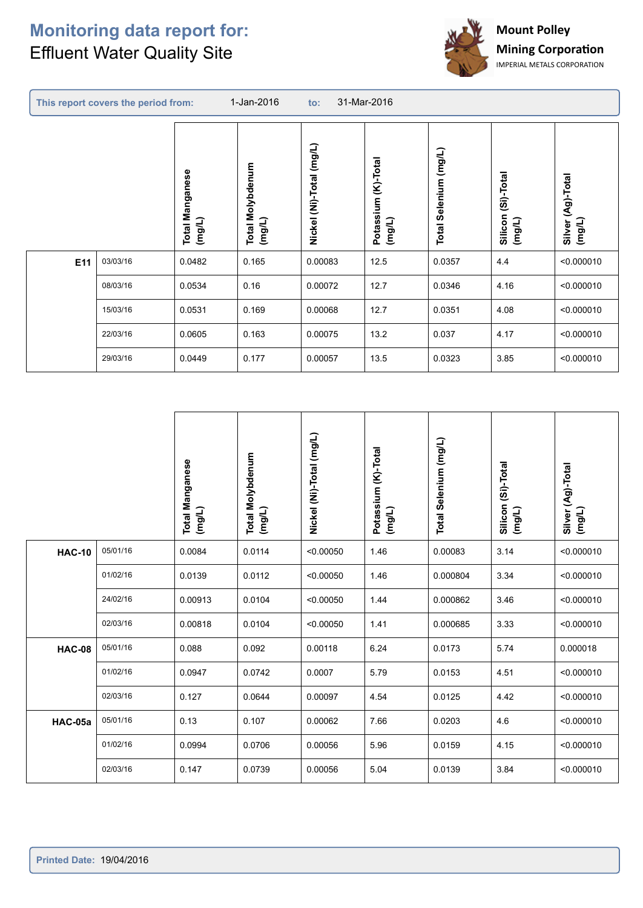$\sqrt{2}$ 



|     | This report covers the period from: |                                     | 31-Mar-2016<br>1-Jan-2016<br>$\mathbf{to}$ : |                          |                                  |                                 |                                 |                                  |  |
|-----|-------------------------------------|-------------------------------------|----------------------------------------------|--------------------------|----------------------------------|---------------------------------|---------------------------------|----------------------------------|--|
|     |                                     | Manganese<br>(mg/L)<br><b>Total</b> | Molybdenum<br>Total M<br>(mg/L)              | Nickel (Ni)-Total (mg/L) | (K)-Total<br>Potassium<br>(mg/L) | Selenium (mg/L)<br><b>Total</b> | (Si)-Total<br>Silicon<br>(mg/L) | (Ag)-Total<br>Silver (<br>(mg/L) |  |
| E11 | 03/03/16                            | 0.0482                              | 0.165                                        | 0.00083                  | 12.5                             | 0.0357                          | 4.4                             | < 0.000010                       |  |
|     | 08/03/16                            | 0.0534                              | 0.16                                         | 0.00072                  | 12.7                             | 0.0346                          | 4.16                            | < 0.000010                       |  |
|     | 15/03/16                            | 0.0531                              | 0.169                                        | 0.00068                  | 12.7                             | 0.0351                          | 4.08                            | < 0.000010                       |  |
|     | 22/03/16                            | 0.0605                              | 0.163                                        | 0.00075                  | 13.2                             | 0.037                           | 4.17                            | < 0.000010                       |  |
|     | 29/03/16                            | 0.0449                              | 0.177                                        | 0.00057                  | 13.5                             | 0.0323                          | 3.85                            | < 0.000010                       |  |

|               |          | <b>Total Manganese</b><br>(mg/L) | <b>Total Molybdenum</b><br>(mg/L) | Nickel (Ni)-Total (mg/L) | Potassium (K)-Total<br>(mg/L) | Total Selenium (mg/L) | Silicon (Si)-Total<br>(mg/L) | Silver (Ag)-Total<br>(mg/L) |
|---------------|----------|----------------------------------|-----------------------------------|--------------------------|-------------------------------|-----------------------|------------------------------|-----------------------------|
| <b>HAC-10</b> | 05/01/16 | 0.0084                           | 0.0114                            | < 0.00050                | 1.46                          | 0.00083               | 3.14                         | < 0.000010                  |
|               | 01/02/16 | 0.0139                           | 0.0112                            | < 0.00050                | 1.46                          | 0.000804              | 3.34                         | < 0.000010                  |
|               | 24/02/16 | 0.00913                          | 0.0104                            | < 0.00050                | 1.44                          | 0.000862              | 3.46                         | < 0.000010                  |
|               | 02/03/16 | 0.00818                          | 0.0104                            | < 0.00050                | 1.41                          | 0.000685              | 3.33                         | < 0.000010                  |
| <b>HAC-08</b> | 05/01/16 | 0.088                            | 0.092                             | 0.00118                  | 6.24                          | 0.0173                | 5.74                         | 0.000018                    |
|               | 01/02/16 | 0.0947                           | 0.0742                            | 0.0007                   | 5.79                          | 0.0153                | 4.51                         | < 0.000010                  |
|               | 02/03/16 | 0.127                            | 0.0644                            | 0.00097                  | 4.54                          | 0.0125                | 4.42                         | < 0.000010                  |
| HAC-05a       | 05/01/16 | 0.13                             | 0.107                             | 0.00062                  | 7.66                          | 0.0203                | 4.6                          | < 0.000010                  |
|               | 01/02/16 | 0.0994                           | 0.0706                            | 0.00056                  | 5.96                          | 0.0159                | 4.15                         | < 0.000010                  |
|               | 02/03/16 | 0.147                            | 0.0739                            | 0.00056                  | 5.04                          | 0.0139                | 3.84                         | < 0.000010                  |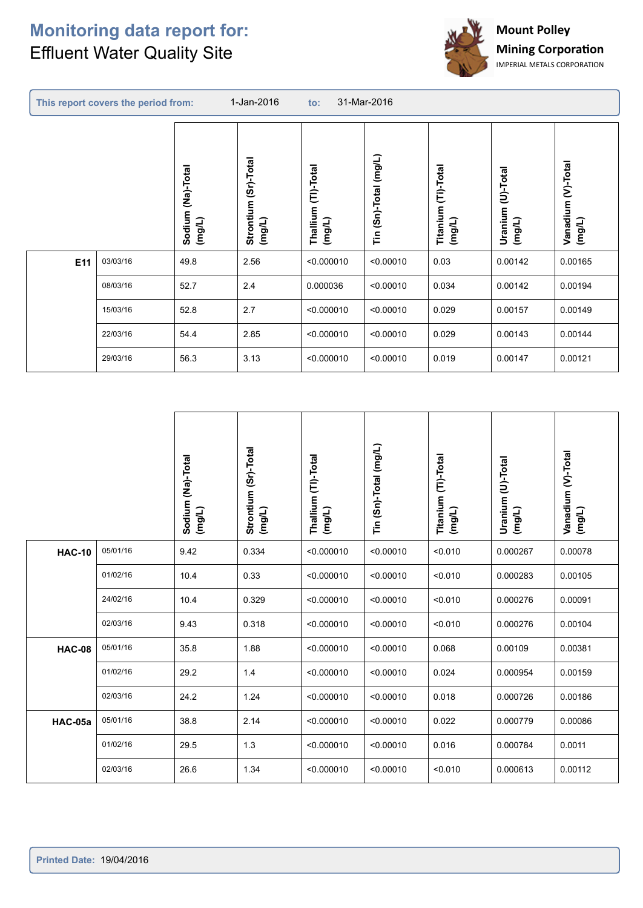$\sqrt{2}$ 



|     | This report covers the period from: |                             | 1-Jan-2016                        | 31-Mar-2016<br>to:            |                              |                                  |                             |                              |  |
|-----|-------------------------------------|-----------------------------|-----------------------------------|-------------------------------|------------------------------|----------------------------------|-----------------------------|------------------------------|--|
|     |                                     | Sodium (Na)-Total<br>(mg/L) | (Sr)-Total<br>Strontium<br>(mg/L) | Thallium (TI)-Total<br>(mg/L) | $(Sn)$ -Total $(mg/L)$<br>ίñ | (Ti)-Total<br>Titanium<br>(mg/L) | Uranium (U)-Total<br>(mg/L) | Vanadium (V)-Total<br>(mg/L) |  |
| E11 | 03/03/16                            | 49.8                        | 2.56                              | < 0.000010                    | < 0.00010                    | 0.03                             | 0.00142                     | 0.00165                      |  |
|     | 08/03/16                            | 52.7                        | 2.4                               | 0.000036                      | < 0.00010                    | 0.034                            | 0.00142                     | 0.00194                      |  |
|     | 15/03/16                            | 52.8                        | 2.7                               | < 0.000010                    | < 0.00010                    | 0.029                            | 0.00157                     | 0.00149                      |  |
|     | 22/03/16                            | 54.4                        | 2.85                              | < 0.000010                    | < 0.00010                    | 0.029                            | 0.00143                     | 0.00144                      |  |
|     | 29/03/16                            | 56.3                        | 3.13                              | < 0.000010                    | < 0.00010                    | 0.019                            | 0.00147                     | 0.00121                      |  |

|               |          | Sodium (Na)-Total<br>(mg/L) | Strontium (Sr)-Total<br>(mg/L) | Thallium (TI)-Total<br>(mg/L) | Tin (Sn)-Total (mg/L) | Titanium (Ti)-Total<br>(mg/L) | Uranium (U)-Total<br>(mg/L) | Vanadium (V)-Total<br>(mg/L) |
|---------------|----------|-----------------------------|--------------------------------|-------------------------------|-----------------------|-------------------------------|-----------------------------|------------------------------|
| <b>HAC-10</b> | 05/01/16 | 9.42                        | 0.334                          | < 0.000010                    | < 0.00010             | < 0.010                       | 0.000267                    | 0.00078                      |
|               | 01/02/16 | 10.4                        | 0.33                           | < 0.000010                    | < 0.00010             | < 0.010                       | 0.000283                    | 0.00105                      |
|               | 24/02/16 | 10.4                        | 0.329                          | < 0.000010                    | < 0.00010             | < 0.010                       | 0.000276                    | 0.00091                      |
|               | 02/03/16 | 9.43                        | 0.318                          | < 0.000010                    | < 0.00010             | < 0.010                       | 0.000276                    | 0.00104                      |
| <b>HAC-08</b> | 05/01/16 | 35.8                        | 1.88                           | < 0.000010                    | < 0.00010             | 0.068                         | 0.00109                     | 0.00381                      |
|               | 01/02/16 | 29.2                        | 1.4                            | < 0.000010                    | < 0.00010             | 0.024                         | 0.000954                    | 0.00159                      |
|               | 02/03/16 | 24.2                        | 1.24                           | < 0.000010                    | < 0.00010             | 0.018                         | 0.000726                    | 0.00186                      |
| HAC-05a       | 05/01/16 | 38.8                        | 2.14                           | < 0.000010                    | < 0.00010             | 0.022                         | 0.000779                    | 0.00086                      |
|               | 01/02/16 | 29.5                        | 1.3                            | < 0.000010                    | < 0.00010             | 0.016                         | 0.000784                    | 0.0011                       |
|               | 02/03/16 | 26.6                        | 1.34                           | < 0.000010                    | < 0.00010             | < 0.010                       | 0.000613                    | 0.00112                      |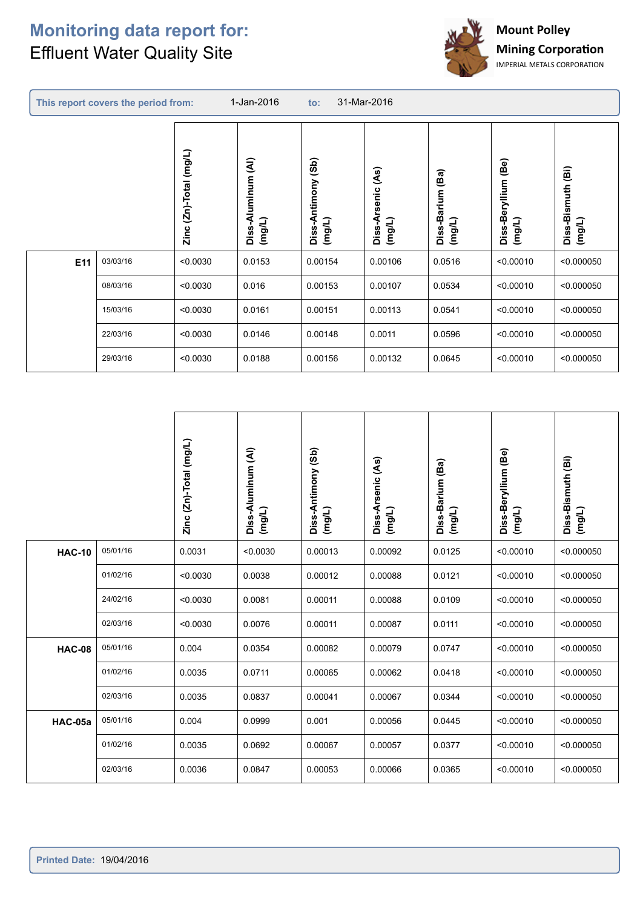

| This report covers the period from: |          |                                | 31-Mar-2016<br>1-Jan-2016<br>$\mathbf{to}$ :          |                                 |                                    |                            |                                     |                                                  |
|-------------------------------------|----------|--------------------------------|-------------------------------------------------------|---------------------------------|------------------------------------|----------------------------|-------------------------------------|--------------------------------------------------|
|                                     |          | $(2n)$ -Total $(mg/L)$<br>Zinc | $\widehat{\mathbf{A}}$<br>uminum<br>Diss-Al<br>(mg/L) | (3b)<br>Diss-Antimony<br>(mg/L) | (As)<br>rsenic<br>Diss-A<br>(mg/L) | Diss-Barium (Ba)<br>(mg/L) | (Be)<br>Diss-Beryllium<br>$($ mg/L) | $\widehat{\mathbf{B}}$<br>Diss-Bismuth<br>(mg/L) |
| E11                                 | 03/03/16 | < 0.0030                       | 0.0153                                                | 0.00154                         | 0.00106                            | 0.0516                     | < 0.00010                           | < 0.000050                                       |
|                                     | 08/03/16 | < 0.0030                       | 0.016                                                 | 0.00153                         | 0.00107                            | 0.0534                     | < 0.00010                           | < 0.000050                                       |
|                                     | 15/03/16 | < 0.0030                       | 0.0161                                                | 0.00151                         | 0.00113                            | 0.0541                     | < 0.00010                           | < 0.000050                                       |
|                                     | 22/03/16 | < 0.0030                       | 0.0146                                                | 0.00148                         | 0.0011                             | 0.0596                     | < 0.00010                           | < 0.000050                                       |
|                                     | 29/03/16 | < 0.0030                       | 0.0188                                                | 0.00156                         | 0.00132                            | 0.0645                     | < 0.00010                           | < 0.000050                                       |

|               |          | Zinc (Zn)-Total (mg/L) | Diss-Aluminum (AI)<br>(mg/L) | Diss-Antimony (Sb)<br>(mg/L) | Diss-Arsenic (As)<br>(mg/L) | Diss-Barium (Ba)<br>(mg/L) | Diss-Beryllium (Be)<br>(mg/L) | Diss-Bismuth (Bi)<br>(mg/L) |
|---------------|----------|------------------------|------------------------------|------------------------------|-----------------------------|----------------------------|-------------------------------|-----------------------------|
| <b>HAC-10</b> | 05/01/16 | 0.0031                 | < 0.0030                     | 0.00013                      | 0.00092                     | 0.0125                     | < 0.00010                     | < 0.000050                  |
|               | 01/02/16 | < 0.0030               | 0.0038                       | 0.00012                      | 0.00088                     | 0.0121                     | < 0.00010                     | < 0.000050                  |
|               | 24/02/16 | < 0.0030               | 0.0081                       | 0.00011                      | 0.00088                     | 0.0109                     | < 0.00010                     | < 0.000050                  |
|               | 02/03/16 | < 0.0030               | 0.0076                       | 0.00011                      | 0.00087                     | 0.0111                     | < 0.00010                     | < 0.000050                  |
| <b>HAC-08</b> | 05/01/16 | 0.004                  | 0.0354                       | 0.00082                      | 0.00079                     | 0.0747                     | < 0.00010                     | < 0.000050                  |
|               | 01/02/16 | 0.0035                 | 0.0711                       | 0.00065                      | 0.00062                     | 0.0418                     | < 0.00010                     | < 0.000050                  |
|               | 02/03/16 | 0.0035                 | 0.0837                       | 0.00041                      | 0.00067                     | 0.0344                     | < 0.00010                     | < 0.000050                  |
| HAC-05a       | 05/01/16 | 0.004                  | 0.0999                       | 0.001                        | 0.00056                     | 0.0445                     | < 0.00010                     | < 0.000050                  |
|               | 01/02/16 | 0.0035                 | 0.0692                       | 0.00067                      | 0.00057                     | 0.0377                     | < 0.00010                     | < 0.000050                  |
|               | 02/03/16 | 0.0036                 | 0.0847                       | 0.00053                      | 0.00066                     | 0.0365                     | < 0.00010                     | < 0.000050                  |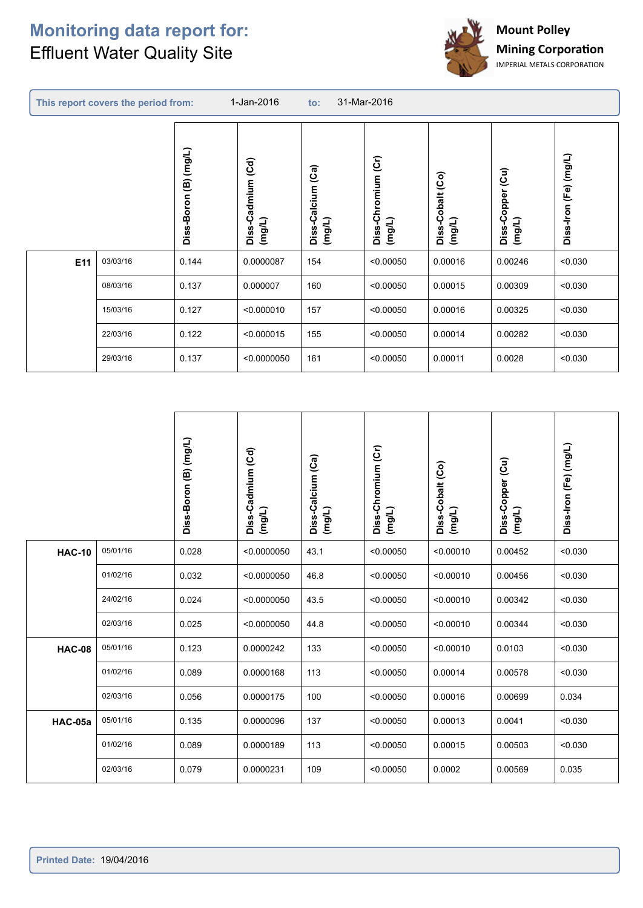$\sqrt{2}$ 



|     | This report covers the period from:<br>1-Jan-2016<br>31-Mar-2016<br>$\mathbf{to}$ : |                       |                                |                                     |                              |                            |                                         |                       |  |  |  |
|-----|-------------------------------------------------------------------------------------|-----------------------|--------------------------------|-------------------------------------|------------------------------|----------------------------|-----------------------------------------|-----------------------|--|--|--|
|     |                                                                                     | Diss-Boron (B) (mg/L) | (Cd)<br>Diss-Cadmium<br>(mg/L) | (Ca)<br>alcium<br>Diss-Ca<br>(mg/L) | Diss-Chromium (Cr)<br>(mg/L) | Diss-Cobalt (Co)<br>(mg/L) | $\overline{c}$<br>Diss-Copper<br>(mg/L) | Diss-Iron (Fe) (mg/L) |  |  |  |
| E11 | 03/03/16                                                                            | 0.144                 | 0.0000087                      | 154                                 | < 0.00050                    | 0.00016                    | 0.00246                                 | < 0.030               |  |  |  |
|     | 08/03/16                                                                            | 0.137                 | 0.000007                       | 160                                 | < 0.00050                    | 0.00015                    | 0.00309                                 | < 0.030               |  |  |  |
|     | 15/03/16                                                                            | 0.127                 | < 0.000010                     | 157                                 | < 0.00050                    | 0.00016                    | 0.00325                                 | < 0.030               |  |  |  |
|     | 22/03/16                                                                            | 0.122                 | < 0.000015                     | 155                                 | < 0.00050                    | 0.00014                    | 0.00282                                 | < 0.030               |  |  |  |
|     | 29/03/16                                                                            | 0.137                 | < 0.0000050                    | 161                                 | < 0.00050                    | 0.00011                    | 0.0028                                  | < 0.030               |  |  |  |

|               |          | Diss-Boron (B) (mg/L) | Diss-Cadmium (Cd)<br>(mg/L) | Diss-Calcium (Ca)<br>(mg/L) | Diss-Chromium (Cr)<br>(mg/L) | Diss-Cobalt (Co)<br>(mg/L) | Diss-Copper (Cu)<br>(mg/L) | Diss-Iron (Fe) (mg/L) |
|---------------|----------|-----------------------|-----------------------------|-----------------------------|------------------------------|----------------------------|----------------------------|-----------------------|
| <b>HAC-10</b> | 05/01/16 | 0.028                 | < 0.0000050                 | 43.1                        | < 0.00050                    | < 0.00010                  | 0.00452                    | < 0.030               |
|               | 01/02/16 | 0.032                 | < 0.0000050                 | 46.8                        | < 0.00050                    | < 0.00010                  | 0.00456                    | < 0.030               |
|               | 24/02/16 | 0.024                 | < 0.0000050                 | 43.5                        | < 0.00050                    | < 0.00010                  | 0.00342                    | < 0.030               |
|               | 02/03/16 | 0.025                 | < 0.0000050                 | 44.8                        | < 0.00050                    | < 0.00010                  | 0.00344                    | < 0.030               |
| <b>HAC-08</b> | 05/01/16 | 0.123                 | 0.0000242                   | 133                         | < 0.00050                    | < 0.00010                  | 0.0103                     | < 0.030               |
|               | 01/02/16 | 0.089                 | 0.0000168                   | 113                         | < 0.00050                    | 0.00014                    | 0.00578                    | < 0.030               |
|               | 02/03/16 | 0.056                 | 0.0000175                   | 100                         | < 0.00050                    | 0.00016                    | 0.00699                    | 0.034                 |
| HAC-05a       | 05/01/16 | 0.135                 | 0.0000096                   | 137                         | < 0.00050                    | 0.00013                    | 0.0041                     | < 0.030               |
|               | 01/02/16 | 0.089                 | 0.0000189                   | 113                         | < 0.00050                    | 0.00015                    | 0.00503                    | < 0.030               |
|               | 02/03/16 | 0.079                 | 0.0000231                   | 109                         | < 0.00050                    | 0.0002                     | 0.00569                    | 0.035                 |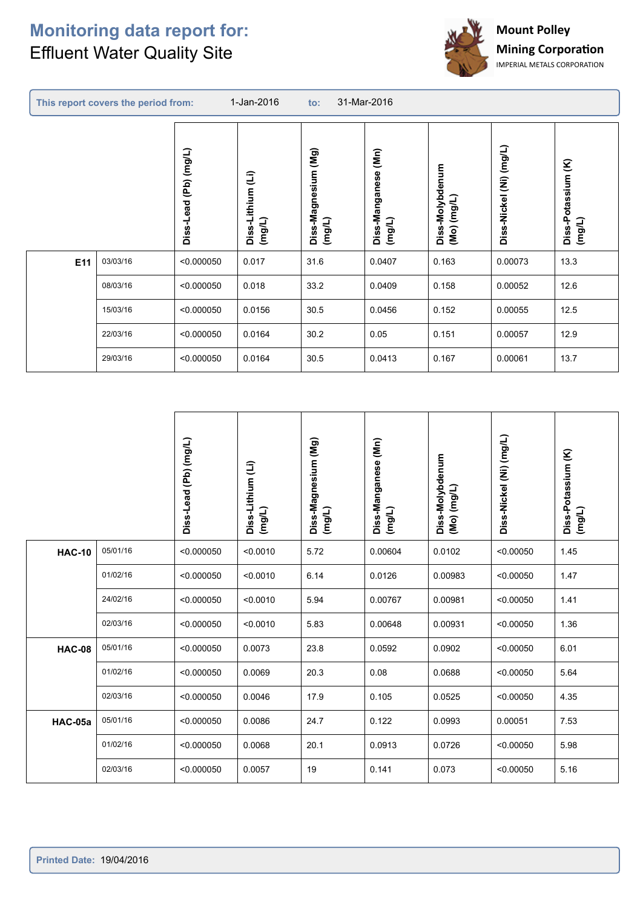## **Monitoring data report for: Effluent Water Quality Site**



|     | This report covers the period from: |                       | 1-Jan-2016                  | $\mathsf{to}$ :                  | 31-Mar-2016                                    |                                |                         |                              |
|-----|-------------------------------------|-----------------------|-----------------------------|----------------------------------|------------------------------------------------|--------------------------------|-------------------------|------------------------------|
|     |                                     | Diss-Lead (Pb) (mg/L) | Diss-Lithium (Li)<br>(mg/L) | (Mg)<br>Diss-Magnesium<br>(mg/L) | $\sum_{i=1}^{n}$<br>Diss-Manganese (<br>(mg/L) | Diss-Molybdenum<br>(Mo) (mg/L) | Diss-Nickel (Ni) (mg/L) | Diss-Potassium (K)<br>(mg/L) |
| E11 | 03/03/16                            | < 0.000050            | 0.017                       | 31.6                             | 0.0407                                         | 0.163                          | 0.00073                 | 13.3                         |
|     | 08/03/16                            | < 0.000050            | 0.018                       | 33.2                             | 0.0409                                         | 0.158                          | 0.00052                 | 12.6                         |
|     | 15/03/16                            | < 0.000050            | 0.0156                      | 30.5                             | 0.0456                                         | 0.152                          | 0.00055                 | 12.5                         |
|     | 22/03/16                            | < 0.000050            | 0.0164                      | 30.2                             | 0.05                                           | 0.151                          | 0.00057                 | 12.9                         |
|     | 29/03/16                            | < 0.000050            | 0.0164                      | 30.5                             | 0.0413                                         | 0.167                          | 0.00061                 | 13.7                         |

|               |          | Diss-Lead (Pb) (mg/L) | Diss-Lithium (Li)<br>(mg/L) | Diss-Magnesium (Mg)<br>(mg/L) | Diss-Manganese (Mn)<br>(mg/L) | Diss-Molybdenum<br>(Mo) (mg/L) | Diss-Nickel (Ni) (mg/L) | Diss-Potassium (K)<br>(mg/L) |
|---------------|----------|-----------------------|-----------------------------|-------------------------------|-------------------------------|--------------------------------|-------------------------|------------------------------|
| <b>HAC-10</b> | 05/01/16 | < 0.000050            | < 0.0010                    | 5.72                          | 0.00604                       | 0.0102                         | < 0.00050               | 1.45                         |
|               | 01/02/16 | < 0.000050            | < 0.0010                    | 6.14                          | 0.0126                        | 0.00983                        | < 0.00050               | 1.47                         |
|               | 24/02/16 | < 0.000050            | < 0.0010                    | 5.94                          | 0.00767                       | 0.00981                        | < 0.00050               | 1.41                         |
|               | 02/03/16 | < 0.000050            | < 0.0010                    | 5.83                          | 0.00648                       | 0.00931                        | < 0.00050               | 1.36                         |
| <b>HAC-08</b> | 05/01/16 | < 0.000050            | 0.0073                      | 23.8                          | 0.0592                        | 0.0902                         | < 0.00050               | 6.01                         |
|               | 01/02/16 | < 0.000050            | 0.0069                      | 20.3                          | 0.08                          | 0.0688                         | < 0.00050               | 5.64                         |
|               | 02/03/16 | < 0.000050            | 0.0046                      | 17.9                          | 0.105                         | 0.0525                         | < 0.00050               | 4.35                         |
| HAC-05a       | 05/01/16 | < 0.000050            | 0.0086                      | 24.7                          | 0.122                         | 0.0993                         | 0.00051                 | 7.53                         |
|               | 01/02/16 | < 0.000050            | 0.0068                      | 20.1                          | 0.0913                        | 0.0726                         | < 0.00050               | 5.98                         |
|               | 02/03/16 | < 0.000050            | 0.0057                      | 19                            | 0.141                         | 0.073                          | < 0.00050               | 5.16                         |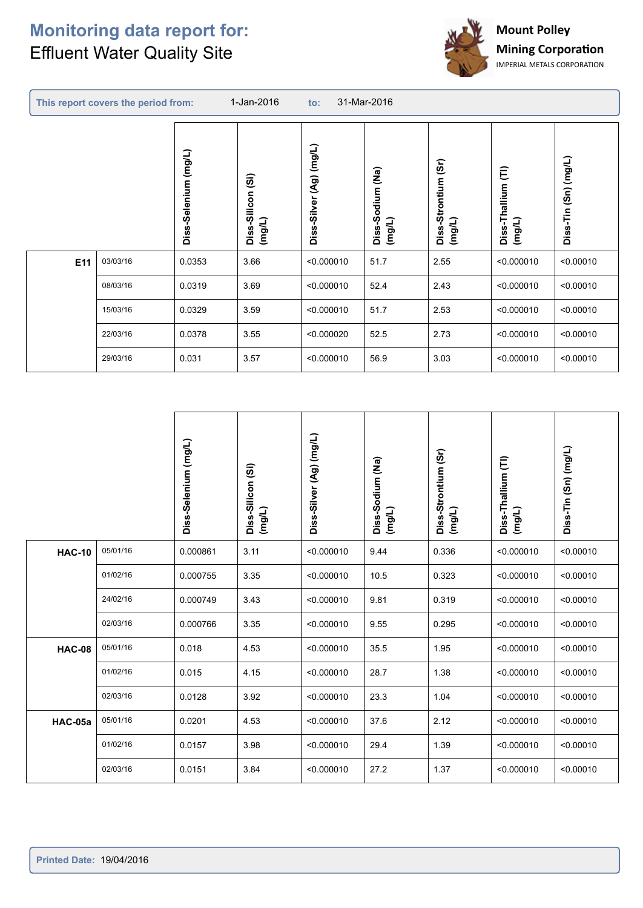## **Monitoring data report for: Effluent Water Quality Site**

r



|     | This report covers the period from: |                      | 1-Jan-2016                                            | $\mathsf{to}$ :         | 31-Mar-2016                |                                  |                              |                           |
|-----|-------------------------------------|----------------------|-------------------------------------------------------|-------------------------|----------------------------|----------------------------------|------------------------------|---------------------------|
|     |                                     | Diss-Selenium (mg/L) | $\widehat{\mathbf{5}}$<br>-Silicon<br>(mg/L)<br>Diss- | Diss-Silver (Ag) (mg/L) | Diss-Sodium (Na)<br>(mg/L) | (5r)<br>Diss-Strontium<br>(mg/L) | Diss-Thallium (TI)<br>(mg/L) | $(3n)$ (mg/L)<br>Diss-Tin |
| E11 | 03/03/16                            | 0.0353               | 3.66                                                  | < 0.000010              | 51.7                       | 2.55                             | < 0.000010                   | < 0.00010                 |
|     | 08/03/16                            | 0.0319               | 3.69                                                  | < 0.000010              | 52.4                       | 2.43                             | < 0.000010                   | < 0.00010                 |
|     | 15/03/16                            | 0.0329               | 3.59                                                  | < 0.000010              | 51.7                       | 2.53                             | < 0.000010                   | < 0.00010                 |
|     | 22/03/16                            | 0.0378               | 3.55                                                  | < 0.000020              | 52.5                       | 2.73                             | < 0.000010                   | < 0.00010                 |
|     | 29/03/16                            | 0.031                | 3.57                                                  | < 0.000010              | 56.9                       | 3.03                             | < 0.000010                   | < 0.00010                 |

|               |          | Diss-Selenium (mg/L) | Diss-Silicon (Si)<br>(mg/L) | Diss-Silver (Ag) (mg/L) | Diss-Sodium (Na)<br>(mg/L) | Diss-Strontium (Sr)<br>(mg/L) | Diss-Thallium (TI)<br>(mg/L) | Diss-Tin (Sn) (mg/L) |
|---------------|----------|----------------------|-----------------------------|-------------------------|----------------------------|-------------------------------|------------------------------|----------------------|
| <b>HAC-10</b> | 05/01/16 | 0.000861             | 3.11                        | < 0.000010              | 9.44                       | 0.336                         | < 0.000010                   | < 0.00010            |
|               | 01/02/16 | 0.000755             | 3.35                        | < 0.000010              | 10.5                       | 0.323                         | < 0.000010                   | < 0.00010            |
|               | 24/02/16 | 0.000749             | 3.43                        | < 0.000010              | 9.81                       | 0.319                         | < 0.000010                   | < 0.00010            |
|               | 02/03/16 | 0.000766             | 3.35                        | < 0.000010              | 9.55                       | 0.295                         | < 0.000010                   | < 0.00010            |
| <b>HAC-08</b> | 05/01/16 | 0.018                | 4.53                        | < 0.000010              | 35.5                       | 1.95                          | < 0.000010                   | < 0.00010            |
|               | 01/02/16 | 0.015                | 4.15                        | < 0.000010              | 28.7                       | 1.38                          | < 0.000010                   | < 0.00010            |
|               | 02/03/16 | 0.0128               | 3.92                        | < 0.000010              | 23.3                       | 1.04                          | < 0.000010                   | < 0.00010            |
| HAC-05a       | 05/01/16 | 0.0201               | 4.53                        | < 0.000010              | 37.6                       | 2.12                          | < 0.000010                   | < 0.00010            |
|               | 01/02/16 | 0.0157               | 3.98                        | < 0.000010              | 29.4                       | 1.39                          | < 0.000010                   | < 0.00010            |
|               | 02/03/16 | 0.0151               | 3.84                        | < 0.000010              | 27.2                       | 1.37                          | < 0.000010                   | < 0.00010            |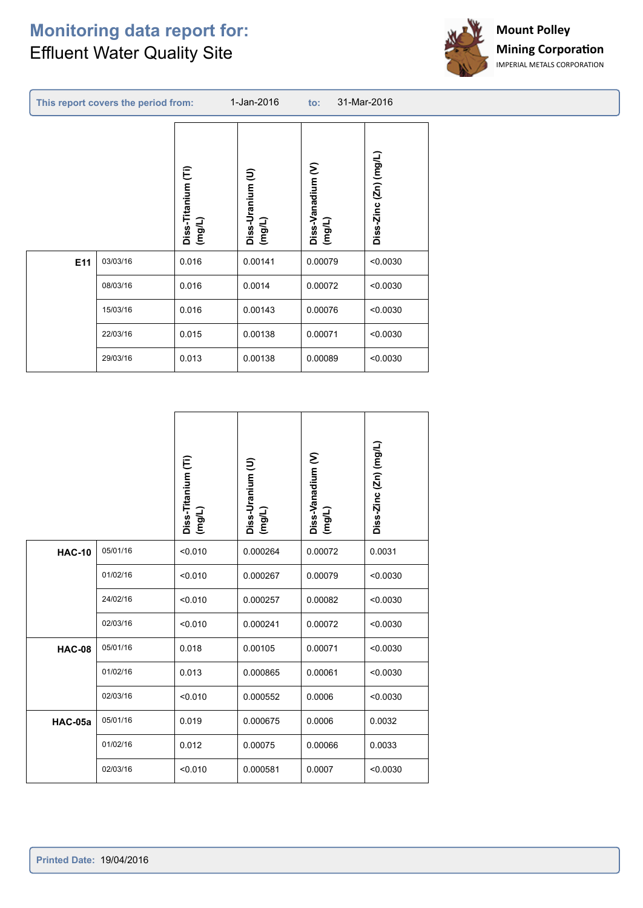#### **Monitoring data report for: Effluent Water Quality Site**



|                 | 1-Jan-2016<br>31-Mar-2016<br>This report covers the period from:<br>$\mathsf{to}$ : |                              |                            |                             |                       |  |  |  |  |  |
|-----------------|-------------------------------------------------------------------------------------|------------------------------|----------------------------|-----------------------------|-----------------------|--|--|--|--|--|
|                 |                                                                                     | Diss-Titanium (Ti)<br>(mg/L) | Diss-Uranium (U)<br>(mg/L) | Diss-Vanadium (V)<br>(mg/L) | Diss-Zinc (Zn) (mg/L) |  |  |  |  |  |
| E <sub>11</sub> | 03/03/16<br>08/03/16                                                                | 0.016<br>0.016               | 0.00141<br>0.0014          | 0.00079<br>0.00072          | < 0.0030<br>< 0.0030  |  |  |  |  |  |
|                 | 15/03/16                                                                            | 0.016                        | 0.00143                    | 0.00076                     | < 0.0030              |  |  |  |  |  |
|                 | 22/03/16                                                                            | 0.015                        | 0.00138                    | 0.00071                     | < 0.0030              |  |  |  |  |  |
|                 | 29/03/16                                                                            | 0.013                        | 0.00138                    | 0.00089                     | < 0.0030              |  |  |  |  |  |

|                |          | Diss-Titanium (Ti)<br>(mg/L) | Diss-Uranium (U)<br>$($ mg/L) | Diss-Vanadium (V)<br>$($ mg/L) | Diss-Zinc (Zn) (mg/L) |
|----------------|----------|------------------------------|-------------------------------|--------------------------------|-----------------------|
| <b>HAC-10</b>  | 05/01/16 | < 0.010                      | 0.000264                      | 0.00072                        | 0.0031                |
|                | 01/02/16 | < 0.010                      | 0.000267                      | 0.00079                        | < 0.0030              |
|                | 24/02/16 | < 0.010                      | 0.000257                      | 0.00082                        | < 0.0030              |
|                | 02/03/16 | < 0.010                      | 0.000241                      | 0.00072                        | < 0.0030              |
| <b>HAC-08</b>  | 05/01/16 | 0.018                        | 0.00105                       | 0.00071                        | < 0.0030              |
|                | 01/02/16 | 0.013                        | 0.000865                      | 0.00061                        | < 0.0030              |
|                | 02/03/16 | < 0.010                      | 0.000552                      | 0.0006                         | < 0.0030              |
| <b>HAC-05a</b> | 05/01/16 | 0.019                        | 0.000675                      | 0.0006                         | 0.0032                |
|                | 01/02/16 | 0.012                        | 0.00075                       | 0.00066                        | 0.0033                |
|                | 02/03/16 | < 0.010                      | 0.000581                      | 0.0007                         | < 0.0030              |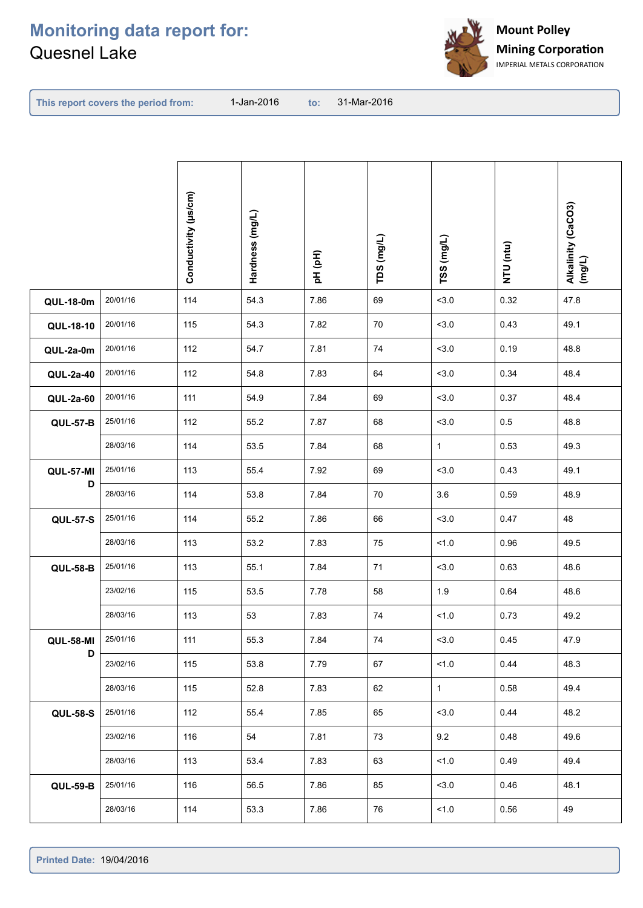

**This report covers the period from:** 

|                  |          | Conductivity (µs/cm) | Hardness (mg/L) | pH (pH) | TDS (mg/L) | TSS (mg/L)   | NTU (ntu) | Alkalinity (CaCO3)<br>(mg/L) |
|------------------|----------|----------------------|-----------------|---------|------------|--------------|-----------|------------------------------|
| <b>QUL-18-0m</b> | 20/01/16 | 114                  | 54.3            | 7.86    | 69         | 3.0          | 0.32      | 47.8                         |
| QUL-18-10        | 20/01/16 | 115                  | 54.3            | 7.82    | 70         | 3.0          | 0.43      | 49.1                         |
| QUL-2a-0m        | 20/01/16 | 112                  | 54.7            | 7.81    | 74         | 3.0          | 0.19      | 48.8                         |
| QUL-2a-40        | 20/01/16 | 112                  | 54.8            | 7.83    | 64         | 3.0          | 0.34      | 48.4                         |
| <b>QUL-2a-60</b> | 20/01/16 | 111                  | 54.9            | 7.84    | 69         | 3.0          | 0.37      | 48.4                         |
| <b>QUL-57-B</b>  | 25/01/16 | 112                  | 55.2            | 7.87    | 68         | 3.0          | $0.5\,$   | 48.8                         |
|                  | 28/03/16 | 114                  | 53.5            | 7.84    | 68         | $\mathbf{1}$ | 0.53      | 49.3                         |
| <b>QUL-57-MI</b> | 25/01/16 | 113                  | 55.4            | 7.92    | 69         | 3.0          | 0.43      | 49.1                         |
| D                | 28/03/16 | 114                  | 53.8            | 7.84    | 70         | 3.6          | 0.59      | 48.9                         |
| <b>QUL-57-S</b>  | 25/01/16 | 114                  | 55.2            | 7.86    | 66         | 3.0          | 0.47      | 48                           |
|                  | 28/03/16 | 113                  | 53.2            | 7.83    | 75         | 1.0          | 0.96      | 49.5                         |
| <b>QUL-58-B</b>  | 25/01/16 | 113                  | 55.1            | 7.84    | 71         | 3.0          | 0.63      | 48.6                         |
|                  | 23/02/16 | 115                  | 53.5            | 7.78    | 58         | 1.9          | 0.64      | 48.6                         |
|                  | 28/03/16 | 113                  | 53              | 7.83    | 74         | 1.0          | 0.73      | 49.2                         |
| <b>QUL-58-MI</b> | 25/01/16 | 111                  | 55.3            | 7.84    | 74         | < 3.0        | 0.45      | 47.9                         |
| D                | 23/02/16 | 115                  | 53.8            | 7.79    | 67         | 1.0          | 0.44      | 48.3                         |
|                  | 28/03/16 | 115                  | 52.8            | 7.83    | 62         | $\mathbf 1$  | 0.58      | 49.4                         |
| <b>QUL-58-S</b>  | 25/01/16 | 112                  | 55.4            | 7.85    | 65         | < 3.0        | 0.44      | 48.2                         |
|                  | 23/02/16 | 116                  | 54              | 7.81    | 73         | 9.2          | 0.48      | 49.6                         |
|                  | 28/03/16 | 113                  | 53.4            | 7.83    | 63         | 1.0          | 0.49      | 49.4                         |
| <b>QUL-59-B</b>  | 25/01/16 | 116                  | 56.5            | 7.86    | 85         | 3.0          | 0.46      | 48.1                         |
|                  | 28/03/16 | 114                  | 53.3            | 7.86    | 76         | 1.0          | 0.56      | 49                           |
|                  |          |                      |                 |         |            |              |           |                              |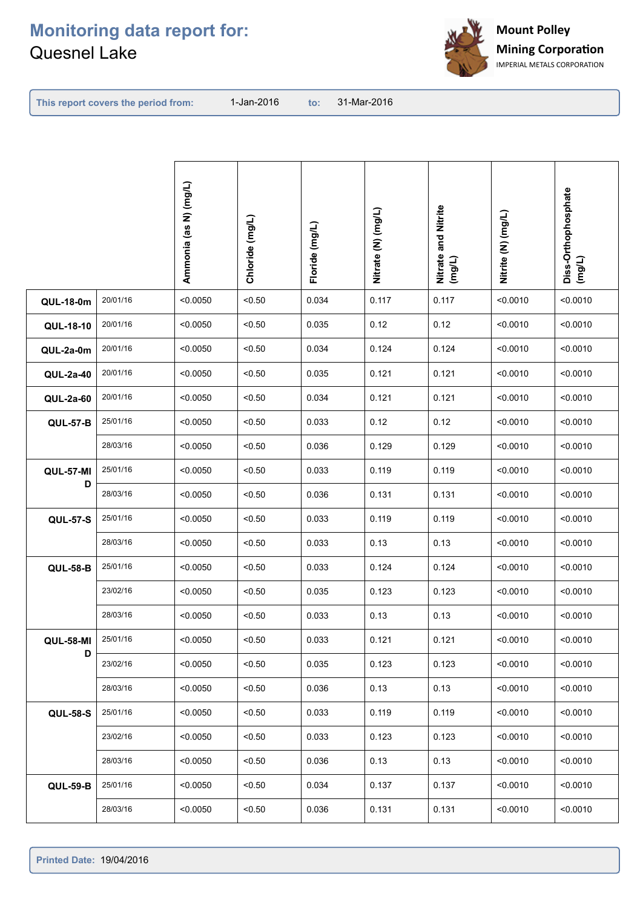

**This report covers the period from:** 

|                  |          | Ammonia (as N) (mg/L) | Chloride (mg/L) | Floride (mg/L) | Nitrate (N) (mg/L) | Nitrate and Nitrite<br>(mg/L) | Nitrite (N) (mg/L) | Diss-Orthophosphate<br>(mg/L) |
|------------------|----------|-----------------------|-----------------|----------------|--------------------|-------------------------------|--------------------|-------------------------------|
| <b>QUL-18-0m</b> | 20/01/16 | < 0.0050              | < 0.50          | 0.034          | 0.117              | 0.117                         | < 0.0010           | < 0.0010                      |
| QUL-18-10        | 20/01/16 | < 0.0050              | < 0.50          | 0.035          | 0.12               | 0.12                          | < 0.0010           | < 0.0010                      |
| QUL-2a-0m        | 20/01/16 | < 0.0050              | < 0.50          | 0.034          | 0.124              | 0.124                         | < 0.0010           | < 0.0010                      |
| QUL-2a-40        | 20/01/16 | < 0.0050              | < 0.50          | 0.035          | 0.121              | 0.121                         | < 0.0010           | < 0.0010                      |
| <b>QUL-2a-60</b> | 20/01/16 | < 0.0050              | < 0.50          | 0.034          | 0.121              | 0.121                         | < 0.0010           | < 0.0010                      |
| <b>QUL-57-B</b>  | 25/01/16 | < 0.0050              | < 0.50          | 0.033          | 0.12               | 0.12                          | < 0.0010           | < 0.0010                      |
|                  | 28/03/16 | < 0.0050              | < 0.50          | 0.036          | 0.129              | 0.129                         | < 0.0010           | < 0.0010                      |
| <b>QUL-57-MI</b> | 25/01/16 | < 0.0050              | < 0.50          | 0.033          | 0.119              | 0.119                         | < 0.0010           | < 0.0010                      |
| D                | 28/03/16 | < 0.0050              | < 0.50          | 0.036          | 0.131              | 0.131                         | < 0.0010           | < 0.0010                      |
| <b>QUL-57-S</b>  | 25/01/16 | < 0.0050              | < 0.50          | 0.033          | 0.119              | 0.119                         | < 0.0010           | < 0.0010                      |
|                  | 28/03/16 | < 0.0050              | < 0.50          | 0.033          | 0.13               | 0.13                          | < 0.0010           | < 0.0010                      |
| <b>QUL-58-B</b>  | 25/01/16 | < 0.0050              | < 0.50          | 0.033          | 0.124              | 0.124                         | < 0.0010           | < 0.0010                      |
|                  | 23/02/16 | < 0.0050              | < 0.50          | 0.035          | 0.123              | 0.123                         | < 0.0010           | < 0.0010                      |
|                  | 28/03/16 | < 0.0050              | < 0.50          | 0.033          | 0.13               | 0.13                          | < 0.0010           | < 0.0010                      |
| <b>QUL-58-MI</b> | 25/01/16 | < 0.0050              | < 0.50          | 0.033          | 0.121              | 0.121                         | < 0.0010           | < 0.0010                      |
| D                | 23/02/16 | < 0.0050              | < 0.50          | 0.035          | 0.123              | 0.123                         | < 0.0010           | < 0.0010                      |
|                  | 28/03/16 | < 0.0050              | < 0.50          | 0.036          | 0.13               | 0.13                          | < 0.0010           | < 0.0010                      |
| <b>QUL-58-S</b>  | 25/01/16 | < 0.0050              | < 0.50          | 0.033          | 0.119              | 0.119                         | < 0.0010           | < 0.0010                      |
|                  | 23/02/16 | < 0.0050              | < 0.50          | 0.033          | 0.123              | 0.123                         | < 0.0010           | < 0.0010                      |
|                  | 28/03/16 | < 0.0050              | < 0.50          | 0.036          | 0.13               | 0.13                          | < 0.0010           | < 0.0010                      |
| <b>QUL-59-B</b>  | 25/01/16 | < 0.0050              | < 0.50          | 0.034          | 0.137              | 0.137                         | < 0.0010           | < 0.0010                      |
|                  | 28/03/16 | < 0.0050              | < 0.50          | 0.036          | 0.131              | 0.131                         | < 0.0010           | < 0.0010                      |
|                  |          |                       |                 |                |                    |                               |                    |                               |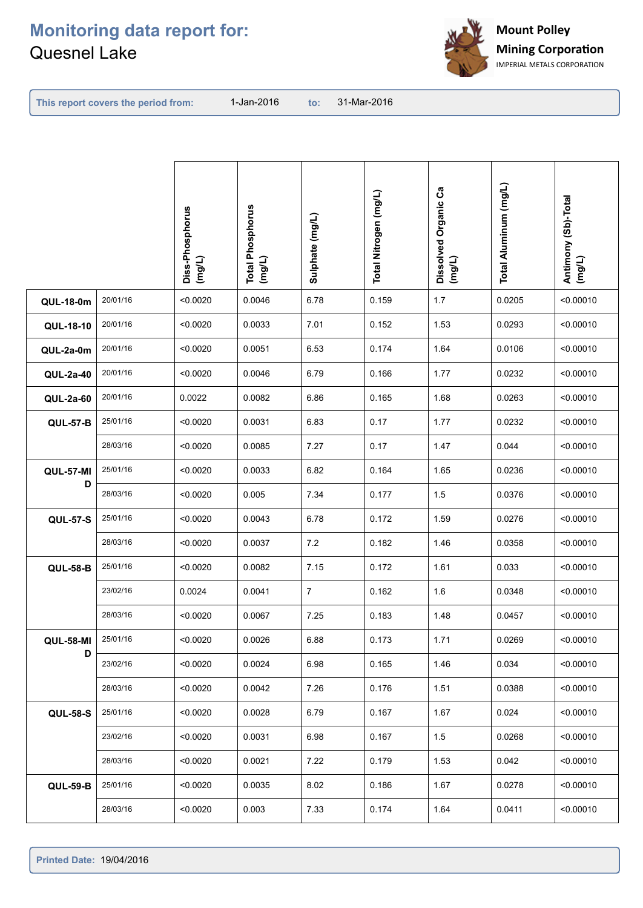

**This report covers the period from:** 

|                  |          | Diss-Phosphorus<br>(mg/L) | <b>Total Phosphorus</b><br>(mg/L) | Sulphate (mg/L) | Total Nitrogen (mg/L) | Dissolved Organic Ca<br>(mg/L) | Total Aluminum (mg/L) | Antimony (Sb)-Total<br>(mg/L) |
|------------------|----------|---------------------------|-----------------------------------|-----------------|-----------------------|--------------------------------|-----------------------|-------------------------------|
| <b>QUL-18-0m</b> | 20/01/16 | < 0.0020                  | 0.0046                            | 6.78            | 0.159                 | 1.7                            | 0.0205                | < 0.00010                     |
| QUL-18-10        | 20/01/16 | < 0.0020                  | 0.0033                            | 7.01            | 0.152                 | 1.53                           | 0.0293                | < 0.00010                     |
| QUL-2a-0m        | 20/01/16 | < 0.0020                  | 0.0051                            | 6.53            | 0.174                 | 1.64                           | 0.0106                | < 0.00010                     |
| QUL-2a-40        | 20/01/16 | < 0.0020                  | 0.0046                            | 6.79            | 0.166                 | 1.77                           | 0.0232                | < 0.00010                     |
| QUL-2a-60        | 20/01/16 | 0.0022                    | 0.0082                            | 6.86            | 0.165                 | 1.68                           | 0.0263                | < 0.00010                     |
| <b>QUL-57-B</b>  | 25/01/16 | < 0.0020                  | 0.0031                            | 6.83            | 0.17                  | 1.77                           | 0.0232                | < 0.00010                     |
|                  | 28/03/16 | < 0.0020                  | 0.0085                            | 7.27            | 0.17                  | 1.47                           | 0.044                 | < 0.00010                     |
| QUL-57-MI        | 25/01/16 | < 0.0020                  | 0.0033                            | 6.82            | 0.164                 | 1.65                           | 0.0236                | < 0.00010                     |
| D                | 28/03/16 | < 0.0020                  | 0.005                             | 7.34            | 0.177                 | 1.5                            | 0.0376                | < 0.00010                     |
| <b>QUL-57-S</b>  | 25/01/16 | < 0.0020                  | 0.0043                            | 6.78            | 0.172                 | 1.59                           | 0.0276                | < 0.00010                     |
|                  | 28/03/16 | < 0.0020                  | 0.0037                            | 7.2             | 0.182                 | 1.46                           | 0.0358                | < 0.00010                     |
| <b>QUL-58-B</b>  | 25/01/16 | < 0.0020                  | 0.0082                            | 7.15            | 0.172                 | 1.61                           | 0.033                 | < 0.00010                     |
|                  | 23/02/16 | 0.0024                    | 0.0041                            | $\overline{7}$  | 0.162                 | 1.6                            | 0.0348                | < 0.00010                     |
|                  | 28/03/16 | < 0.0020                  | 0.0067                            | 7.25            | 0.183                 | 1.48                           | 0.0457                | < 0.00010                     |
| <b>QUL-58-MI</b> | 25/01/16 | < 0.0020                  | 0.0026                            | 6.88            | 0.173                 | 1.71                           | 0.0269                | < 0.00010                     |
| D                | 23/02/16 | < 0.0020                  | 0.0024                            | 6.98            | 0.165                 | 1.46                           | 0.034                 | < 0.00010                     |
|                  | 28/03/16 | < 0.0020                  | 0.0042                            | 7.26            | 0.176                 | 1.51                           | 0.0388                | < 0.00010                     |
| <b>QUL-58-S</b>  | 25/01/16 | < 0.0020                  | 0.0028                            | 6.79            | 0.167                 | 1.67                           | 0.024                 | < 0.00010                     |
|                  | 23/02/16 | < 0.0020                  | 0.0031                            | 6.98            | 0.167                 | 1.5                            | 0.0268                | < 0.00010                     |
|                  | 28/03/16 | < 0.0020                  | 0.0021                            | 7.22            | 0.179                 | 1.53                           | 0.042                 | < 0.00010                     |
| <b>QUL-59-B</b>  | 25/01/16 | < 0.0020                  | 0.0035                            | 8.02            | 0.186                 | 1.67                           | 0.0278                | < 0.00010                     |
|                  | 28/03/16 | < 0.0020                  | 0.003                             | 7.33            | 0.174                 | 1.64                           | 0.0411                | < 0.00010                     |
|                  |          |                           |                                   |                 |                       |                                |                       |                               |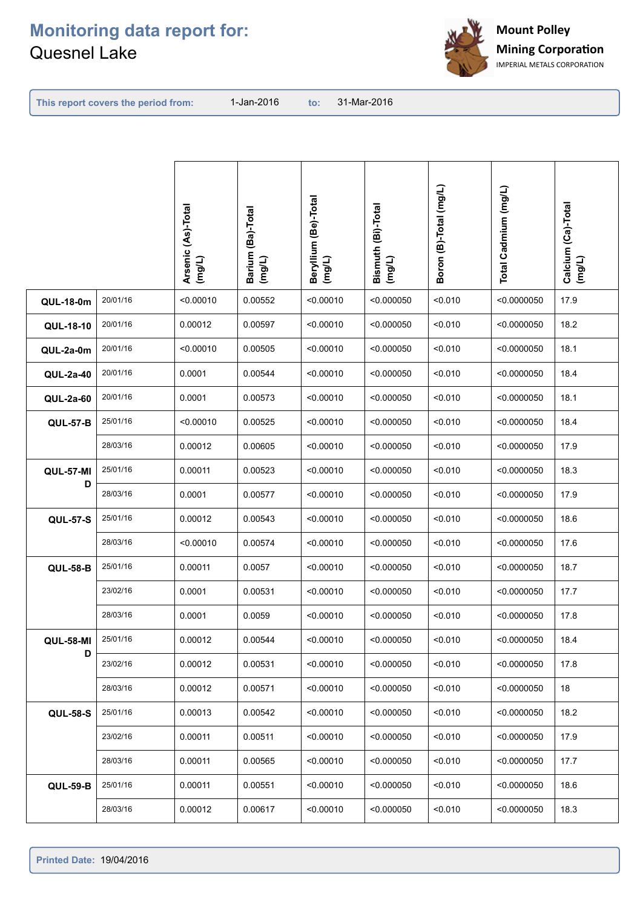

**This report covers the period from:** 

|                  |          | Arsenic (As)-Total<br>(mg/L) | Barium (Ba)-Total<br>(mg/L) | Beryllium (Be)-Total<br>(mg/L) | Bismuth (Bi)-Total<br>(mg/L) | Boron (B)-Total (mg/L) | Total Cadmium (mg/L) | Calcium (Ca)-Total<br>(mg/L) |
|------------------|----------|------------------------------|-----------------------------|--------------------------------|------------------------------|------------------------|----------------------|------------------------------|
| <b>QUL-18-0m</b> | 20/01/16 | < 0.00010                    | 0.00552                     | < 0.00010                      | < 0.000050                   | < 0.010                | < 0.0000050          | 17.9                         |
| QUL-18-10        | 20/01/16 | 0.00012                      | 0.00597                     | < 0.00010                      | < 0.000050                   | < 0.010                | < 0.0000050          | 18.2                         |
| QUL-2a-0m        | 20/01/16 | < 0.00010                    | 0.00505                     | < 0.00010                      | < 0.000050                   | < 0.010                | < 0.0000050          | 18.1                         |
| QUL-2a-40        | 20/01/16 | 0.0001                       | 0.00544                     | < 0.00010                      | < 0.000050                   | < 0.010                | < 0.0000050          | 18.4                         |
| QUL-2a-60        | 20/01/16 | 0.0001                       | 0.00573                     | < 0.00010                      | < 0.000050                   | < 0.010                | < 0.0000050          | 18.1                         |
| <b>QUL-57-B</b>  | 25/01/16 | < 0.00010                    | 0.00525                     | < 0.00010                      | < 0.000050                   | < 0.010                | < 0.0000050          | 18.4                         |
|                  | 28/03/16 | 0.00012                      | 0.00605                     | < 0.00010                      | < 0.000050                   | < 0.010                | < 0.0000050          | 17.9                         |
| <b>QUL-57-MI</b> | 25/01/16 | 0.00011                      | 0.00523                     | < 0.00010                      | < 0.000050                   | < 0.010                | < 0.0000050          | 18.3                         |
| D                | 28/03/16 | 0.0001                       | 0.00577                     | < 0.00010                      | < 0.000050                   | < 0.010                | < 0.0000050          | 17.9                         |
| <b>QUL-57-S</b>  | 25/01/16 | 0.00012                      | 0.00543                     | < 0.00010                      | < 0.000050                   | < 0.010                | < 0.0000050          | 18.6                         |
|                  | 28/03/16 | < 0.00010                    | 0.00574                     | < 0.00010                      | < 0.000050                   | < 0.010                | < 0.0000050          | 17.6                         |
| <b>QUL-58-B</b>  | 25/01/16 | 0.00011                      | 0.0057                      | < 0.00010                      | < 0.000050                   | < 0.010                | < 0.0000050          | 18.7                         |
|                  | 23/02/16 | 0.0001                       | 0.00531                     | < 0.00010                      | < 0.000050                   | < 0.010                | < 0.0000050          | 17.7                         |
|                  | 28/03/16 | 0.0001                       | 0.0059                      | < 0.00010                      | < 0.000050                   | < 0.010                | < 0.0000050          | 17.8                         |
| <b>QUL-58-MI</b> | 25/01/16 | 0.00012                      | 0.00544                     | < 0.00010                      | < 0.000050                   | < 0.010                | $<$ 0.0000050        | 18.4                         |
| D                | 23/02/16 | 0.00012                      | 0.00531                     | < 0.00010                      | < 0.000050                   | < 0.010                | < 0.0000050          | 17.8                         |
|                  | 28/03/16 | 0.00012                      | 0.00571                     | < 0.00010                      | < 0.000050                   | < 0.010                | < 0.0000050          | 18                           |
| <b>QUL-58-S</b>  | 25/01/16 | 0.00013                      | 0.00542                     | < 0.00010                      | < 0.000050                   | < 0.010                | < 0.0000050          | 18.2                         |
|                  | 23/02/16 | 0.00011                      | 0.00511                     | < 0.00010                      | < 0.000050                   | < 0.010                | < 0.0000050          | 17.9                         |
|                  | 28/03/16 | 0.00011                      | 0.00565                     | < 0.00010                      | < 0.000050                   | < 0.010                | < 0.0000050          | 17.7                         |
| <b>QUL-59-B</b>  | 25/01/16 | 0.00011                      | 0.00551                     | < 0.00010                      | < 0.000050                   | < 0.010                | < 0.0000050          | 18.6                         |
|                  | 28/03/16 | 0.00012                      | 0.00617                     | < 0.00010                      | < 0.000050                   | < 0.010                | < 0.0000050          | 18.3                         |
|                  |          |                              |                             |                                |                              |                        |                      |                              |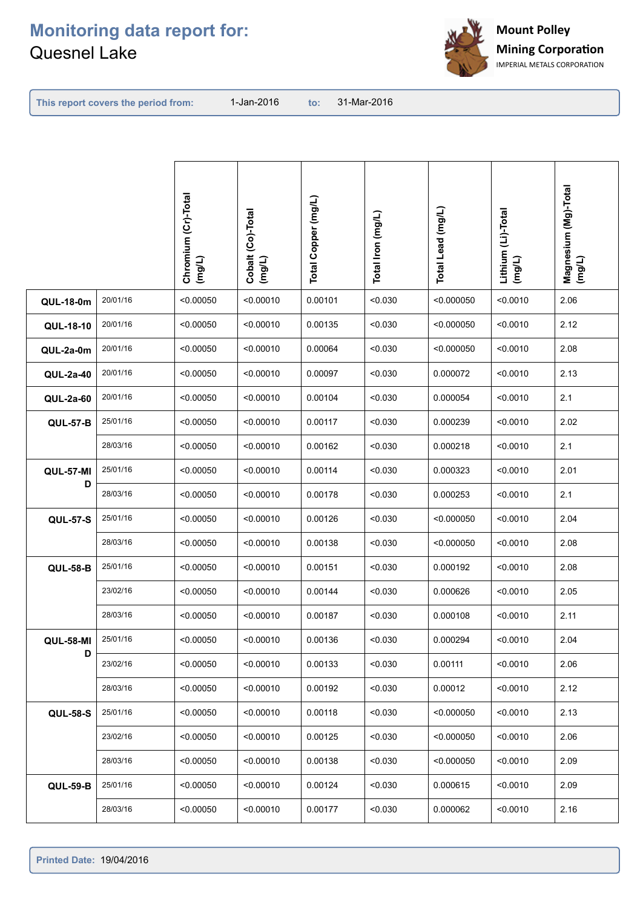

**This report covers the period from:** 

|                  |          | Chromium (Cr)-Total<br>(mg/L) | Cobalt (Co)-Total<br>(mg/L) | Total Copper (mg/L) | Total Iron (mg/L) | Total Lead (mg/L) | Lithium (Li)-Total<br>(mg/L) | Magnesium (Mg)-Total<br>(mg/L) |
|------------------|----------|-------------------------------|-----------------------------|---------------------|-------------------|-------------------|------------------------------|--------------------------------|
| <b>QUL-18-0m</b> | 20/01/16 | < 0.00050                     | < 0.00010                   | 0.00101             | < 0.030           | < 0.000050        | < 0.0010                     | 2.06                           |
| QUL-18-10        | 20/01/16 | < 0.00050                     | < 0.00010                   | 0.00135             | < 0.030           | < 0.000050        | < 0.0010                     | 2.12                           |
| QUL-2a-0m        | 20/01/16 | < 0.00050                     | < 0.00010                   | 0.00064             | < 0.030           | < 0.000050        | < 0.0010                     | 2.08                           |
| QUL-2a-40        | 20/01/16 | < 0.00050                     | < 0.00010                   | 0.00097             | < 0.030           | 0.000072          | < 0.0010                     | 2.13                           |
| QUL-2a-60        | 20/01/16 | < 0.00050                     | < 0.00010                   | 0.00104             | < 0.030           | 0.000054          | < 0.0010                     | 2.1                            |
| <b>QUL-57-B</b>  | 25/01/16 | < 0.00050                     | < 0.00010                   | 0.00117             | < 0.030           | 0.000239          | < 0.0010                     | 2.02                           |
|                  | 28/03/16 | < 0.00050                     | < 0.00010                   | 0.00162             | < 0.030           | 0.000218          | < 0.0010                     | 2.1                            |
| <b>QUL-57-MI</b> | 25/01/16 | < 0.00050                     | < 0.00010                   | 0.00114             | < 0.030           | 0.000323          | < 0.0010                     | 2.01                           |
| D                | 28/03/16 | < 0.00050                     | < 0.00010                   | 0.00178             | < 0.030           | 0.000253          | < 0.0010                     | 2.1                            |
| <b>QUL-57-S</b>  | 25/01/16 | < 0.00050                     | < 0.00010                   | 0.00126             | < 0.030           | < 0.000050        | < 0.0010                     | 2.04                           |
|                  | 28/03/16 | < 0.00050                     | < 0.00010                   | 0.00138             | < 0.030           | < 0.000050        | < 0.0010                     | 2.08                           |
| <b>QUL-58-B</b>  | 25/01/16 | < 0.00050                     | < 0.00010                   | 0.00151             | < 0.030           | 0.000192          | < 0.0010                     | 2.08                           |
|                  | 23/02/16 | < 0.00050                     | < 0.00010                   | 0.00144             | < 0.030           | 0.000626          | < 0.0010                     | 2.05                           |
|                  | 28/03/16 | < 0.00050                     | < 0.00010                   | 0.00187             | < 0.030           | 0.000108          | < 0.0010                     | 2.11                           |
| <b>QUL-58-MI</b> | 25/01/16 | < 0.00050                     | < 0.00010                   | 0.00136             | < 0.030           | 0.000294          | < 0.0010                     | 2.04                           |
| D                | 23/02/16 | < 0.00050                     | < 0.00010                   | 0.00133             | < 0.030           | 0.00111           | < 0.0010                     | 2.06                           |
|                  | 28/03/16 | < 0.00050                     | < 0.00010                   | 0.00192             | < 0.030           | 0.00012           | < 0.0010                     | 2.12                           |
| <b>QUL-58-S</b>  | 25/01/16 | < 0.00050                     | < 0.00010                   | 0.00118             | < 0.030           | < 0.000050        | < 0.0010                     | 2.13                           |
|                  | 23/02/16 | < 0.00050                     | < 0.00010                   | 0.00125             | < 0.030           | < 0.000050        | < 0.0010                     | 2.06                           |
|                  | 28/03/16 | < 0.00050                     | < 0.00010                   | 0.00138             | < 0.030           | < 0.000050        | < 0.0010                     | 2.09                           |
| <b>QUL-59-B</b>  | 25/01/16 | < 0.00050                     | < 0.00010                   | 0.00124             | < 0.030           | 0.000615          | < 0.0010                     | 2.09                           |
|                  | 28/03/16 | < 0.00050                     | < 0.00010                   | 0.00177             | < 0.030           | 0.000062          | < 0.0010                     | 2.16                           |
|                  |          |                               |                             |                     |                   |                   |                              |                                |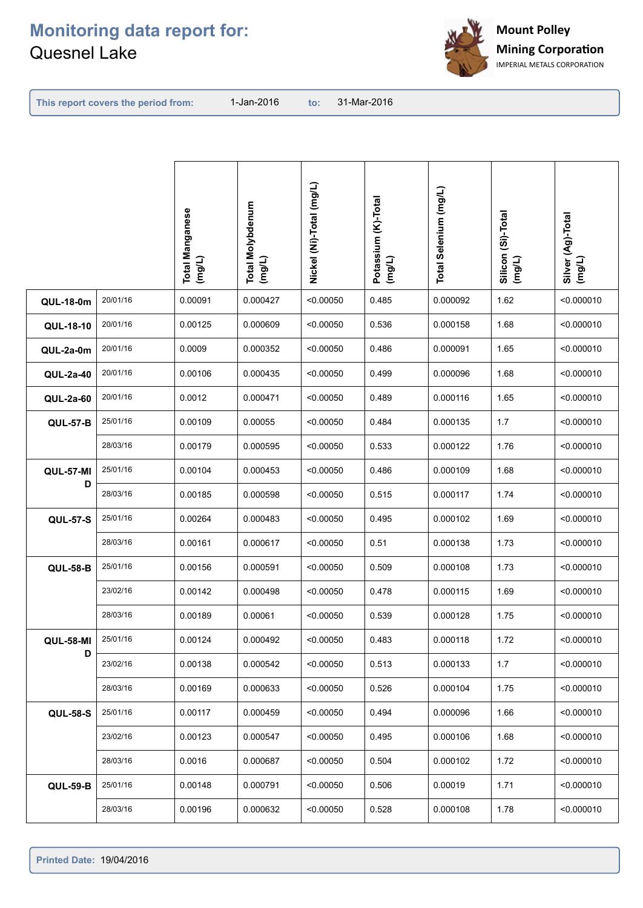

| This report covers the period from: |  |
|-------------------------------------|--|
|-------------------------------------|--|

**This report covers the period from: to:**

to: 31-Mar-2016

|                  |          | <b>Total Manganese</b><br>(mg/L) | <b>Total Molybdenum</b><br>(mg/L) | Nickel (Ni)-Total (mg/L) | Potassium (K)-Total<br>(mg/L) | Total Selenium (mg/L) | Silicon (Si)-Total<br>(mg/L) | Silver (Ag)-Total<br>(mg/L) |
|------------------|----------|----------------------------------|-----------------------------------|--------------------------|-------------------------------|-----------------------|------------------------------|-----------------------------|
| <b>QUL-18-0m</b> | 20/01/16 | 0.00091                          | 0.000427                          | < 0.00050                | 0.485                         | 0.000092              | 1.62                         | < 0.000010                  |
| QUL-18-10        | 20/01/16 | 0.00125                          | 0.000609                          | < 0.00050                | 0.536                         | 0.000158              | 1.68                         | < 0.000010                  |
| QUL-2a-0m        | 20/01/16 | 0.0009                           | 0.000352                          | < 0.00050                | 0.486                         | 0.000091              | 1.65                         | < 0.000010                  |
| QUL-2a-40        | 20/01/16 | 0.00106                          | 0.000435                          | < 0.00050                | 0.499                         | 0.000096              | 1.68                         | < 0.000010                  |
| QUL-2a-60        | 20/01/16 | 0.0012                           | 0.000471                          | < 0.00050                | 0.489                         | 0.000116              | 1.65                         | < 0.000010                  |
| <b>QUL-57-B</b>  | 25/01/16 | 0.00109                          | 0.00055                           | < 0.00050                | 0.484                         | 0.000135              | 1.7                          | < 0.000010                  |
|                  | 28/03/16 | 0.00179                          | 0.000595                          | < 0.00050                | 0.533                         | 0.000122              | 1.76                         | < 0.000010                  |
| <b>QUL-57-MI</b> | 25/01/16 | 0.00104                          | 0.000453                          | < 0.00050                | 0.486                         | 0.000109              | 1.68                         | < 0.000010                  |
| D                | 28/03/16 | 0.00185                          | 0.000598                          | < 0.00050                | 0.515                         | 0.000117              | 1.74                         | < 0.000010                  |
| <b>QUL-57-S</b>  | 25/01/16 | 0.00264                          | 0.000483                          | < 0.00050                | 0.495                         | 0.000102              | 1.69                         | < 0.000010                  |
|                  | 28/03/16 | 0.00161                          | 0.000617                          | < 0.00050                | 0.51                          | 0.000138              | 1.73                         | < 0.000010                  |
| <b>QUL-58-B</b>  | 25/01/16 | 0.00156                          | 0.000591                          | < 0.00050                | 0.509                         | 0.000108              | 1.73                         | < 0.000010                  |
|                  | 23/02/16 | 0.00142                          | 0.000498                          | < 0.00050                | 0.478                         | 0.000115              | 1.69                         | < 0.000010                  |
|                  | 28/03/16 | 0.00189                          | 0.00061                           | < 0.00050                | 0.539                         | 0.000128              | 1.75                         | < 0.000010                  |
| <b>QUL-58-MI</b> | 25/01/16 | 0.00124                          | 0.000492                          | < 0.00050                | 0.483                         | 0.000118              | 1.72                         | < 0.000010                  |
| D                | 23/02/16 | 0.00138                          | 0.000542                          | < 0.00050                | 0.513                         | 0.000133              | 1.7                          | < 0.000010                  |
|                  | 28/03/16 | 0.00169                          | 0.000633                          | < 0.00050                | 0.526                         | 0.000104              | 1.75                         | < 0.000010                  |
| <b>QUL-58-S</b>  | 25/01/16 | 0.00117                          | 0.000459                          | < 0.00050                | 0.494                         | 0.000096              | 1.66                         | < 0.000010                  |
|                  | 23/02/16 | 0.00123                          | 0.000547                          | < 0.00050                | 0.495                         | 0.000106              | 1.68                         | < 0.000010                  |
|                  | 28/03/16 | 0.0016                           | 0.000687                          | < 0.00050                | 0.504                         | 0.000102              | 1.72                         | < 0.000010                  |
| <b>QUL-59-B</b>  | 25/01/16 | 0.00148                          | 0.000791                          | < 0.00050                | 0.506                         | 0.00019               | 1.71                         | < 0.000010                  |
|                  | 28/03/16 | 0.00196                          | 0.000632                          | < 0.00050                | 0.528                         | 0.000108              | 1.78                         | < 0.000010                  |
|                  |          |                                  |                                   |                          |                               |                       |                              |                             |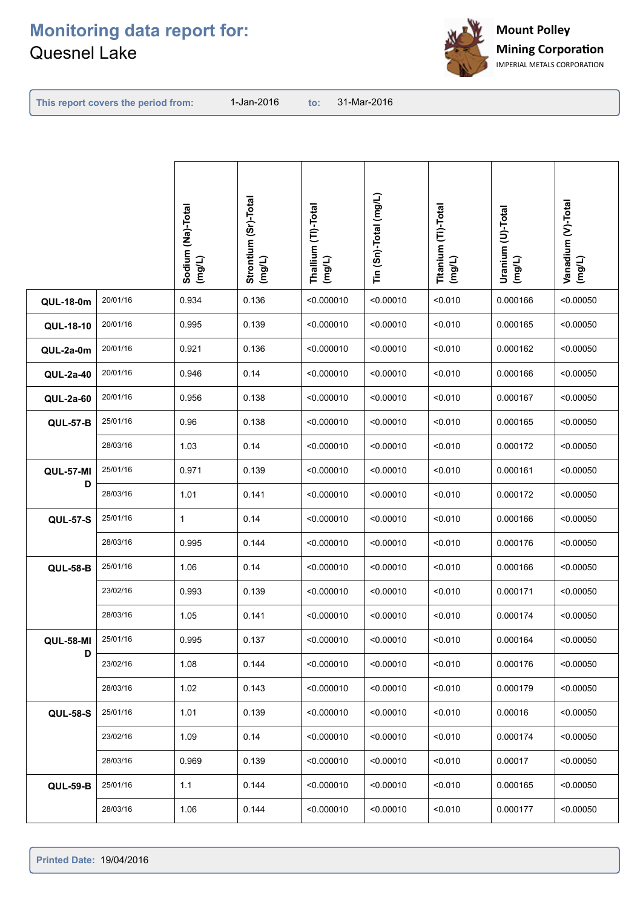

**This report covers the period from:** 

|                  |          | Sodium (Na)-Total<br>(mg/L) | Strontium (Sr)-Total<br>(mg/L) | Thallium (TI)-Total<br>(mg/L) | Tin (Sn)-Total (mg/L) | Titanium (Ti)-Total<br>(mg/L) | Uranium (U)-Total<br>(mg/L) | Vanadium (V)-Total<br>(mg/L) |
|------------------|----------|-----------------------------|--------------------------------|-------------------------------|-----------------------|-------------------------------|-----------------------------|------------------------------|
| <b>QUL-18-0m</b> | 20/01/16 | 0.934                       | 0.136                          | < 0.000010                    | < 0.00010             | < 0.010                       | 0.000166                    | < 0.00050                    |
| QUL-18-10        | 20/01/16 | 0.995                       | 0.139                          | < 0.000010                    | < 0.00010             | < 0.010                       | 0.000165                    | < 0.00050                    |
| QUL-2a-0m        | 20/01/16 | 0.921                       | 0.136                          | < 0.000010                    | < 0.00010             | < 0.010                       | 0.000162                    | < 0.00050                    |
| QUL-2a-40        | 20/01/16 | 0.946                       | 0.14                           | < 0.000010                    | < 0.00010             | < 0.010                       | 0.000166                    | < 0.00050                    |
| QUL-2a-60        | 20/01/16 | 0.956                       | 0.138                          | < 0.000010                    | < 0.00010             | < 0.010                       | 0.000167                    | < 0.00050                    |
| <b>QUL-57-B</b>  | 25/01/16 | 0.96                        | 0.138                          | < 0.000010                    | < 0.00010             | < 0.010                       | 0.000165                    | < 0.00050                    |
|                  | 28/03/16 | 1.03                        | 0.14                           | < 0.000010                    | < 0.00010             | < 0.010                       | 0.000172                    | < 0.00050                    |
| <b>QUL-57-MI</b> | 25/01/16 | 0.971                       | 0.139                          | < 0.000010                    | < 0.00010             | < 0.010                       | 0.000161                    | < 0.00050                    |
| D                | 28/03/16 | 1.01                        | 0.141                          | < 0.000010                    | < 0.00010             | < 0.010                       | 0.000172                    | < 0.00050                    |
| <b>QUL-57-S</b>  | 25/01/16 | 1                           | 0.14                           | < 0.000010                    | < 0.00010             | < 0.010                       | 0.000166                    | < 0.00050                    |
|                  | 28/03/16 | 0.995                       | 0.144                          | < 0.000010                    | < 0.00010             | < 0.010                       | 0.000176                    | < 0.00050                    |
| <b>QUL-58-B</b>  | 25/01/16 | 1.06                        | 0.14                           | < 0.000010                    | < 0.00010             | < 0.010                       | 0.000166                    | < 0.00050                    |
|                  | 23/02/16 | 0.993                       | 0.139                          | < 0.000010                    | < 0.00010             | < 0.010                       | 0.000171                    | < 0.00050                    |
|                  | 28/03/16 | 1.05                        | 0.141                          | < 0.000010                    | < 0.00010             | < 0.010                       | 0.000174                    | < 0.00050                    |
| <b>QUL-58-MI</b> | 25/01/16 | 0.995                       | 0.137                          | < 0.000010                    | < 0.00010             | < 0.010                       | 0.000164                    | < 0.00050                    |
| D                | 23/02/16 | 1.08                        | 0.144                          | < 0.000010                    | < 0.00010             | < 0.010                       | 0.000176                    | < 0.00050                    |
|                  | 28/03/16 | 1.02                        | 0.143                          | < 0.000010                    | < 0.00010             | < 0.010                       | 0.000179                    | < 0.00050                    |
| <b>QUL-58-S</b>  | 25/01/16 | 1.01                        | 0.139                          | < 0.000010                    | < 0.00010             | < 0.010                       | 0.00016                     | < 0.00050                    |
|                  | 23/02/16 | 1.09                        | 0.14                           | < 0.000010                    | < 0.00010             | < 0.010                       | 0.000174                    | < 0.00050                    |
|                  | 28/03/16 | 0.969                       | 0.139                          | < 0.000010                    | < 0.00010             | < 0.010                       | 0.00017                     | < 0.00050                    |
| <b>QUL-59-B</b>  | 25/01/16 | 1.1                         | 0.144                          | < 0.000010                    | < 0.00010             | < 0.010                       | 0.000165                    | < 0.00050                    |
|                  | 28/03/16 | 1.06                        | 0.144                          | < 0.000010                    | < 0.00010             | < 0.010                       | 0.000177                    | < 0.00050                    |
|                  |          |                             |                                |                               |                       |                               |                             |                              |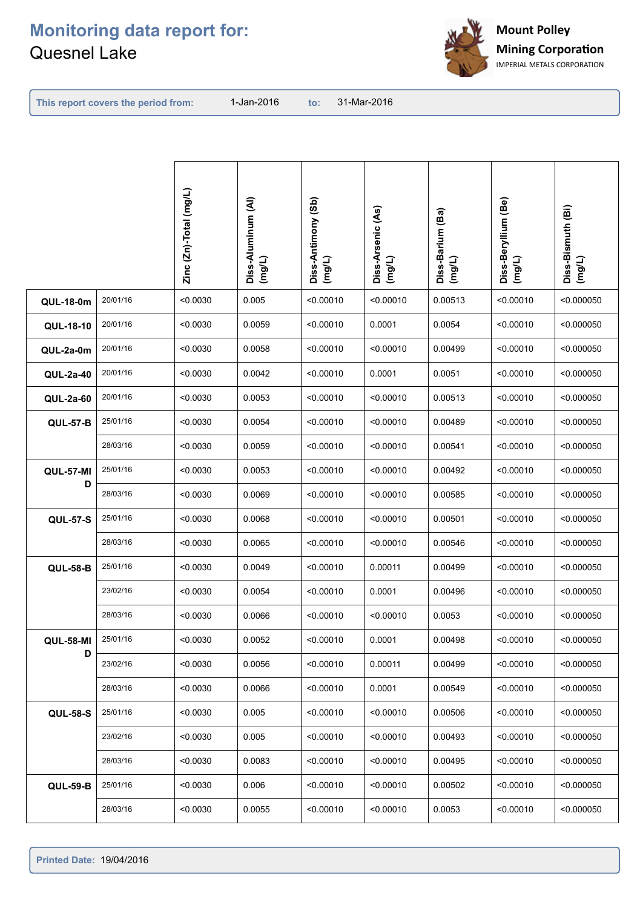

**This report covers the period from:** 

|                  |          | Zinc (Zn)-Total (mg/L) | Diss-Aluminum (Al)<br>(mg/L) | Diss-Antimony (Sb)<br>(mg/L) | Diss-Arsenic (As)<br>(mg/L) | Diss-Barium (Ba)<br>(mg/L) | Diss-Beryllium (Be)<br>$($ mg/L) | Diss-Bismuth (Bi)<br>(mg/L) |
|------------------|----------|------------------------|------------------------------|------------------------------|-----------------------------|----------------------------|----------------------------------|-----------------------------|
| <b>QUL-18-0m</b> | 20/01/16 | < 0.0030               | 0.005                        | < 0.00010                    | < 0.00010                   | 0.00513                    | < 0.00010                        | < 0.000050                  |
| QUL-18-10        | 20/01/16 | < 0.0030               | 0.0059                       | < 0.00010                    | 0.0001                      | 0.0054                     | < 0.00010                        | < 0.000050                  |
| QUL-2a-0m        | 20/01/16 | < 0.0030               | 0.0058                       | < 0.00010                    | < 0.00010                   | 0.00499                    | < 0.00010                        | < 0.000050                  |
| QUL-2a-40        | 20/01/16 | < 0.0030               | 0.0042                       | < 0.00010                    | 0.0001                      | 0.0051                     | < 0.00010                        | < 0.000050                  |
| QUL-2a-60        | 20/01/16 | < 0.0030               | 0.0053                       | < 0.00010                    | < 0.00010                   | 0.00513                    | < 0.00010                        | < 0.000050                  |
| <b>QUL-57-B</b>  | 25/01/16 | < 0.0030               | 0.0054                       | < 0.00010                    | < 0.00010                   | 0.00489                    | < 0.00010                        | < 0.000050                  |
|                  | 28/03/16 | < 0.0030               | 0.0059                       | < 0.00010                    | < 0.00010                   | 0.00541                    | < 0.00010                        | < 0.000050                  |
| <b>QUL-57-MI</b> | 25/01/16 | < 0.0030               | 0.0053                       | < 0.00010                    | < 0.00010                   | 0.00492                    | < 0.00010                        | < 0.000050                  |
| D                | 28/03/16 | < 0.0030               | 0.0069                       | < 0.00010                    | < 0.00010                   | 0.00585                    | < 0.00010                        | < 0.000050                  |
| <b>QUL-57-S</b>  | 25/01/16 | < 0.0030               | 0.0068                       | < 0.00010                    | < 0.00010                   | 0.00501                    | < 0.00010                        | < 0.000050                  |
|                  | 28/03/16 | < 0.0030               | 0.0065                       | < 0.00010                    | < 0.00010                   | 0.00546                    | < 0.00010                        | < 0.000050                  |
| <b>QUL-58-B</b>  | 25/01/16 | < 0.0030               | 0.0049                       | < 0.00010                    | 0.00011                     | 0.00499                    | < 0.00010                        | < 0.000050                  |
|                  | 23/02/16 | < 0.0030               | 0.0054                       | < 0.00010                    | 0.0001                      | 0.00496                    | < 0.00010                        | < 0.000050                  |
|                  | 28/03/16 | < 0.0030               | 0.0066                       | < 0.00010                    | < 0.00010                   | 0.0053                     | < 0.00010                        | < 0.000050                  |
| <b>QUL-58-MI</b> | 25/01/16 | < 0.0030               | 0.0052                       | < 0.00010                    | 0.0001                      | 0.00498                    | < 0.00010                        | < 0.000050                  |
| D                | 23/02/16 | < 0.0030               | 0.0056                       | < 0.00010                    | 0.00011                     | 0.00499                    | < 0.00010                        | < 0.000050                  |
|                  | 28/03/16 | < 0.0030               | 0.0066                       | < 0.00010                    | 0.0001                      | 0.00549                    | < 0.00010                        | < 0.000050                  |
| <b>QUL-58-S</b>  | 25/01/16 | < 0.0030               | 0.005                        | < 0.00010                    | < 0.00010                   | 0.00506                    | < 0.00010                        | < 0.000050                  |
|                  | 23/02/16 | < 0.0030               | 0.005                        | < 0.00010                    | < 0.00010                   | 0.00493                    | < 0.00010                        | < 0.000050                  |
|                  | 28/03/16 | < 0.0030               | 0.0083                       | < 0.00010                    | < 0.00010                   | 0.00495                    | < 0.00010                        | < 0.000050                  |
| <b>QUL-59-B</b>  | 25/01/16 | < 0.0030               | 0.006                        | < 0.00010                    | < 0.00010                   | 0.00502                    | < 0.00010                        | < 0.000050                  |
|                  | 28/03/16 | < 0.0030               | 0.0055                       | < 0.00010                    | < 0.00010                   | 0.0053                     | < 0.00010                        | < 0.000050                  |
|                  |          |                        |                              |                              |                             |                            |                                  |                             |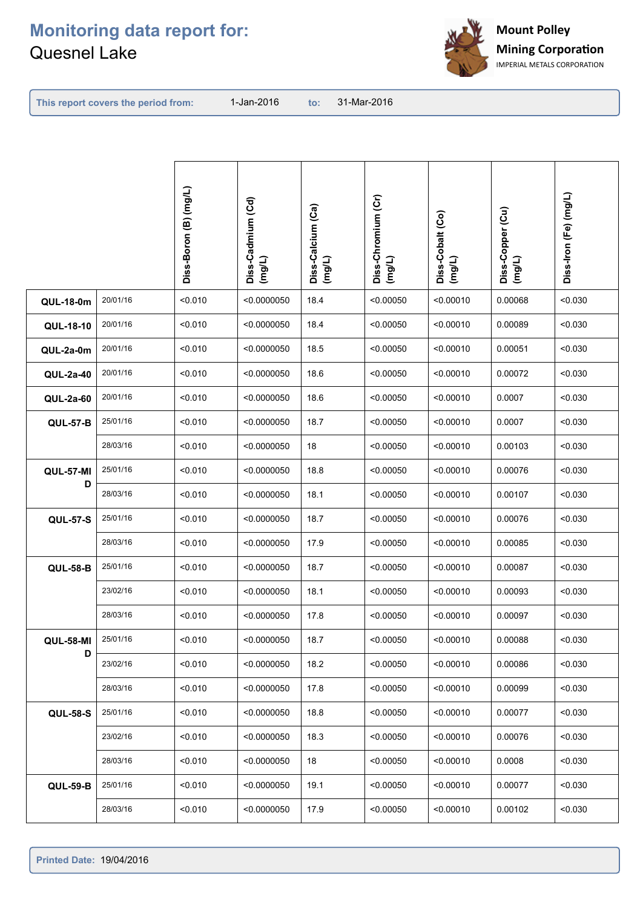

**This report covers the period from:** 

|                  |          | Diss-Boron (B) (mg/L) | Diss-Cadmium (Cd)<br>(mg/L) | Diss-Calcium (Ca)<br>(mg/L) | Diss-Chromium (Cr)<br>(mg/L) | Diss-Cobalt (Co)<br>(mg/L) | Diss-Copper (Cu)<br>(mg/L) | Diss-Iron (Fe) (mg/L) |
|------------------|----------|-----------------------|-----------------------------|-----------------------------|------------------------------|----------------------------|----------------------------|-----------------------|
| <b>QUL-18-0m</b> | 20/01/16 | < 0.010               | < 0.0000050                 | 18.4                        | < 0.00050                    | < 0.00010                  | 0.00068                    | < 0.030               |
| QUL-18-10        | 20/01/16 | < 0.010               | < 0.0000050                 | 18.4                        | < 0.00050                    | < 0.00010                  | 0.00089                    | < 0.030               |
| QUL-2a-0m        | 20/01/16 | < 0.010               | < 0.0000050                 | 18.5                        | < 0.00050                    | < 0.00010                  | 0.00051                    | < 0.030               |
| QUL-2a-40        | 20/01/16 | < 0.010               | < 0.0000050                 | 18.6                        | < 0.00050                    | < 0.00010                  | 0.00072                    | < 0.030               |
| <b>QUL-2a-60</b> | 20/01/16 | < 0.010               | < 0.0000050                 | 18.6                        | < 0.00050                    | < 0.00010                  | 0.0007                     | < 0.030               |
| <b>QUL-57-B</b>  | 25/01/16 | < 0.010               | < 0.0000050                 | 18.7                        | < 0.00050                    | < 0.00010                  | 0.0007                     | < 0.030               |
|                  | 28/03/16 | < 0.010               | < 0.0000050                 | 18                          | < 0.00050                    | < 0.00010                  | 0.00103                    | < 0.030               |
| <b>QUL-57-MI</b> | 25/01/16 | < 0.010               | < 0.0000050                 | 18.8                        | < 0.00050                    | < 0.00010                  | 0.00076                    | < 0.030               |
| D                | 28/03/16 | < 0.010               | < 0.0000050                 | 18.1                        | < 0.00050                    | < 0.00010                  | 0.00107                    | < 0.030               |
| <b>QUL-57-S</b>  | 25/01/16 | < 0.010               | < 0.0000050                 | 18.7                        | < 0.00050                    | < 0.00010                  | 0.00076                    | < 0.030               |
|                  | 28/03/16 | < 0.010               | < 0.0000050                 | 17.9                        | < 0.00050                    | < 0.00010                  | 0.00085                    | < 0.030               |
| <b>QUL-58-B</b>  | 25/01/16 | < 0.010               | < 0.0000050                 | 18.7                        | < 0.00050                    | < 0.00010                  | 0.00087                    | < 0.030               |
|                  | 23/02/16 | < 0.010               | < 0.0000050                 | 18.1                        | < 0.00050                    | < 0.00010                  | 0.00093                    | < 0.030               |
|                  | 28/03/16 | < 0.010               | < 0.0000050                 | 17.8                        | < 0.00050                    | < 0.00010                  | 0.00097                    | < 0.030               |
| <b>QUL-58-MI</b> | 25/01/16 | < 0.010               | < 0.0000050                 | 18.7                        | < 0.00050                    | < 0.00010                  | 0.00088                    | < 0.030               |
| D                | 23/02/16 | < 0.010               | < 0.0000050                 | 18.2                        | < 0.00050                    | < 0.00010                  | 0.00086                    | < 0.030               |
|                  | 28/03/16 | < 0.010               | < 0.0000050                 | 17.8                        | < 0.00050                    | < 0.00010                  | 0.00099                    | < 0.030               |
| <b>QUL-58-S</b>  | 25/01/16 | < 0.010               | < 0.0000050                 | 18.8                        | < 0.00050                    | < 0.00010                  | 0.00077                    | < 0.030               |
|                  | 23/02/16 | < 0.010               | < 0.0000050                 | 18.3                        | < 0.00050                    | < 0.00010                  | 0.00076                    | < 0.030               |
|                  | 28/03/16 | < 0.010               | < 0.0000050                 | 18                          | < 0.00050                    | < 0.00010                  | 0.0008                     | < 0.030               |
| <b>QUL-59-B</b>  | 25/01/16 | < 0.010               | < 0.0000050                 | 19.1                        | < 0.00050                    | < 0.00010                  | 0.00077                    | < 0.030               |
|                  | 28/03/16 | < 0.010               | < 0.0000050                 | 17.9                        | < 0.00050                    | < 0.00010                  | 0.00102                    | < 0.030               |
|                  |          |                       |                             |                             |                              |                            |                            |                       |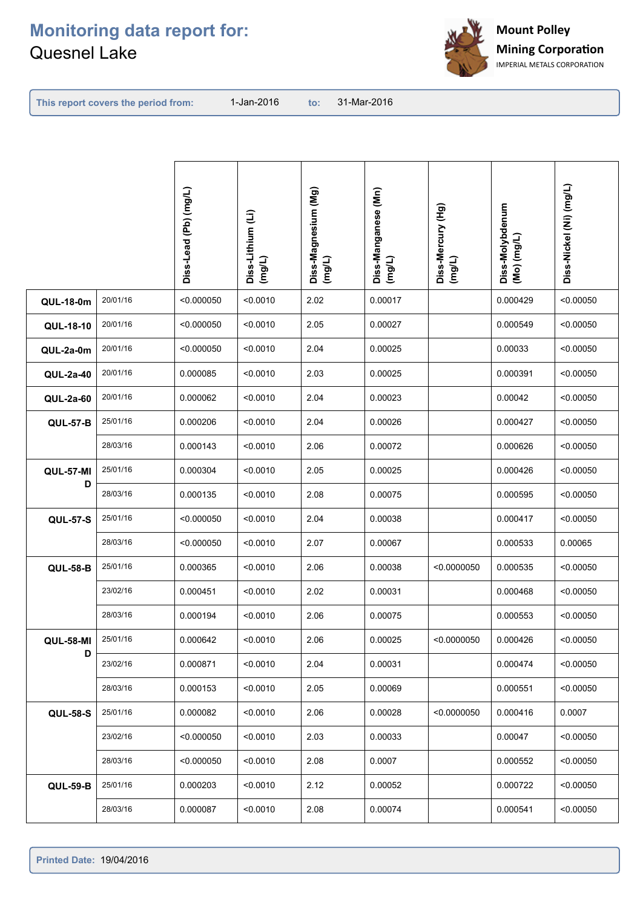

**This report covers the period from:** 

|                  |          | Diss-Lead (Pb) (mg/L) | Diss-Lithium (Li)<br>(mg/L) | Diss-Magnesium (Mg)<br>(mg/L) | Diss-Manganese (Mn)<br>(mg/L) | Diss-Mercury (Hg)<br>(mg/L) | Diss-Molybdenum<br>$($ Mo) $($ mg/L $)$ | Diss-Nickel (Ni) (mg/L) |
|------------------|----------|-----------------------|-----------------------------|-------------------------------|-------------------------------|-----------------------------|-----------------------------------------|-------------------------|
| <b>QUL-18-0m</b> | 20/01/16 | < 0.000050            | < 0.0010                    | 2.02                          | 0.00017                       |                             | 0.000429                                | < 0.00050               |
| QUL-18-10        | 20/01/16 | < 0.000050            | < 0.0010                    | 2.05                          | 0.00027                       |                             | 0.000549                                | < 0.00050               |
| QUL-2a-0m        | 20/01/16 | < 0.000050            | < 0.0010                    | 2.04                          | 0.00025                       |                             | 0.00033                                 | < 0.00050               |
| QUL-2a-40        | 20/01/16 | 0.000085              | < 0.0010                    | 2.03                          | 0.00025                       |                             | 0.000391                                | < 0.00050               |
| <b>QUL-2a-60</b> | 20/01/16 | 0.000062              | < 0.0010                    | 2.04                          | 0.00023                       |                             | 0.00042                                 | < 0.00050               |
| <b>QUL-57-B</b>  | 25/01/16 | 0.000206              | < 0.0010                    | 2.04                          | 0.00026                       |                             | 0.000427                                | < 0.00050               |
|                  | 28/03/16 | 0.000143              | < 0.0010                    | 2.06                          | 0.00072                       |                             | 0.000626                                | < 0.00050               |
| <b>QUL-57-MI</b> | 25/01/16 | 0.000304              | < 0.0010                    | 2.05                          | 0.00025                       |                             | 0.000426                                | < 0.00050               |
| D                | 28/03/16 | 0.000135              | < 0.0010                    | 2.08                          | 0.00075                       |                             | 0.000595                                | < 0.00050               |
| <b>QUL-57-S</b>  | 25/01/16 | < 0.000050            | < 0.0010                    | 2.04                          | 0.00038                       |                             | 0.000417                                | < 0.00050               |
|                  | 28/03/16 | < 0.000050            | < 0.0010                    | 2.07                          | 0.00067                       |                             | 0.000533                                | 0.00065                 |
| <b>QUL-58-B</b>  | 25/01/16 | 0.000365              | < 0.0010                    | 2.06                          | 0.00038                       | < 0.0000050                 | 0.000535                                | < 0.00050               |
|                  | 23/02/16 | 0.000451              | < 0.0010                    | 2.02                          | 0.00031                       |                             | 0.000468                                | < 0.00050               |
|                  | 28/03/16 | 0.000194              | < 0.0010                    | 2.06                          | 0.00075                       |                             | 0.000553                                | < 0.00050               |
| <b>QUL-58-MI</b> | 25/01/16 | 0.000642              | < 0.0010                    | 2.06                          | 0.00025                       | < 0.0000050                 | 0.000426                                | < 0.00050               |
| D                | 23/02/16 | 0.000871              | < 0.0010                    | 2.04                          | 0.00031                       |                             | 0.000474                                | < 0.00050               |
|                  | 28/03/16 | 0.000153              | < 0.0010                    | 2.05                          | 0.00069                       |                             | 0.000551                                | < 0.00050               |
| <b>QUL-58-S</b>  | 25/01/16 | 0.000082              | < 0.0010                    | 2.06                          | 0.00028                       | < 0.0000050                 | 0.000416                                | 0.0007                  |
|                  | 23/02/16 | < 0.000050            | < 0.0010                    | 2.03                          | 0.00033                       |                             | 0.00047                                 | < 0.00050               |
|                  | 28/03/16 | < 0.000050            | < 0.0010                    | 2.08                          | 0.0007                        |                             | 0.000552                                | < 0.00050               |
| <b>QUL-59-B</b>  | 25/01/16 | 0.000203              | < 0.0010                    | 2.12                          | 0.00052                       |                             | 0.000722                                | < 0.00050               |
|                  | 28/03/16 | 0.000087              | < 0.0010                    | 2.08                          | 0.00074                       |                             | 0.000541                                | < 0.00050               |
|                  |          |                       |                             |                               |                               |                             |                                         |                         |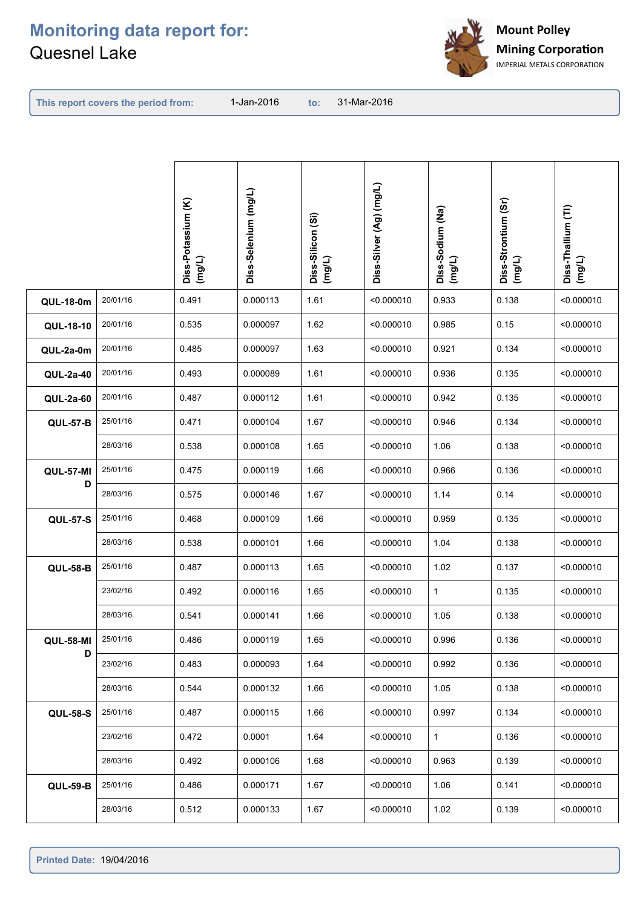

**This report covers the period from:** 

|                  |          | Diss-Potassium (K)<br>(mg/L) | Diss-Selenium (mg/L) | Diss-Silicon (Si)<br>(mg/L) | Diss-Silver (Ag) (mg/L) | Diss-Sodium (Na)<br>(mg/L) | Diss-Strontium (Sr)<br>(mg/L) | Diss-Thallium (Tl)<br>(mg/L) |
|------------------|----------|------------------------------|----------------------|-----------------------------|-------------------------|----------------------------|-------------------------------|------------------------------|
|                  |          |                              |                      |                             |                         |                            |                               |                              |
| <b>QUL-18-0m</b> | 20/01/16 | 0.491                        | 0.000113             | 1.61                        | < 0.000010              | 0.933                      | 0.138                         | < 0.000010                   |
| QUL-18-10        | 20/01/16 | 0.535                        | 0.000097             | 1.62                        | < 0.000010              | 0.985                      | 0.15                          | < 0.000010                   |
| QUL-2a-0m        | 20/01/16 | 0.485                        | 0.000097             | 1.63                        | < 0.000010              | 0.921                      | 0.134                         | < 0.000010                   |
| QUL-2a-40        | 20/01/16 | 0.493                        | 0.000089             | 1.61                        | < 0.000010              | 0.936                      | 0.135                         | < 0.000010                   |
| QUL-2a-60        | 20/01/16 | 0.487                        | 0.000112             | 1.61                        | < 0.000010              | 0.942                      | 0.135                         | < 0.000010                   |
| <b>QUL-57-B</b>  | 25/01/16 | 0.471                        | 0.000104             | 1.67                        | < 0.000010              | 0.946                      | 0.134                         | < 0.000010                   |
|                  | 28/03/16 | 0.538                        | 0.000108             | 1.65                        | < 0.000010              | 1.06                       | 0.138                         | < 0.000010                   |
| <b>QUL-57-MI</b> | 25/01/16 | 0.475                        | 0.000119             | 1.66                        | < 0.000010              | 0.966                      | 0.136                         | < 0.000010                   |
| D                | 28/03/16 | 0.575                        | 0.000146             | 1.67                        | < 0.000010              | 1.14                       | 0.14                          | < 0.000010                   |
| <b>QUL-57-S</b>  | 25/01/16 | 0.468                        | 0.000109             | 1.66                        | < 0.000010              | 0.959                      | 0.135                         | < 0.000010                   |
|                  | 28/03/16 | 0.538                        | 0.000101             | 1.66                        | < 0.000010              | 1.04                       | 0.138                         | < 0.000010                   |
| <b>QUL-58-B</b>  | 25/01/16 | 0.487                        | 0.000113             | 1.65                        | < 0.000010              | 1.02                       | 0.137                         | < 0.000010                   |
|                  | 23/02/16 | 0.492                        | 0.000116             | 1.65                        | < 0.000010              | $\mathbf{1}$               | 0.135                         | < 0.000010                   |
|                  | 28/03/16 | 0.541                        | 0.000141             | 1.66                        | < 0.000010              | 1.05                       | 0.138                         | < 0.000010                   |
| <b>QUL-58-MI</b> | 25/01/16 | 0.486                        | 0.000119             | 1.65                        | < 0.000010              | 0.996                      | 0.136                         | < 0.000010                   |
| D                | 23/02/16 | 0.483                        | 0.000093             | 1.64                        | < 0.000010              | 0.992                      | 0.136                         | < 0.000010                   |
|                  | 28/03/16 | 0.544                        | 0.000132             | 1.66                        | < 0.000010              | 1.05                       | 0.138                         | < 0.000010                   |
| <b>QUL-58-S</b>  | 25/01/16 | 0.487                        | 0.000115             | 1.66                        | < 0.000010              | 0.997                      | 0.134                         | < 0.000010                   |
|                  | 23/02/16 | 0.472                        | 0.0001               | 1.64                        | < 0.000010              | $\mathbf{1}$               | 0.136                         | < 0.000010                   |
|                  | 28/03/16 | 0.492                        | 0.000106             | 1.68                        | < 0.000010              | 0.963                      | 0.139                         | < 0.000010                   |
| <b>QUL-59-B</b>  | 25/01/16 | 0.486                        | 0.000171             | 1.67                        | < 0.000010              | 1.06                       | 0.141                         | < 0.000010                   |
|                  | 28/03/16 | 0.512                        | 0.000133             | 1.67                        | < 0.000010              | 1.02                       | 0.139                         | < 0.000010                   |
|                  |          |                              |                      |                             |                         |                            |                               |                              |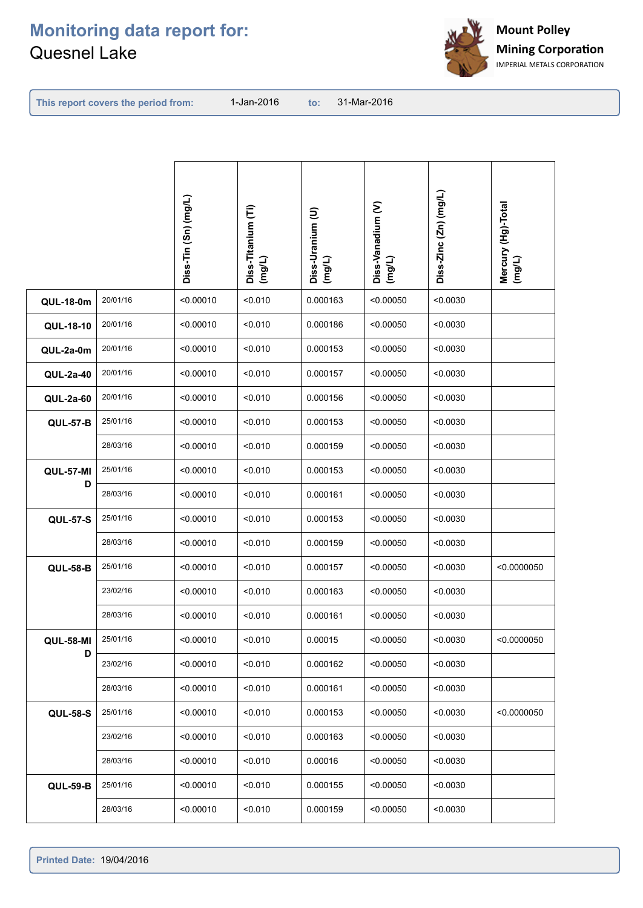

**This report covers the period from:** 

|                  |          | Diss-Tin (Sn) (mg/L) | Diss-Titanium (Ti)<br>(mg/L) | Diss-Uranium (U)<br>(mg/L) | Diss-Vanadium (V)<br>(mg/L) | Diss-Zinc (Zn) (mg/L) | Mercury (Hg)-Total<br>(mg/L) |
|------------------|----------|----------------------|------------------------------|----------------------------|-----------------------------|-----------------------|------------------------------|
| <b>QUL-18-0m</b> | 20/01/16 | < 0.00010            | < 0.010                      | 0.000163                   | < 0.00050                   | < 0.0030              |                              |
| QUL-18-10        | 20/01/16 | < 0.00010            | < 0.010                      | 0.000186                   | < 0.00050                   | < 0.0030              |                              |
| QUL-2a-0m        | 20/01/16 | < 0.00010            | < 0.010                      | 0.000153                   | < 0.00050                   | < 0.0030              |                              |
| QUL-2a-40        | 20/01/16 | < 0.00010            | < 0.010                      | 0.000157                   | < 0.00050                   | < 0.0030              |                              |
| <b>QUL-2a-60</b> | 20/01/16 | < 0.00010            | < 0.010                      | 0.000156                   | < 0.00050                   | < 0.0030              |                              |
| <b>QUL-57-B</b>  | 25/01/16 | < 0.00010            | < 0.010                      | 0.000153                   | < 0.00050                   | < 0.0030              |                              |
|                  | 28/03/16 | < 0.00010            | < 0.010                      | 0.000159                   | < 0.00050                   | < 0.0030              |                              |
| <b>QUL-57-MI</b> | 25/01/16 | < 0.00010            | < 0.010                      | 0.000153                   | < 0.00050                   | < 0.0030              |                              |
| D                | 28/03/16 | < 0.00010            | < 0.010                      | 0.000161                   | < 0.00050                   | < 0.0030              |                              |
| <b>QUL-57-S</b>  | 25/01/16 | < 0.00010            | < 0.010                      | 0.000153                   | < 0.00050                   | < 0.0030              |                              |
|                  | 28/03/16 | < 0.00010            | < 0.010                      | 0.000159                   | < 0.00050                   | < 0.0030              |                              |
| <b>QUL-58-B</b>  | 25/01/16 | < 0.00010            | < 0.010                      | 0.000157                   | < 0.00050                   | < 0.0030              | < 0.0000050                  |
|                  | 23/02/16 | < 0.00010            | < 0.010                      | 0.000163                   | < 0.00050                   | < 0.0030              |                              |
|                  | 28/03/16 | < 0.00010            | < 0.010                      | 0.000161                   | < 0.00050                   | < 0.0030              |                              |
| <b>QUL-58-MI</b> | 25/01/16 | < 0.00010            | < 0.010                      | 0.00015                    | < 0.00050                   | < 0.0030              | < 0.0000050                  |
| D                | 23/02/16 | < 0.00010            | < 0.010                      | 0.000162                   | < 0.00050                   | < 0.0030              |                              |
|                  | 28/03/16 | < 0.00010            | < 0.010                      | 0.000161                   | < 0.00050                   | < 0.0030              |                              |
| <b>QUL-58-S</b>  | 25/01/16 | < 0.00010            | < 0.010                      | 0.000153                   | < 0.00050                   | < 0.0030              | < 0.0000050                  |
|                  | 23/02/16 | < 0.00010            | < 0.010                      | 0.000163                   | < 0.00050                   | < 0.0030              |                              |
|                  | 28/03/16 | < 0.00010            | < 0.010                      | 0.00016                    | < 0.00050                   | < 0.0030              |                              |
| <b>QUL-59-B</b>  | 25/01/16 | < 0.00010            | < 0.010                      | 0.000155                   | < 0.00050                   | < 0.0030              |                              |
|                  | 28/03/16 | < 0.00010            | < 0.010                      | 0.000159                   | < 0.00050                   | < 0.0030              |                              |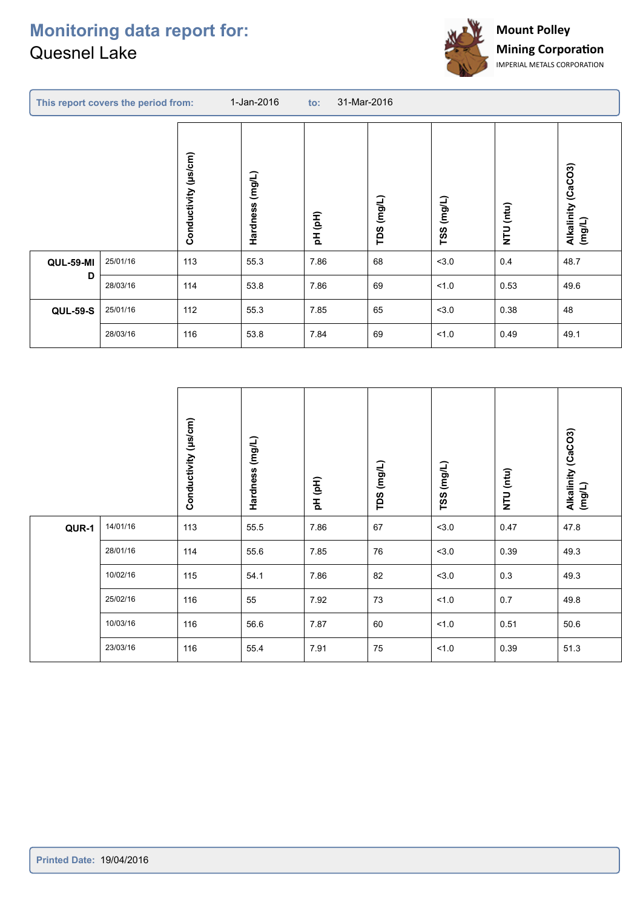C



|                  | This report covers the period from: |                      | 1-Jan-2016            | 31-Mar-2016<br>$\mathbf{to}$ : |               |            |           |                                 |  |
|------------------|-------------------------------------|----------------------|-----------------------|--------------------------------|---------------|------------|-----------|---------------------------------|--|
|                  |                                     | Conductivity (µs/cm) | $($ mg/L)<br>Hardness | pH (pH)                        | (mg/L)<br>TDS | TSS (mg/L) | NTU (ntu) | (CaCO3)<br>Alkalinity<br>(mg/L) |  |
| <b>QUL-59-MI</b> | 25/01/16                            | 113                  | 55.3                  | 7.86                           | 68            | < 3.0      | 0.4       | 48.7                            |  |
| D                | 28/03/16                            | 114                  | 53.8                  | 7.86                           | 69            | 1.0        | 0.53      | 49.6                            |  |
| <b>QUL-59-S</b>  | 25/01/16                            | 112                  | 55.3                  | 7.85                           | 65            | < 3.0      | 0.38      | 48                              |  |
|                  | 28/03/16                            | 116                  | 53.8                  | 7.84                           | 69            | 1.0        | 0.49      | 49.1                            |  |
|                  |                                     |                      |                       |                                |               |            |           |                                 |  |

|       |          | $(\mu s/cm)$<br>Conductivity | Hardness (mg/L) | pH (pH) | (mg/L)<br>TDS | TSS (mg/L) | NTU (ntu) | Alkalinity (CaCO3)<br>(mg/L) |
|-------|----------|------------------------------|-----------------|---------|---------------|------------|-----------|------------------------------|
| QUR-1 | 14/01/16 | 113                          | 55.5            | 7.86    | 67            | < 3.0      | 0.47      | 47.8                         |
|       | 28/01/16 | 114                          | 55.6            | 7.85    | 76            | < 3.0      | 0.39      | 49.3                         |
|       | 10/02/16 | 115                          | 54.1            | 7.86    | 82            | 3.0        | $0.3\,$   | 49.3                         |
|       | 25/02/16 | 116                          | 55              | 7.92    | 73            | 1.0        | 0.7       | 49.8                         |
|       | 10/03/16 | 116                          | 56.6            | 7.87    | 60            | 1.0        | 0.51      | 50.6                         |
|       | 23/03/16 | 116                          | 55.4            | 7.91    | 75            | 1.0        | 0.39      | 51.3                         |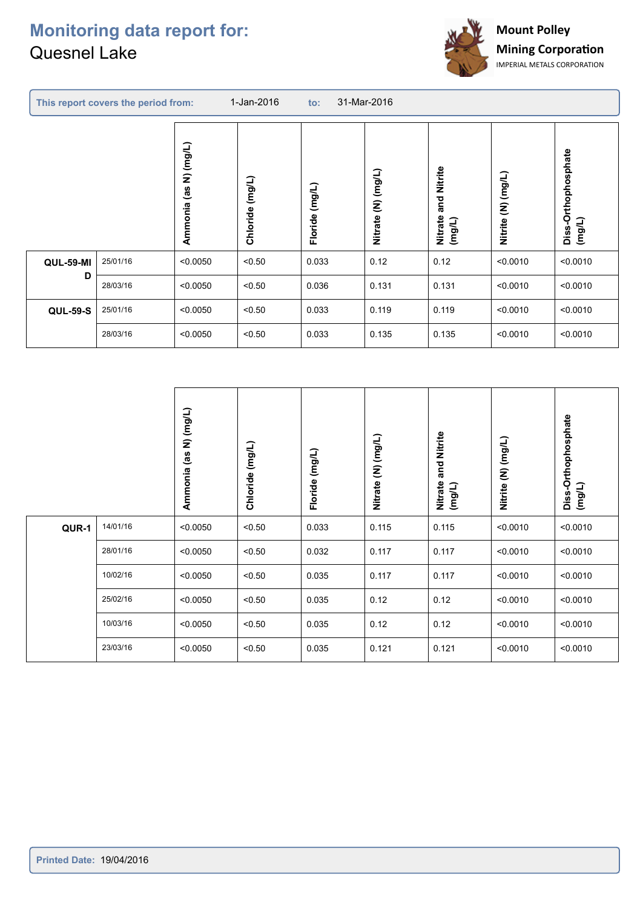ł



|                  | This report covers the period from: |                             | 1-Jan-2016         | $\mathsf{to}$ :   | 31-Mar-2016        |                                     |                              |                               |  |
|------------------|-------------------------------------|-----------------------------|--------------------|-------------------|--------------------|-------------------------------------|------------------------------|-------------------------------|--|
|                  |                                     | N) (mg/L)<br>es)<br>Ammonia | (mg/L)<br>Chloride | (mg/L)<br>Floride | Nitrate (N) (mg/L) | Nitrite<br>and<br>Nitrate<br>(mg/L) | $(1/6\omega)$ (M)<br>Nitrite | Diss-Orthophosphate<br>(mg/L) |  |
| <b>QUL-59-MI</b> | 25/01/16                            | < 0.0050                    | < 0.50             | 0.033             | 0.12               | 0.12                                | < 0.0010                     | < 0.0010                      |  |
| D                | 28/03/16                            | < 0.0050                    | < 0.50             | 0.036             | 0.131              | 0.131                               | < 0.0010                     | < 0.0010                      |  |
| <b>QUL-59-S</b>  | 25/01/16                            | < 0.0050                    | < 0.50             | 0.033             | 0.119              | 0.119                               | < 0.0010                     | < 0.0010                      |  |
|                  | 28/03/16                            | < 0.0050                    | < 0.50             | 0.033             | 0.135              | 0.135                               | < 0.0010                     | < 0.0010                      |  |
|                  |                                     |                             |                    |                   |                    |                                     |                              |                               |  |

|       |          | N) (mg/L)<br>(as<br>Ammonia | Chloride (mg/L) | Floride (mg/L) | Nitrate (N) (mg/L) | and Nitrite<br>Nitrate<br>(mg/L) | Nitrite (N) (mg/L) | Diss-Orthophosphate<br>(mg/L) |
|-------|----------|-----------------------------|-----------------|----------------|--------------------|----------------------------------|--------------------|-------------------------------|
| QUR-1 | 14/01/16 | < 0.0050                    | < 0.50          | 0.033          | 0.115              | 0.115                            | < 0.0010           | < 0.0010                      |
|       | 28/01/16 | < 0.0050                    | < 0.50          | 0.032          | 0.117              | 0.117                            | < 0.0010           | < 0.0010                      |
|       | 10/02/16 | < 0.0050                    | < 0.50          | 0.035          | 0.117              | 0.117                            | < 0.0010           | < 0.0010                      |
|       | 25/02/16 | < 0.0050                    | < 0.50          | 0.035          | 0.12               | 0.12                             | < 0.0010           | < 0.0010                      |
|       | 10/03/16 | < 0.0050                    | < 0.50          | 0.035          | 0.12               | 0.12                             | < 0.0010           | < 0.0010                      |
|       | 23/03/16 | < 0.0050                    | < 0.50          | 0.035          | 0.121              | 0.121                            | < 0.0010           | < 0.0010                      |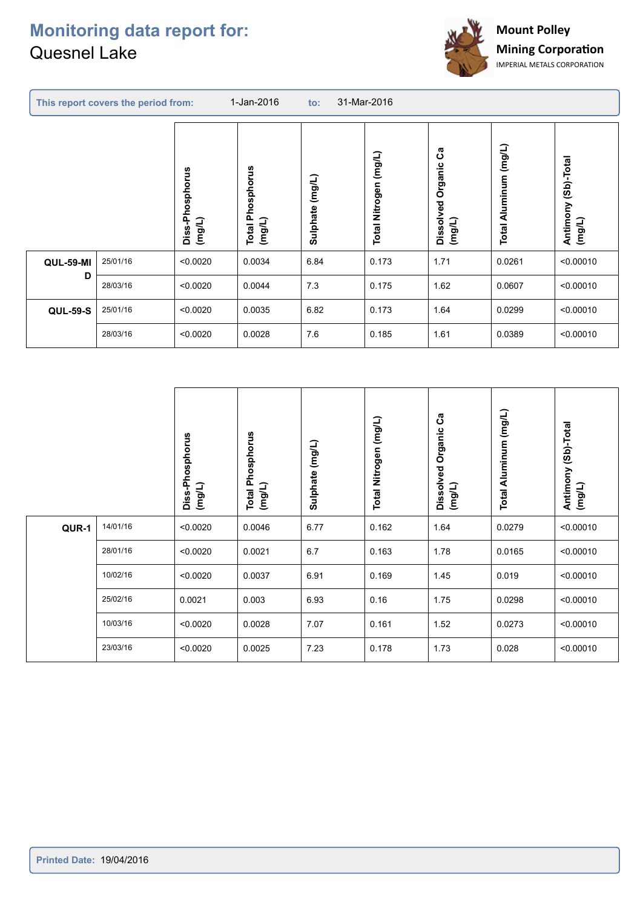ł



| This report covers the period from: |          |                           | 1-Jan-2016<br>31-Mar-2016<br>$\mathsf{to}$ : |                       |                             |                                       |                           |                                  |  |
|-------------------------------------|----------|---------------------------|----------------------------------------------|-----------------------|-----------------------------|---------------------------------------|---------------------------|----------------------------------|--|
|                                     |          | Diss-Phosphorus<br>(mg/L) | hosphorus<br>Δ.<br>(mg/L)<br>Total           | $($ mg/L)<br>Sulphate | (mg/L)<br>Nitrogen<br>Total | ပိဳ<br>Organic<br>Dissolved<br>(mg/L) | Aluminum (mg/L)<br>Total. | (Sb)-Total<br>Antimony<br>(mg/L) |  |
| <b>QUL-59-MI</b>                    | 25/01/16 | < 0.0020                  | 0.0034                                       | 6.84                  | 0.173                       | 1.71                                  | 0.0261                    | < 0.00010                        |  |
| D                                   | 28/03/16 | < 0.0020                  | 0.0044                                       | 7.3                   | 0.175                       | 1.62                                  | 0.0607                    | < 0.00010                        |  |
| <b>QUL-59-S</b>                     | 25/01/16 | < 0.0020                  | 0.0035                                       | 6.82                  | 0.173                       | 1.64                                  | 0.0299                    | < 0.00010                        |  |
|                                     | 28/03/16 | < 0.0020                  | 0.0028                                       | 7.6                   | 0.185                       | 1.61                                  | 0.0389                    | < 0.00010                        |  |
|                                     |          |                           |                                              |                       |                             |                                       |                           |                                  |  |

|       |          | Diss-Phosphorus<br>(mg/L) | <b>Total Phosphorus</b><br>(mg/L) | Sulphate (mg/L) | Total Nitrogen (mg/L) | ပိ<br>Organic<br>Dissolved<br>(mg/L) | Total Aluminum (mg/L) | (Sb)-Total<br>Antimony<br>(mg/L) |
|-------|----------|---------------------------|-----------------------------------|-----------------|-----------------------|--------------------------------------|-----------------------|----------------------------------|
| QUR-1 | 14/01/16 | < 0.0020                  | 0.0046                            | 6.77            | 0.162                 | 1.64                                 | 0.0279                | < 0.00010                        |
|       | 28/01/16 | < 0.0020                  | 0.0021                            | 6.7             | 0.163                 | 1.78                                 | 0.0165                | < 0.00010                        |
|       | 10/02/16 | < 0.0020                  | 0.0037                            | 6.91            | 0.169                 | 1.45                                 | 0.019                 | < 0.00010                        |
|       | 25/02/16 | 0.0021                    | 0.003                             | 6.93            | 0.16                  | 1.75                                 | 0.0298                | < 0.00010                        |
|       | 10/03/16 | < 0.0020                  | 0.0028                            | 7.07            | 0.161                 | 1.52                                 | 0.0273                | < 0.00010                        |
|       | 23/03/16 | < 0.0020                  | 0.0025                            | 7.23            | 0.178                 | 1.73                                 | 0.028                 | < 0.00010                        |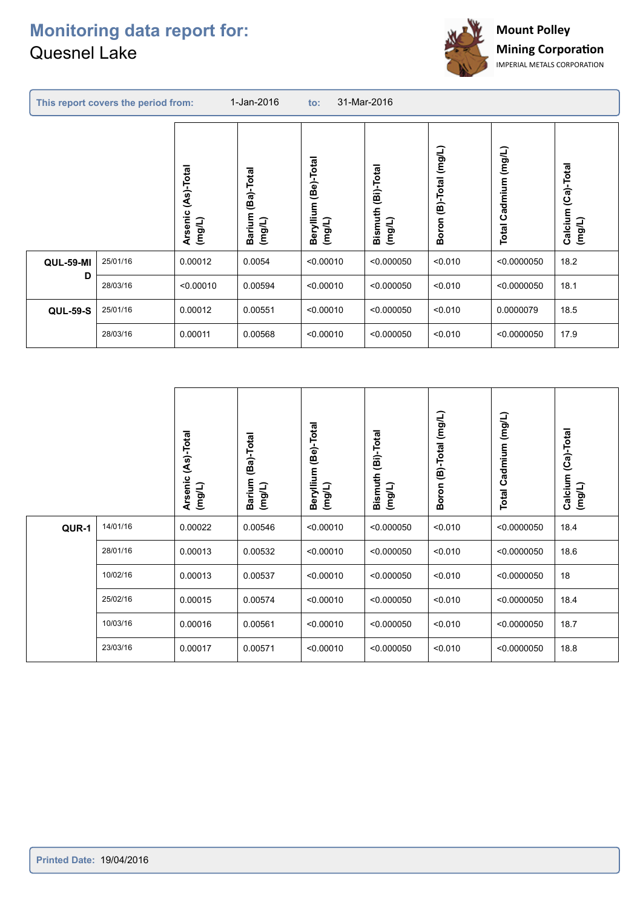

|                  | This report covers the period from: |                                 | 31-Mar-2016<br>1-Jan-2016<br>$\mathsf{to}$ : |                                   |                                        |                        |                                   |                                 |
|------------------|-------------------------------------|---------------------------------|----------------------------------------------|-----------------------------------|----------------------------------------|------------------------|-----------------------------------|---------------------------------|
|                  |                                     | (As)-Total<br>Arsenic<br>(mg/L) | (Ba)-Total<br>Barium<br>$($ mg/L)            | (Be)-Total<br>Beryllium<br>(mg/L) | (Bi)-Total<br><b>Bismuth</b><br>(mg/L) | Boron (B)-Total (mg/L) | (mg/L)<br>Cadmium<br><b>Total</b> | (Ca)-Total<br>Calcium<br>(mg/L) |
| <b>QUL-59-MI</b> | 25/01/16                            | 0.00012                         | 0.0054                                       | < 0.00010                         | < 0.000050                             | < 0.010                | < 0.0000050                       | 18.2                            |
| D                | 28/03/16                            | < 0.00010                       | 0.00594                                      | < 0.00010                         | < 0.000050                             | < 0.010                | < 0.0000050                       | 18.1                            |
| <b>QUL-59-S</b>  | 25/01/16                            | 0.00012                         | 0.00551                                      | < 0.00010                         | < 0.000050                             | < 0.010                | 0.0000079                         | 18.5                            |
|                  | 28/03/16                            | 0.00011                         | 0.00568                                      | < 0.00010                         | < 0.000050                             | < 0.010                | < 0.0000050                       | 17.9                            |

|       |          | (As)-Total<br>Arsenic<br>(mg/L) | (Ba)-Total<br><b>Barium</b><br>(mg/L) | Beryllium (Be)-Total<br>(mg/L) | (Bi)-Total<br><b>Bismuth</b><br>(mg/L) | Boron (B)-Total (mg/L) | Cadmium (mg/L)<br>Total | (Ca)-Total<br>Calcium<br>(mg/L) |
|-------|----------|---------------------------------|---------------------------------------|--------------------------------|----------------------------------------|------------------------|-------------------------|---------------------------------|
| QUR-1 | 14/01/16 | 0.00022                         | 0.00546                               | < 0.00010                      | < 0.000050                             | < 0.010                | < 0.0000050             | 18.4                            |
|       | 28/01/16 | 0.00013                         | 0.00532                               | < 0.00010                      | < 0.000050                             | < 0.010                | < 0.0000050             | 18.6                            |
|       | 10/02/16 | 0.00013                         | 0.00537                               | < 0.00010                      | < 0.000050                             | < 0.010                | < 0.0000050             | 18                              |
|       | 25/02/16 | 0.00015                         | 0.00574                               | < 0.00010                      | < 0.000050                             | < 0.010                | < 0.0000050             | 18.4                            |
|       | 10/03/16 | 0.00016                         | 0.00561                               | < 0.00010                      | < 0.000050                             | < 0.010                | < 0.0000050             | 18.7                            |
|       | 23/03/16 | 0.00017                         | 0.00571                               | < 0.00010                      | < 0.000050                             | < 0.010                | < 0.0000050             | 18.8                            |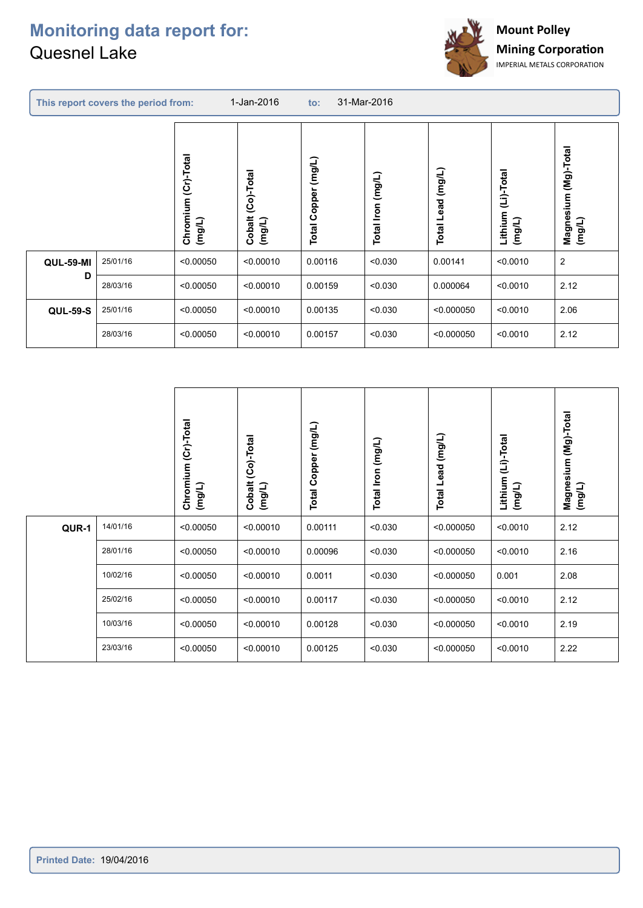

|                  | This report covers the period from: |                               | 1-Jan-2016                     | 31-Mar-2016<br>$\mathsf{to}$ : |                         |                   |                                 |                                   |
|------------------|-------------------------------------|-------------------------------|--------------------------------|--------------------------------|-------------------------|-------------------|---------------------------------|-----------------------------------|
|                  |                                     | Chromium (Cr)-Total<br>(mg/L) | (Co)-Total<br>Cobalt<br>(mg/L) | $($ mg/L)<br>Copper<br>Total   | (mg/L)<br>Iron<br>Total | Total Lead (mg/L) | (Li)-Total<br>Lithium<br>(mg/L) | (Mg)-Total<br>Magnesium<br>(mg/L) |
| <b>QUL-59-MI</b> | 25/01/16                            | < 0.00050                     | < 0.00010                      | 0.00116                        | < 0.030                 | 0.00141           | < 0.0010                        | $\overline{2}$                    |
| D                | 28/03/16                            | < 0.00050                     | < 0.00010                      | 0.00159                        | < 0.030                 | 0.000064          | < 0.0010                        | 2.12                              |
| <b>QUL-59-S</b>  | 25/01/16                            | < 0.00050                     | < 0.00010                      | 0.00135                        | < 0.030                 | < 0.000050        | < 0.0010                        | 2.06                              |
|                  | 28/03/16                            | < 0.00050                     | < 0.00010                      | 0.00157                        | < 0.030                 | < 0.000050        | < 0.0010                        | 2.12                              |

|       |          | (Cr)-Total<br>Chromium<br>(mg/L) | Cobalt (Co)-Total<br>(mg/L) | (mg/L)<br><b>Total Copper</b> | Total Iron (mg/L) | Lead (mg/L)<br>Total | (Li)-Total<br>Lithium<br>(mg/L) | Magnesium (Mg)-Total<br>(mg/L) |
|-------|----------|----------------------------------|-----------------------------|-------------------------------|-------------------|----------------------|---------------------------------|--------------------------------|
| QUR-1 | 14/01/16 | < 0.00050                        | < 0.00010                   | 0.00111                       | < 0.030           | < 0.000050           | < 0.0010                        | 2.12                           |
|       | 28/01/16 | < 0.00050                        | < 0.00010                   | 0.00096                       | < 0.030           | < 0.000050           | < 0.0010                        | 2.16                           |
|       | 10/02/16 | < 0.00050                        | < 0.00010                   | 0.0011                        | < 0.030           | < 0.000050           | 0.001                           | 2.08                           |
|       | 25/02/16 | < 0.00050                        | < 0.00010                   | 0.00117                       | < 0.030           | < 0.000050           | < 0.0010                        | 2.12                           |
|       | 10/03/16 | < 0.00050                        | < 0.00010                   | 0.00128                       | < 0.030           | < 0.000050           | < 0.0010                        | 2.19                           |
|       | 23/03/16 | < 0.00050                        | < 0.00010                   | 0.00125                       | < 0.030           | < 0.000050           | < 0.0010                        | 2.22                           |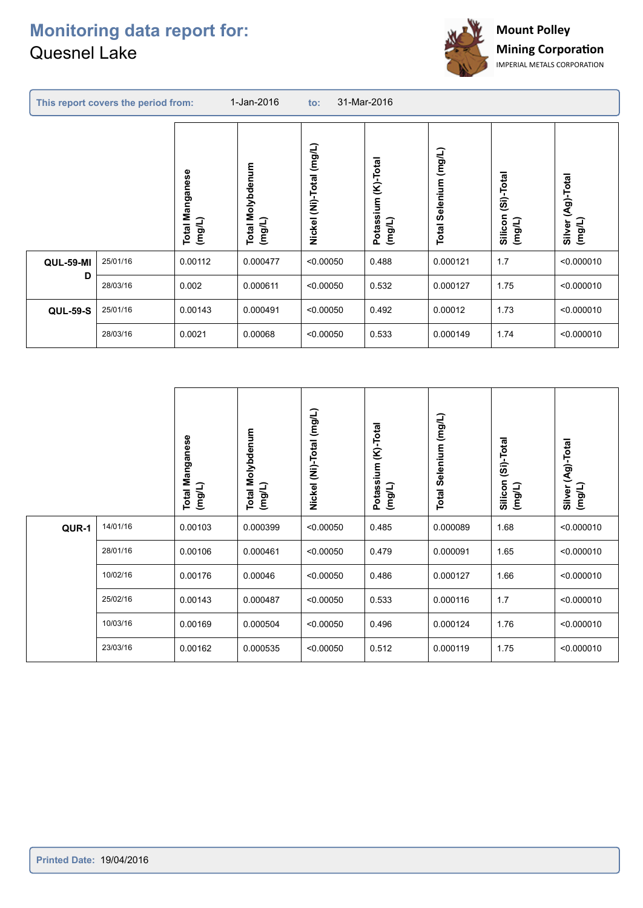

|                  | This report covers the period from: |                                     | 1-Jan-2016                    | 31-Mar-2016<br>to:       |                                  |                          |                                  |                                |
|------------------|-------------------------------------|-------------------------------------|-------------------------------|--------------------------|----------------------------------|--------------------------|----------------------------------|--------------------------------|
|                  |                                     | Manganese<br>(mg/L)<br><b>Total</b> | Molybdenum<br>(mg/L)<br>Total | Nickel (Ni)-Total (mg/L) | (K)-Total<br>Potassium<br>(mg/L) | Selenium (mg/L)<br>Total | -Total<br>ŝ<br>Silicon<br>(mg/L) | (Ag)-Total<br>(mg/L)<br>Silver |
| <b>QUL-59-MI</b> | 25/01/16                            | 0.00112                             | 0.000477                      | < 0.00050                | 0.488                            | 0.000121                 | 1.7                              | < 0.000010                     |
| D                | 28/03/16                            | 0.002                               | 0.000611                      | < 0.00050                | 0.532                            | 0.000127                 | 1.75                             | < 0.000010                     |
| <b>QUL-59-S</b>  | 25/01/16                            | 0.00143                             | 0.000491                      | < 0.00050                | 0.492                            | 0.00012                  | 1.73                             | < 0.000010                     |
|                  | 28/03/16                            | 0.0021                              | 0.00068                       | < 0.00050                | 0.533                            | 0.000149                 | 1.74                             | < 0.000010                     |
|                  |                                     |                                     |                               |                          |                                  |                          |                                  |                                |

|       |          | Manganese<br>(mg/L)<br>Total | <b>Total Molybdenum</b><br>(mg/L) | Nickel (Ni)-Total (mg/L) | $(K)$ -Total<br>Potassium<br>(mg/L) | Selenium (mg/L)<br><b>Total</b> | (Si)-Total<br>Silicon<br>(mg/L) | Silver (Ag)-Total<br>(mg/L) |
|-------|----------|------------------------------|-----------------------------------|--------------------------|-------------------------------------|---------------------------------|---------------------------------|-----------------------------|
| QUR-1 | 14/01/16 | 0.00103                      | 0.000399                          | < 0.00050                | 0.485                               | 0.000089                        | 1.68                            | < 0.000010                  |
|       | 28/01/16 | 0.00106                      | 0.000461                          | < 0.00050                | 0.479                               | 0.000091                        | 1.65                            | < 0.000010                  |
|       | 10/02/16 | 0.00176                      | 0.00046                           | < 0.00050                | 0.486                               | 0.000127                        | 1.66                            | < 0.000010                  |
|       | 25/02/16 | 0.00143                      | 0.000487                          | < 0.00050                | 0.533                               | 0.000116                        | 1.7                             | < 0.000010                  |
|       | 10/03/16 | 0.00169                      | 0.000504                          | < 0.00050                | 0.496                               | 0.000124                        | 1.76                            | < 0.000010                  |
|       | 23/03/16 | 0.00162                      | 0.000535                          | < 0.00050                | 0.512                               | 0.000119                        | 1.75                            | < 0.000010                  |
|       |          |                              |                                   |                          |                                     |                                 |                                 |                             |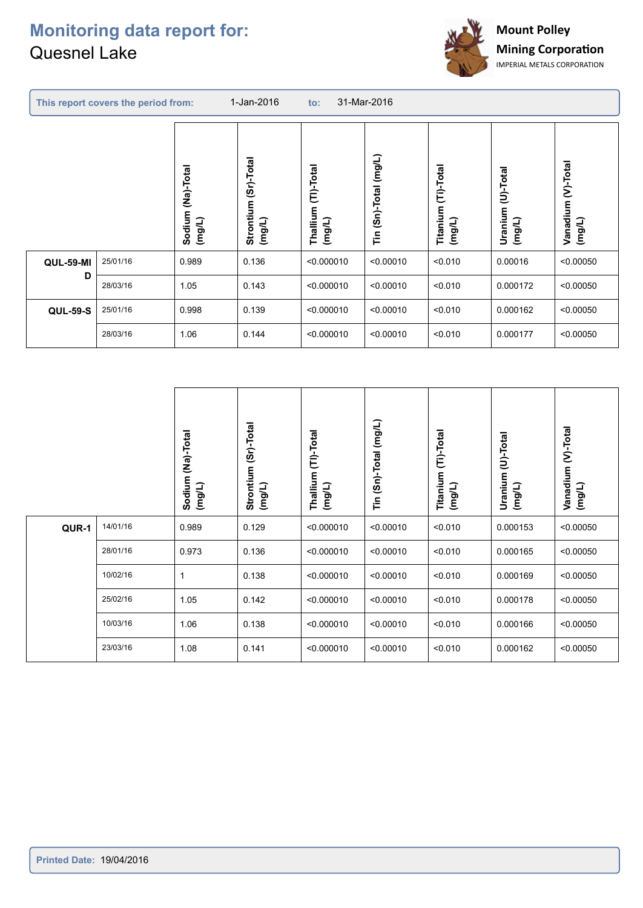ł



|                  | This report covers the period from: |                                | 1-Jan-2016                        | 31-Mar-2016<br>$\mathsf{to}$ : |                                  |                                  |                             |                              |  |
|------------------|-------------------------------------|--------------------------------|-----------------------------------|--------------------------------|----------------------------------|----------------------------------|-----------------------------|------------------------------|--|
|                  |                                     | (Na)-Total<br>Sodium<br>(mg/L) | (Sr)-Total<br>Strontium<br>(mg/L) | Thallium (TI)-Total<br>(mg/L)  | $($ mg/L)<br>$(Sn)$ -Total<br>Έñ | (Ti)-Total<br>Titanium<br>(mg/L) | Uranium (U)-Total<br>(mg/L) | Vanadium (V)-Total<br>(mg/L) |  |
| <b>QUL-59-MI</b> | 25/01/16                            | 0.989                          | 0.136                             | < 0.000010                     | < 0.00010                        | < 0.010                          | 0.00016                     | < 0.00050                    |  |
| D                | 28/03/16                            | 1.05                           | 0.143                             | < 0.000010                     | < 0.00010                        | < 0.010                          | 0.000172                    | < 0.00050                    |  |
| <b>QUL-59-S</b>  | 25/01/16                            | 0.998                          | 0.139                             | < 0.000010                     | < 0.00010                        | < 0.010                          | 0.000162                    | < 0.00050                    |  |
|                  | 28/03/16                            | 1.06                           | 0.144                             | < 0.000010                     | < 0.00010                        | < 0.010                          | 0.000177                    | < 0.00050                    |  |

| (mg/L)    |
|-----------|
| < 0.00050 |
| < 0.00050 |
| < 0.00050 |
| < 0.00050 |
| < 0.00050 |
| < 0.00050 |
|           |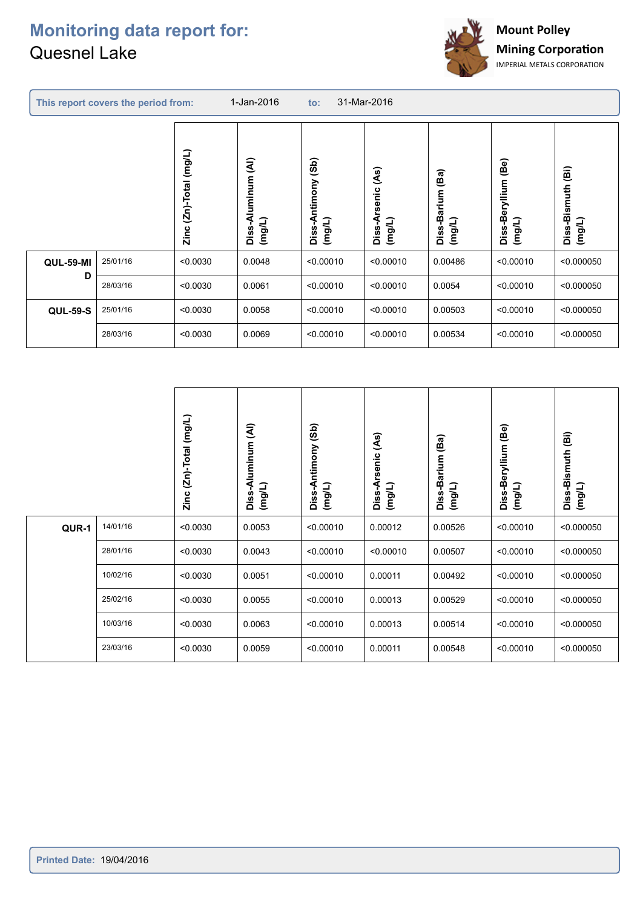C



|                  | This report covers the period from: |                                | 31-Mar-2016<br>1-Jan-2016<br>to:                        |                                     |                                                            |                               |                                               |                                                  |
|------------------|-------------------------------------|--------------------------------|---------------------------------------------------------|-------------------------------------|------------------------------------------------------------|-------------------------------|-----------------------------------------------|--------------------------------------------------|
|                  |                                     | $(2n)$ -Total $(mg/L)$<br>Zinc | $\widehat{\mathbf{A}}$<br>uminum<br>₫<br>(mg/L)<br>Diss | (3b)<br>Antimony<br>(mg/L)<br>Diss- | $\widetilde{\mathcal{S}}$<br>senic<br>₫<br>(mg/L)<br>Diss- | (Ba)<br>Diss-Barium<br>(mg/L) | $\overline{B}$ e)<br>Diss-Beryllium<br>(mg/L) | $\widehat{\mathbf{e}}$<br>Diss-Bismuth<br>(mg/L) |
| <b>QUL-59-MI</b> | 25/01/16                            | < 0.0030                       | 0.0048                                                  | < 0.00010                           | < 0.00010                                                  | 0.00486                       | < 0.00010                                     | < 0.000050                                       |
| D                | 28/03/16                            | < 0.0030                       | 0.0061                                                  | < 0.00010                           | < 0.00010                                                  | 0.0054                        | < 0.00010                                     | < 0.000050                                       |
| <b>QUL-59-S</b>  | 25/01/16                            | < 0.0030                       | 0.0058                                                  | < 0.00010                           | < 0.00010                                                  | 0.00503                       | < 0.00010                                     | < 0.000050                                       |
|                  | 28/03/16                            | < 0.0030                       | 0.0069                                                  | < 0.00010                           | < 0.00010                                                  | 0.00534                       | < 0.00010                                     | < 0.000050                                       |
|                  |                                     |                                |                                                         |                                     |                                                            |                               |                                               |                                                  |

|       |          | $(2n)$ -Total $(mg/L)$<br>Zinc | $\widehat{\mathbf{z}}$<br>Aluminum<br>(mg/L)<br>Diss- | (3b)<br>Diss-Antimony<br>(mg/L) | (As)<br>Diss-Arsenic<br>(mg/L) | Diss-Barium (Ba)<br>(mg/L) | Diss-Beryllium (Be)<br>(mg/L) | $\widehat{\mathbf{B}}$<br>Diss-Bismuth<br>(mg/L) |
|-------|----------|--------------------------------|-------------------------------------------------------|---------------------------------|--------------------------------|----------------------------|-------------------------------|--------------------------------------------------|
| QUR-1 | 14/01/16 | < 0.0030                       | 0.0053                                                | < 0.00010                       | 0.00012                        | 0.00526                    | < 0.00010                     | < 0.000050                                       |
|       | 28/01/16 | < 0.0030                       | 0.0043                                                | < 0.00010                       | < 0.00010                      | 0.00507                    | < 0.00010                     | < 0.000050                                       |
|       | 10/02/16 | < 0.0030                       | 0.0051                                                | < 0.00010                       | 0.00011                        | 0.00492                    | < 0.00010                     | < 0.000050                                       |
|       | 25/02/16 | < 0.0030                       | 0.0055                                                | < 0.00010                       | 0.00013                        | 0.00529                    | < 0.00010                     | < 0.000050                                       |
|       | 10/03/16 | < 0.0030                       | 0.0063                                                | < 0.00010                       | 0.00013                        | 0.00514                    | < 0.00010                     | < 0.000050                                       |
|       | 23/03/16 | < 0.0030                       | 0.0059                                                | < 0.00010                       | 0.00011                        | 0.00548                    | < 0.00010                     | < 0.000050                                       |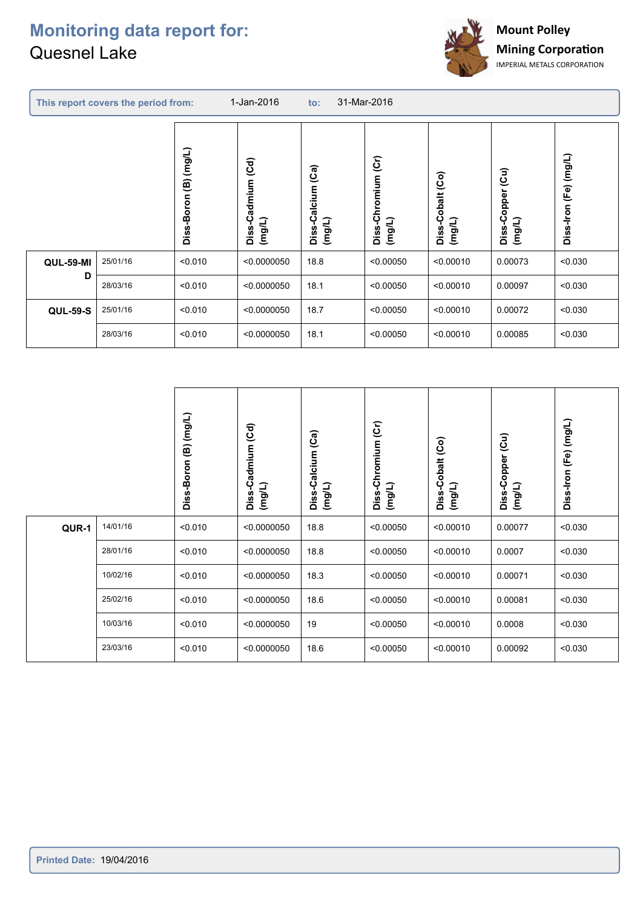C



|                  | This report covers the period from: | 1-Jan-2016<br>31-Mar-2016<br>$\mathsf{to}$ : |                                   |                                       |                                    |                            |                                          |                       |
|------------------|-------------------------------------|----------------------------------------------|-----------------------------------|---------------------------------------|------------------------------------|----------------------------|------------------------------------------|-----------------------|
|                  |                                     | (B) (mg/L)<br>Diss-Boron                     | (Cd)<br>Diss-Cadmium<br>$($ mg/L) | (Ca)<br>alcium<br>ပ<br>(mg/L)<br>Diss | -Chromium (Cr)<br>Diss-C<br>(mg/L) | Diss-Cobalt (Co)<br>(mg/L) | $\widetilde{e}$<br>Diss-Copper<br>(mg/L) | Diss-Iron (Fe) (mg/L) |
| <b>QUL-59-MI</b> | 25/01/16                            | < 0.010                                      | < 0.0000050                       | 18.8                                  | < 0.00050                          | < 0.00010                  | 0.00073                                  | < 0.030               |
| D                | 28/03/16                            | < 0.010                                      | < 0.0000050                       | 18.1                                  | < 0.00050                          | < 0.00010                  | 0.00097                                  | < 0.030               |
| <b>QUL-59-S</b>  | 25/01/16                            | < 0.010                                      | < 0.0000050                       | 18.7                                  | < 0.00050                          | < 0.00010                  | 0.00072                                  | < 0.030               |
|                  | 28/03/16                            | < 0.010                                      | < 0.0000050                       | 18.1                                  | < 0.00050                          | < 0.00010                  | 0.00085                                  | < 0.030               |
|                  |                                     |                                              |                                   |                                       |                                    |                            |                                          |                       |

|       |          | Diss-Boron (B) (mg/L) | Diss-Cadmium (Cd)<br>(mg/L) | alcium (Ca)<br>ٻ<br>(mg/L)<br>Diss- | Diss-Chromium (Cr)<br>(mg/L) | Diss-Cobalt (Co)<br>(mg/L) | Diss-Copper (Cu)<br>(mg/L) | Diss-Iron (Fe) (mg/L) |
|-------|----------|-----------------------|-----------------------------|-------------------------------------|------------------------------|----------------------------|----------------------------|-----------------------|
| QUR-1 | 14/01/16 | < 0.010               | < 0.0000050                 | 18.8                                | < 0.00050                    | < 0.00010                  | 0.00077                    | < 0.030               |
|       | 28/01/16 | < 0.010               | < 0.0000050                 | 18.8                                | < 0.00050                    | < 0.00010                  | 0.0007                     | < 0.030               |
|       | 10/02/16 | < 0.010               | < 0.0000050                 | 18.3                                | < 0.00050                    | < 0.00010                  | 0.00071                    | < 0.030               |
|       | 25/02/16 | < 0.010               | < 0.0000050                 | 18.6                                | < 0.00050                    | < 0.00010                  | 0.00081                    | < 0.030               |
|       | 10/03/16 | < 0.010               | < 0.0000050                 | 19                                  | < 0.00050                    | < 0.00010                  | 0.0008                     | < 0.030               |
|       | 23/03/16 | < 0.010               | < 0.0000050                 | 18.6                                | < 0.00050                    | < 0.00010                  | 0.00092                    | < 0.030               |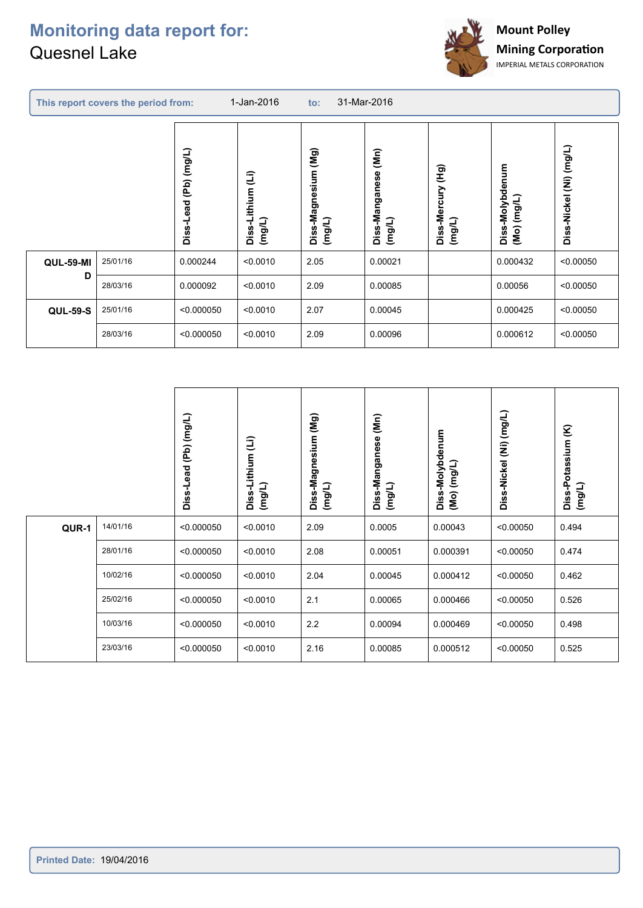

| This report covers the period from: |          |                                          | 1-Jan-2016<br>31-Mar-2016<br>$\mathsf{to}$ : |                                  |                                                           |                                   |                                |                            |
|-------------------------------------|----------|------------------------------------------|----------------------------------------------|----------------------------------|-----------------------------------------------------------|-----------------------------------|--------------------------------|----------------------------|
|                                     |          | $($ mg/L)<br>$\overline{P}$<br>Diss-Lead | Ĵ)<br>-Lithium<br>(mg/L)<br>Diss             | (Mg)<br>Diss-Magnesium<br>(mg/L) | $\overline{\mathbf{M}}$ n)<br>Diss-Manganese<br>$($ mg/L) | (Hg)<br>Diss-Mercury<br>$($ mg/L) | Diss-Molybdenum<br>(Mo) (mg/L) | (mg/L)<br>Ê<br>Diss-Nickel |
| <b>QUL-59-MI</b>                    | 25/01/16 | 0.000244                                 | < 0.0010                                     | 2.05                             | 0.00021                                                   |                                   | 0.000432                       | < 0.00050                  |
| D                                   | 28/03/16 | 0.000092                                 | < 0.0010                                     | 2.09                             | 0.00085                                                   |                                   | 0.00056                        | < 0.00050                  |
| <b>QUL-59-S</b>                     | 25/01/16 | < 0.000050                               | < 0.0010                                     | 2.07                             | 0.00045                                                   |                                   | 0.000425                       | < 0.00050                  |
|                                     | 28/03/16 | < 0.000050                               | < 0.0010                                     | 2.09                             | 0.00096                                                   |                                   | 0.000612                       | < 0.00050                  |

|       |          | (Pb) (mg/L) |                             | Diss-Magnesium (Mg) | $\widetilde{\mathbf{M}}$ n) |                                      | (mg/L)           | Diss-Potassium (K) |
|-------|----------|-------------|-----------------------------|---------------------|-----------------------------|--------------------------------------|------------------|--------------------|
|       |          | Diss-Lead   | Diss-Lithium (Li)<br>(mg/L) | (mg/L)              | Diss-Manganese<br>(mg/L)    | Diss-Molybdenum<br>$($ Mo $)$ (mg/L) | Diss-Nickel (Ni) | (mg/L)             |
| QUR-1 | 14/01/16 | < 0.000050  | < 0.0010                    | 2.09                | 0.0005                      | 0.00043                              | < 0.00050        | 0.494              |
|       | 28/01/16 | < 0.000050  | < 0.0010                    | 2.08                | 0.00051                     | 0.000391                             | < 0.00050        | 0.474              |
|       | 10/02/16 | < 0.000050  | < 0.0010                    | 2.04                | 0.00045                     | 0.000412                             | < 0.00050        | 0.462              |
|       | 25/02/16 | < 0.000050  | < 0.0010                    | 2.1                 | 0.00065                     | 0.000466                             | < 0.00050        | 0.526              |
|       | 10/03/16 | < 0.000050  | < 0.0010                    | 2.2                 | 0.00094                     | 0.000469                             | < 0.00050        | 0.498              |
|       | 23/03/16 | < 0.000050  | < 0.0010                    | 2.16                | 0.00085                     | 0.000512                             | < 0.00050        | 0.525              |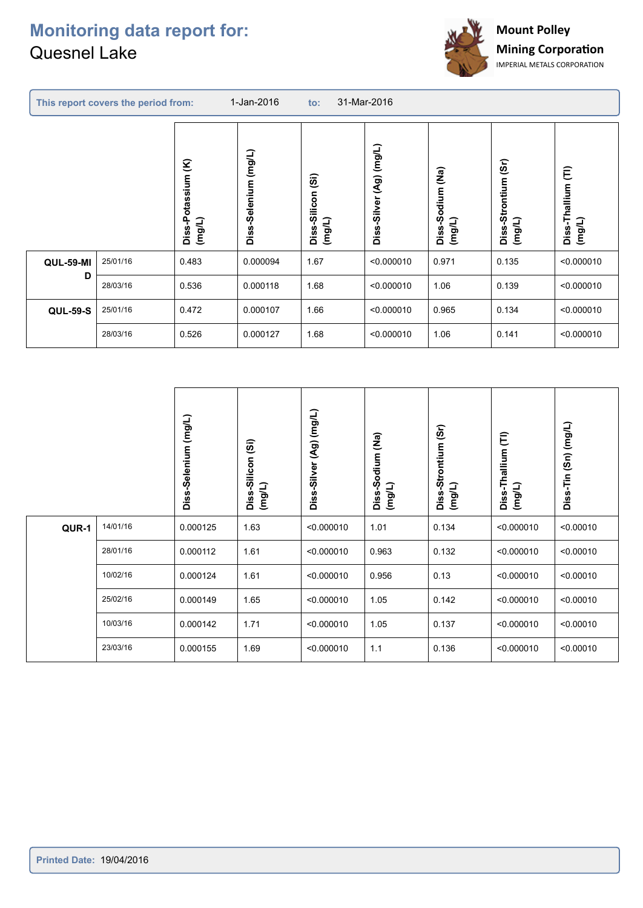C



| This report covers the period from: |                  |          | 1-Jan-2016<br>31-Mar-2016<br>to: |                             |                                                        |                                    |                            |                                     |                              |
|-------------------------------------|------------------|----------|----------------------------------|-----------------------------|--------------------------------------------------------|------------------------------------|----------------------------|-------------------------------------|------------------------------|
|                                     |                  |          | Diss-Potassium (K)<br>(mg/L)     | (mg/L)<br>Selenium<br>Diss- | $\widehat{\mathfrak{g}}$<br>-Silicon<br>(mg/L)<br>Diss | (mg/L)<br>(Ag)<br>-Silver<br>Diss- | Diss-Sodium (Na)<br>(mg/L) | (5r)<br>Diss-Strontium<br>$($ mg/L) | Ê<br>Diss-Thallium<br>(mg/L) |
|                                     | <b>QUL-59-MI</b> | 25/01/16 | 0.483                            | 0.000094                    | 1.67                                                   | < 0.000010                         | 0.971                      | 0.135                               | < 0.000010                   |
|                                     | D                | 28/03/16 | 0.536                            | 0.000118                    | 1.68                                                   | < 0.000010                         | 1.06                       | 0.139                               | < 0.000010                   |
|                                     | <b>QUL-59-S</b>  | 25/01/16 | 0.472                            | 0.000107                    | 1.66                                                   | < 0.000010                         | 0.965                      | 0.134                               | < 0.000010                   |
|                                     |                  | 28/03/16 | 0.526                            | 0.000127                    | 1.68                                                   | < 0.000010                         | 1.06                       | 0.141                               | < 0.000010                   |
|                                     |                  |          |                                  |                             |                                                        |                                    |                            |                                     |                              |

|       |          | Diss-Selenium (mg/L) | $\widehat{\mathfrak{G}}$<br>Diss-Silicon<br>(mg/L) | Diss-Silver (Ag) (mg/L) | Diss-Sodium (Na)<br>(mg/L) | Diss-Strontium (Sr)<br>(mg/L) | Diss-Thallium (TI)<br>(mg/L) | Diss-Tin (Sn) (mg/L) |
|-------|----------|----------------------|----------------------------------------------------|-------------------------|----------------------------|-------------------------------|------------------------------|----------------------|
| QUR-1 | 14/01/16 | 0.000125             | 1.63                                               | < 0.000010              | 1.01                       | 0.134                         | < 0.000010                   | < 0.00010            |
|       | 28/01/16 | 0.000112             | 1.61                                               | < 0.000010              | 0.963                      | 0.132                         | < 0.000010                   | < 0.00010            |
|       | 10/02/16 | 0.000124             | 1.61                                               | < 0.000010              | 0.956                      | 0.13                          | < 0.000010                   | < 0.00010            |
|       | 25/02/16 | 0.000149             | 1.65                                               | < 0.000010              | 1.05                       | 0.142                         | < 0.000010                   | < 0.00010            |
|       | 10/03/16 | 0.000142             | 1.71                                               | < 0.000010              | 1.05                       | 0.137                         | < 0.000010                   | < 0.00010            |
|       | 23/03/16 | 0.000155             | 1.69                                               | < 0.000010              | 1.1                        | 0.136                         | < 0.000010                   | < 0.00010            |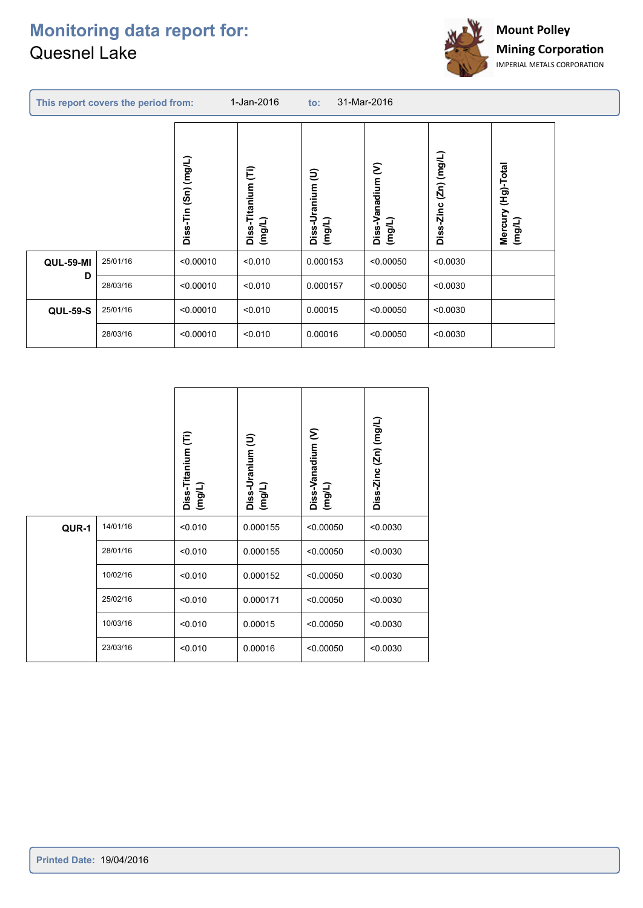

|                  | This report covers the period from: |                                       | 1-Jan-2016                      | to:                         | 31-Mar-2016                     |                             |                                 |  |
|------------------|-------------------------------------|---------------------------------------|---------------------------------|-----------------------------|---------------------------------|-----------------------------|---------------------------------|--|
|                  |                                     | (mg/L)<br>$\mathsf{S}$ n)<br>Diss-Tin | Diss-Titanium (Ti)<br>$($ mg/L) | €<br>Diss-Uranium<br>(mg/L) | ε<br>Diss-Vanadium<br>$($ mg/L) | (mg/L)<br>(2n)<br>Diss-Zinc | (Hg)-Total<br>Mercury<br>(mg/L) |  |
| <b>QUL-59-MI</b> | 25/01/16                            | < 0.00010                             | < 0.010                         | 0.000153                    | < 0.00050                       | < 0.0030                    |                                 |  |
| D                | 28/03/16                            | < 0.00010                             | < 0.010                         | 0.000157                    | < 0.00050                       | < 0.0030                    |                                 |  |
| <b>QUL-59-S</b>  | 25/01/16                            | < 0.00010                             | < 0.010                         | 0.00015                     | < 0.00050                       | < 0.0030                    |                                 |  |
|                  | 28/03/16                            | < 0.00010                             | < 0.010                         | 0.00016                     | < 0.00050                       | < 0.0030                    |                                 |  |

|       |          | Ê<br>Diss-Titanium<br>(mg/L) | Diss-Uranium (U)<br>(mg/L) | ε<br>Diss-Vanadium<br>(mg/L) | Diss-Zinc (Zn) (mg/L) |
|-------|----------|------------------------------|----------------------------|------------------------------|-----------------------|
| QUR-1 | 14/01/16 | < 0.010                      | 0.000155                   | < 0.00050                    | < 0.0030              |
|       | 28/01/16 | < 0.010                      | 0.000155                   | < 0.00050                    | < 0.0030              |
|       | 10/02/16 | < 0.010                      | 0.000152                   | < 0.00050                    | < 0.0030              |
|       | 25/02/16 | < 0.010                      | 0.000171                   | < 0.00050                    | < 0.0030              |
|       | 10/03/16 | < 0.010                      | 0.00015                    | < 0.00050                    | < 0.0030              |
|       | 23/03/16 | < 0.010                      | 0.00016                    | < 0.00050                    | < 0.0030              |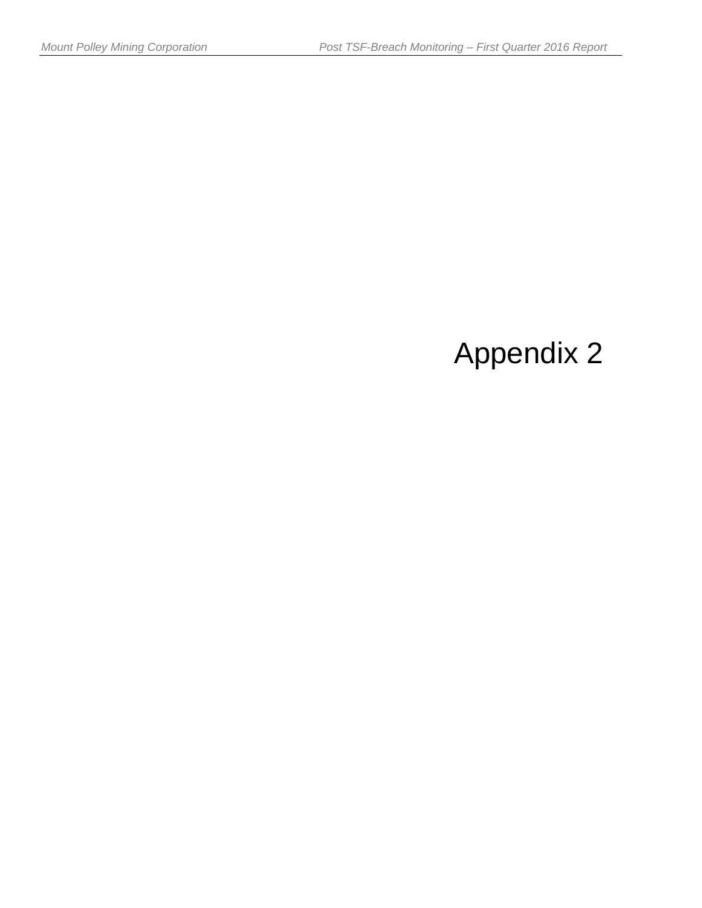# Appendix 2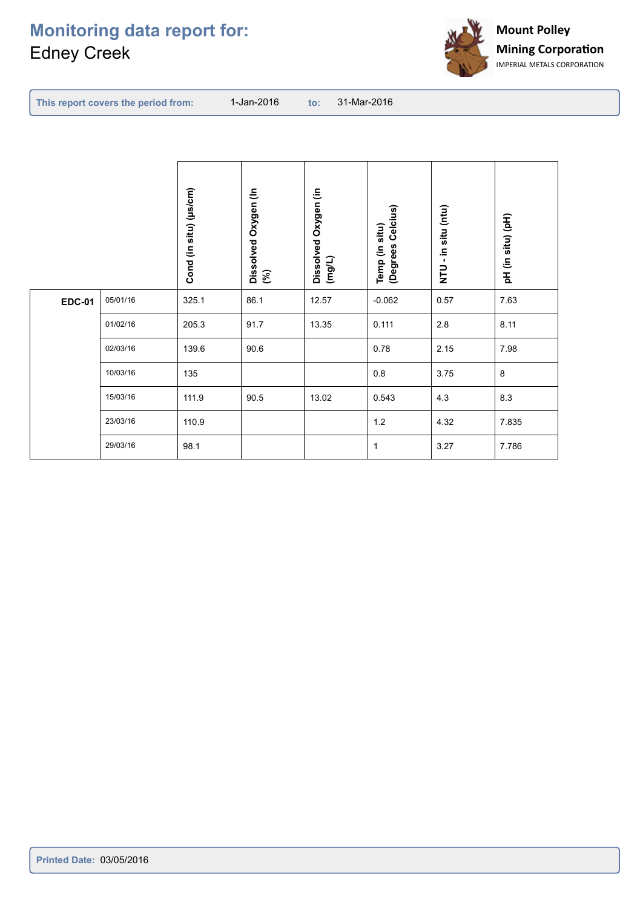## **Monitoring data report for:** Edney Creek



| This report covers the period from: | 1-Jan-2016 |  | to: 31-Mar-2016 |  |  |
|-------------------------------------|------------|--|-----------------|--|--|
|-------------------------------------|------------|--|-----------------|--|--|

|               |          | Cond (in situ) (µs/cm) | Dissolved Oxygen (In<br>(%) | Dissolved Oxygen (in<br>(mg/L) | Temp (in situ)<br>(Degrees Celcius) | - in situ (ntu)<br>$\overline{z}$ | (pH (in situ) (pH) |
|---------------|----------|------------------------|-----------------------------|--------------------------------|-------------------------------------|-----------------------------------|--------------------|
| <b>EDC-01</b> | 05/01/16 | 325.1                  | 86.1                        | 12.57                          | $-0.062$                            | 0.57                              | 7.63               |
|               | 01/02/16 | 205.3                  | 91.7                        | 13.35                          | 0.111                               | 2.8                               | 8.11               |
|               | 02/03/16 | 139.6                  | 90.6                        |                                | 0.78                                | 2.15                              | 7.98               |
|               | 10/03/16 | 135                    |                             |                                | $0.8\,$                             | 3.75                              | 8                  |
|               | 15/03/16 | 111.9                  | 90.5                        | 13.02                          | 0.543                               | 4.3                               | 8.3                |
|               | 23/03/16 | 110.9                  |                             |                                | $1.2$                               | 4.32                              | 7.835              |
|               | 29/03/16 | 98.1                   |                             |                                | $\mathbf{1}$                        | 3.27                              | 7.786              |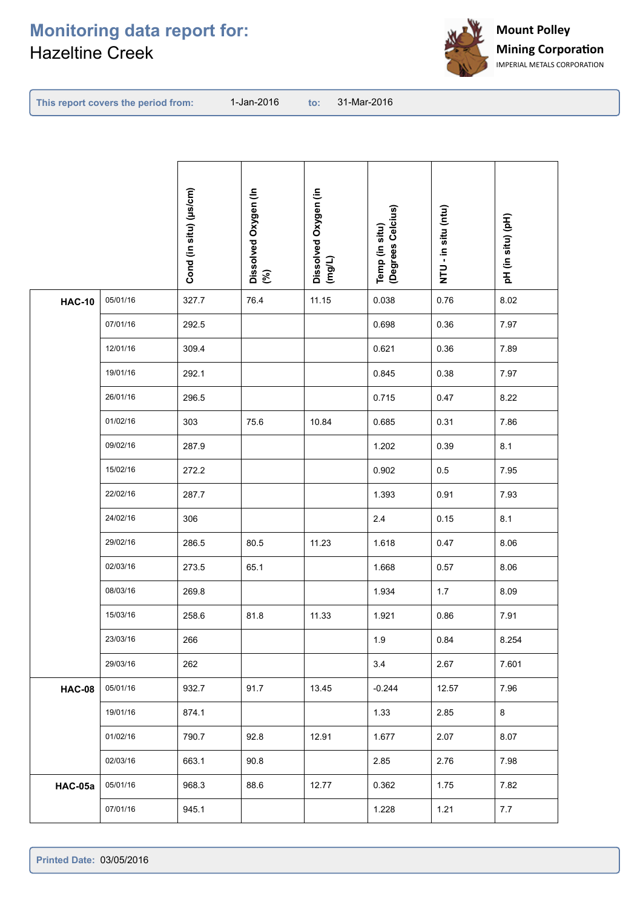## **Monitoring data report for:** Hazeltine Creek



| This report covers the period from: |  |  |  |  |
|-------------------------------------|--|--|--|--|
|-------------------------------------|--|--|--|--|

**This report covers the period from: to:**

to: 31-Mar-2016

|               |          | Cond (in situ) (µs/cm) | Dissolved Oxygen (In<br>(%) | Dissolved Oxygen (in<br>(mg/L) | Temp (in situ)<br>(Degrees Celcius) | (ntu) us air - in Situ | (pH (in situ) (pH) |
|---------------|----------|------------------------|-----------------------------|--------------------------------|-------------------------------------|------------------------|--------------------|
| <b>HAC-10</b> | 05/01/16 | 327.7                  | 76.4                        | 11.15                          | 0.038                               | 0.76                   | 8.02               |
|               | 07/01/16 | 292.5                  |                             |                                | 0.698                               | 0.36                   | 7.97               |
|               | 12/01/16 | 309.4                  |                             |                                | 0.621                               | 0.36                   | 7.89               |
|               | 19/01/16 | 292.1                  |                             |                                | 0.845                               | 0.38                   | 7.97               |
|               | 26/01/16 | 296.5                  |                             |                                | 0.715                               | 0.47                   | 8.22               |
|               | 01/02/16 | 303                    | 75.6                        | 10.84                          | 0.685                               | 0.31                   | 7.86               |
|               | 09/02/16 | 287.9                  |                             |                                | 1.202                               | 0.39                   | 8.1                |
|               | 15/02/16 | 272.2                  |                             |                                | 0.902                               | 0.5                    | 7.95               |
|               | 22/02/16 | 287.7                  |                             |                                | 1.393                               | 0.91                   | 7.93               |
|               | 24/02/16 | 306                    |                             |                                | 2.4                                 | 0.15                   | 8.1                |
|               | 29/02/16 | 286.5                  | 80.5                        | 11.23                          | 1.618                               | 0.47                   | 8.06               |
|               | 02/03/16 | 273.5                  | 65.1                        |                                | 1.668                               | 0.57                   | 8.06               |
|               | 08/03/16 | 269.8                  |                             |                                | 1.934                               | 1.7                    | 8.09               |
|               | 15/03/16 | 258.6                  | 81.8                        | 11.33                          | 1.921                               | 0.86                   | 7.91               |
|               | 23/03/16 | 266                    |                             |                                | 1.9                                 | 0.84                   | 8.254              |
|               | 29/03/16 | 262                    |                             |                                | 3.4                                 | 2.67                   | 7.601              |
| <b>HAC-08</b> | 05/01/16 | 932.7                  | 91.7                        | 13.45                          | $-0.244$                            | 12.57                  | 7.96               |
|               | 19/01/16 | 874.1                  |                             |                                | 1.33                                | 2.85                   | $\bf{8}$           |
|               | 01/02/16 | 790.7                  | 92.8                        | 12.91                          | 1.677                               | 2.07                   | 8.07               |
|               | 02/03/16 | 663.1                  | 90.8                        |                                | 2.85                                | 2.76                   | 7.98               |
| HAC-05a       | 05/01/16 | 968.3                  | 88.6                        | 12.77                          | 0.362                               | 1.75                   | 7.82               |
|               | 07/01/16 | 945.1                  |                             |                                | 1.228                               | 1.21                   | 7.7                |
|               |          |                        |                             |                                |                                     |                        |                    |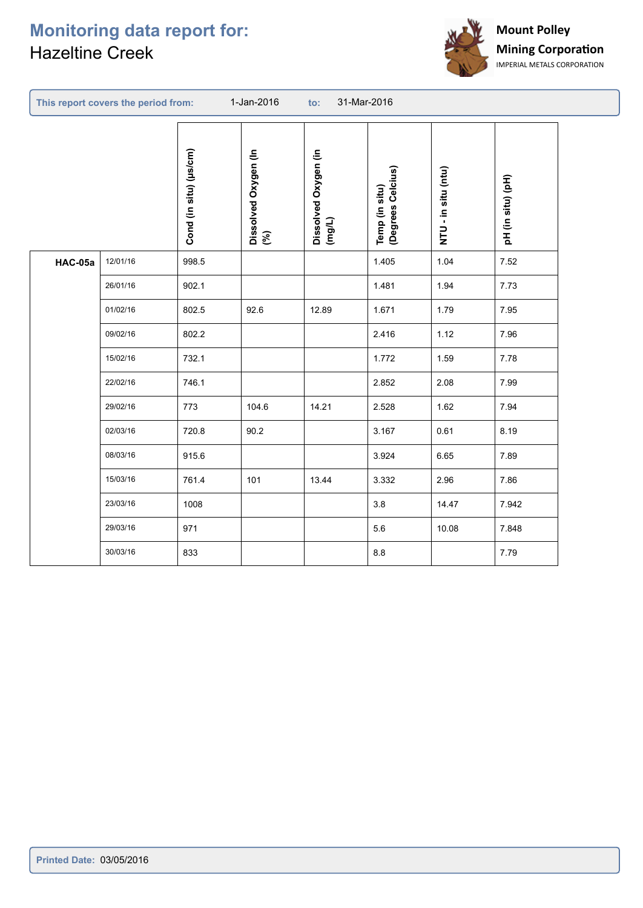## **Monitoring data report for:** Hazeltine Creek



|         | This report covers the period from: |                        | 1-Jan-2016                  | 31-Mar-2016<br>to:             |                                     |                       |                     |  |
|---------|-------------------------------------|------------------------|-----------------------------|--------------------------------|-------------------------------------|-----------------------|---------------------|--|
|         |                                     | Cond (in situ) (µs/cm) | Dissolved Oxygen (In<br>(%) | Dissolved Oxygen (in<br>(mg/L) | Temp (in situ)<br>(Degrees Celcius) | (ntu) us ni - in Situ | (pH) (in situ) (pH) |  |
| HAC-05a | 12/01/16                            | 998.5                  |                             |                                | 1.405                               | 1.04                  | 7.52                |  |
|         | 26/01/16                            | 902.1                  |                             |                                | 1.481                               | 1.94                  | 7.73                |  |
|         | 01/02/16                            | 802.5                  | 92.6                        | 12.89                          | 1.671                               | 1.79                  | 7.95                |  |
|         | 09/02/16                            | 802.2                  |                             |                                | 2.416                               | 1.12                  | 7.96                |  |
|         | 15/02/16                            | 732.1                  |                             |                                | 1.772                               | 1.59                  | 7.78                |  |
|         | 22/02/16                            | 746.1                  |                             |                                | 2.852                               | 2.08                  | 7.99                |  |
|         | 29/02/16                            | 773                    | 104.6                       | 14.21                          | 2.528                               | 1.62                  | 7.94                |  |
|         | 02/03/16                            | 720.8                  | 90.2                        |                                | 3.167                               | 0.61                  | 8.19                |  |
|         | 08/03/16                            | 915.6                  |                             |                                | 3.924                               | 6.65                  | 7.89                |  |
|         | 15/03/16                            | 761.4                  | 101                         | 13.44                          | 3.332                               | 2.96                  | 7.86                |  |
|         | 23/03/16                            | 1008                   |                             |                                | 3.8                                 | 14.47                 | 7.942               |  |
|         | 29/03/16                            | 971                    |                             |                                | 5.6                                 | 10.08                 | 7.848               |  |
|         | 30/03/16                            | 833                    |                             |                                | 8.8                                 |                       | 7.79                |  |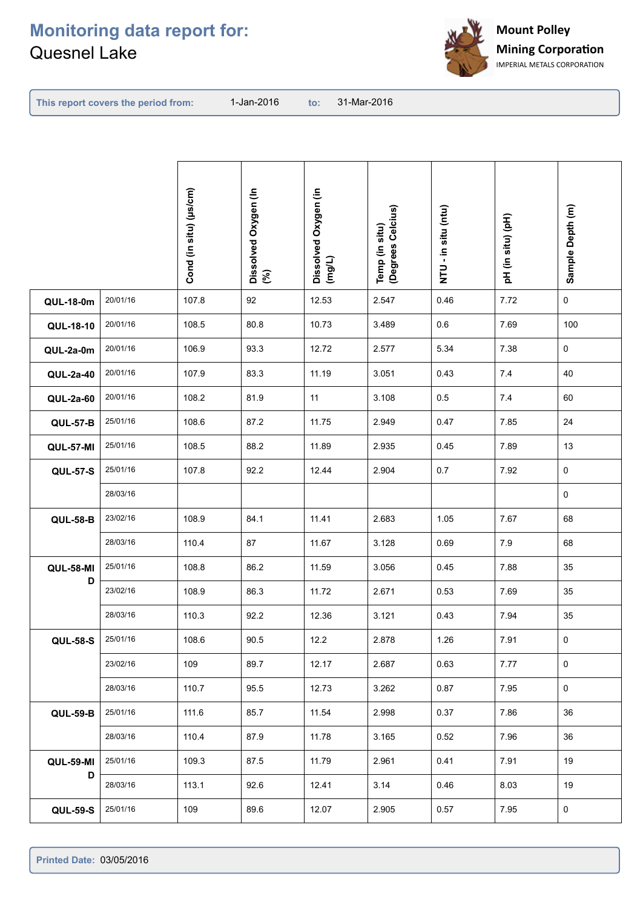

| This report covers the period from: |  |  |  |  |
|-------------------------------------|--|--|--|--|
|-------------------------------------|--|--|--|--|

**This report covers the period from: to:**

to: 31-Mar-2016

|                  |          | Cond (in situ) (µs/cm) | Dissolved Oxygen (In<br>(%) | Dissolved Oxygen (in<br>(mg/L) | Temp (in situ)<br>(Degrees Celcius) | (ntu) us air - in Situ | (pH (in situ) (pH) | Sample Depth (m) |
|------------------|----------|------------------------|-----------------------------|--------------------------------|-------------------------------------|------------------------|--------------------|------------------|
| <b>QUL-18-0m</b> | 20/01/16 | 107.8                  | 92                          | 12.53                          | 2.547                               | 0.46                   | 7.72               | 0                |
| QUL-18-10        | 20/01/16 | 108.5                  | 80.8                        | 10.73                          | 3.489                               | 0.6                    | 7.69               | 100              |
| QUL-2a-0m        | 20/01/16 | 106.9                  | 93.3                        | 12.72                          | 2.577                               | 5.34                   | 7.38               | 0                |
| QUL-2a-40        | 20/01/16 | 107.9                  | 83.3                        | 11.19                          | 3.051                               | 0.43                   | $7.4$              | 40               |
| QUL-2a-60        | 20/01/16 | 108.2                  | 81.9                        | 11                             | 3.108                               | $0.5\,$                | 7.4                | 60               |
| <b>QUL-57-B</b>  | 25/01/16 | 108.6                  | 87.2                        | 11.75                          | 2.949                               | 0.47                   | 7.85               | 24               |
| <b>QUL-57-MI</b> | 25/01/16 | 108.5                  | 88.2                        | 11.89                          | 2.935                               | 0.45                   | 7.89               | 13               |
| <b>QUL-57-S</b>  | 25/01/16 | 107.8                  | 92.2                        | 12.44                          | 2.904                               | 0.7                    | 7.92               | 0                |
|                  | 28/03/16 |                        |                             |                                |                                     |                        |                    | $\mathbf 0$      |
| <b>QUL-58-B</b>  | 23/02/16 | 108.9                  | 84.1                        | 11.41                          | 2.683                               | 1.05                   | 7.67               | 68               |
|                  | 28/03/16 | 110.4                  | 87                          | 11.67                          | 3.128                               | 0.69                   | $7.9$              | 68               |
| <b>QUL-58-MI</b> | 25/01/16 | 108.8                  | 86.2                        | 11.59                          | 3.056                               | 0.45                   | 7.88               | 35               |
| D                | 23/02/16 | 108.9                  | 86.3                        | 11.72                          | 2.671                               | 0.53                   | 7.69               | 35               |
|                  | 28/03/16 | 110.3                  | 92.2                        | 12.36                          | 3.121                               | 0.43                   | 7.94               | 35               |
| <b>QUL-58-S</b>  | 25/01/16 | 108.6                  | 90.5                        | 12.2                           | 2.878                               | 1.26                   | 7.91               | 0                |
|                  | 23/02/16 | 109                    | 89.7                        | 12.17                          | 2.687                               | 0.63                   | 7.77               | $\mathbf 0$      |
|                  | 28/03/16 | 110.7                  | 95.5                        | 12.73                          | 3.262                               | 0.87                   | 7.95               | $\mathsf 0$      |
| <b>QUL-59-B</b>  | 25/01/16 | 111.6                  | 85.7                        | 11.54                          | 2.998                               | 0.37                   | 7.86               | 36               |
|                  | 28/03/16 | 110.4                  | 87.9                        | 11.78                          | 3.165                               | 0.52                   | 7.96               | 36               |
| <b>QUL-59-MI</b> | 25/01/16 | 109.3                  | 87.5                        | 11.79                          | 2.961                               | 0.41                   | 7.91               | 19               |
| D                | 28/03/16 | 113.1                  | 92.6                        | 12.41                          | 3.14                                | 0.46                   | 8.03               | 19               |
| <b>QUL-59-S</b>  | 25/01/16 | 109                    | 89.6                        | 12.07                          | 2.905                               | 0.57                   | 7.95               | 0                |
|                  |          |                        |                             |                                |                                     |                        |                    |                  |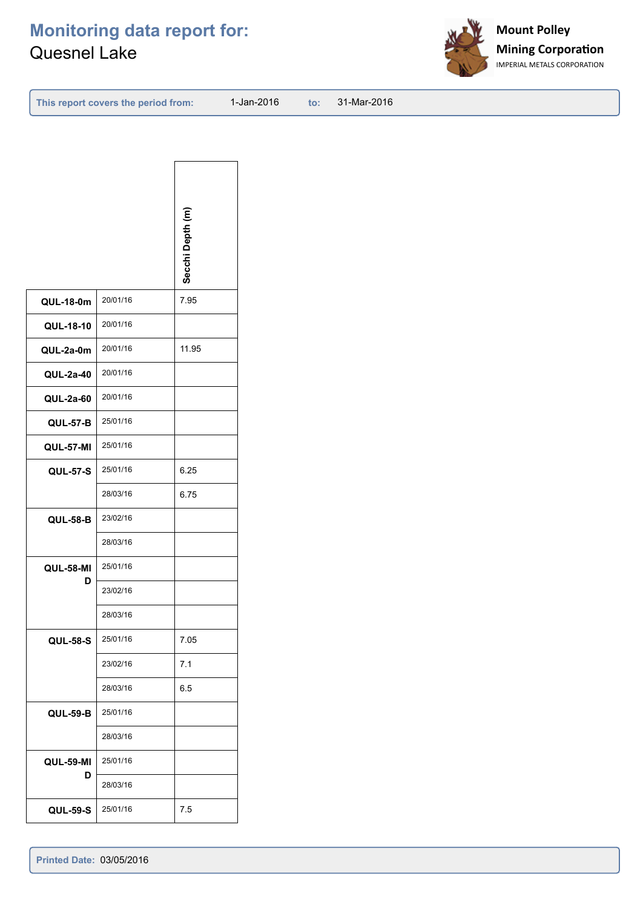

| This report covers the period from: |  |  |  |  |
|-------------------------------------|--|--|--|--|
|-------------------------------------|--|--|--|--|

**This report covers the period from: to:**

to: 31-Mar-2016

|                  |          | Secchi Depth (m) |
|------------------|----------|------------------|
| <b>QUL-18-0m</b> | 20/01/16 | 7.95             |
| QUL-18-10        | 20/01/16 |                  |
| QUL-2a-0m        | 20/01/16 | 11.95            |
| QUL-2a-40        | 20/01/16 |                  |
| <b>QUL-2a-60</b> | 20/01/16 |                  |
| <b>QUL-57-B</b>  | 25/01/16 |                  |
| <b>QUL-57-MI</b> | 25/01/16 |                  |
| <b>QUL-57-S</b>  | 25/01/16 | 6.25             |
|                  | 28/03/16 | 6.75             |
| <b>QUL-58-B</b>  | 23/02/16 |                  |
|                  | 28/03/16 |                  |
| <b>QUL-58-MI</b> | 25/01/16 |                  |
| D                | 23/02/16 |                  |
|                  | 28/03/16 |                  |
| <b>QUL-58-S</b>  | 25/01/16 | 7.05             |
|                  | 23/02/16 | 7.1              |
|                  | 28/03/16 | 6.5              |
| <b>QUL-59-B</b>  | 25/01/16 |                  |
|                  | 28/03/16 |                  |
| <b>QUL-59-MI</b> | 25/01/16 |                  |
| D                | 28/03/16 |                  |
| <b>QUL-59-S</b>  | 25/01/16 | 7.5              |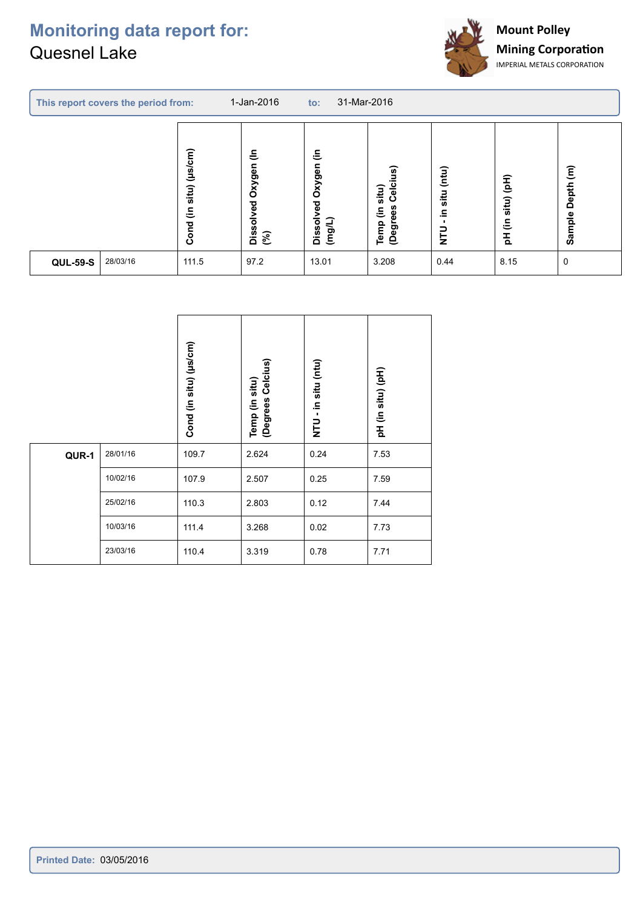

| 1-Jan-2016<br>This report covers the period from: |                                     |                                           | 31-Mar-2016<br>to:                         |                                                      |                                   |                                                       |                                         |  |
|---------------------------------------------------|-------------------------------------|-------------------------------------------|--------------------------------------------|------------------------------------------------------|-----------------------------------|-------------------------------------------------------|-----------------------------------------|--|
|                                                   | $($ µs/cm $)$<br>situ)<br>€<br>Cond | $\tilde{\Xi}$<br>Oxygen<br>Dissolved<br>ි | €<br>Oxygen<br>yed<br>Dissoly<br>$($ mg/L) | Celcius)<br>situ)<br>(Degrees<br>$\tilde{=}$<br>Temp | (mtu)<br>situ<br>르.<br><b>DLN</b> | $\widehat{\mathsf{H}}$<br>situ)<br>$\varepsilon$<br>푄 | $\widehat{\epsilon}$<br>Depth<br>Sample |  |
| 28/03/16<br><b>QUL-59-S</b>                       | 111.5                               | 97.2                                      | 13.01                                      | 3.208                                                | 0.44                              | 8.15                                                  | 0                                       |  |

|       |          | situ) (µs/cm)<br>Cond (in | Temp (in situ)<br>(Degrees Celcius) | situ (ntu)<br>크.<br>$\blacksquare$<br>$\overline{r}$ | pH (in situ) (pH) |
|-------|----------|---------------------------|-------------------------------------|------------------------------------------------------|-------------------|
| QUR-1 | 28/01/16 | 109.7                     | 2.624                               | 0.24                                                 | 7.53              |
|       | 10/02/16 | 107.9                     | 2.507                               | 0.25                                                 | 7.59              |
|       | 25/02/16 | 110.3                     | 2.803                               | 0.12                                                 | 7.44              |
|       | 10/03/16 | 111.4                     | 3.268                               | 0.02                                                 | 7.73              |
|       | 23/03/16 | 110.4                     | 3.319                               | 0.78                                                 | 7.71              |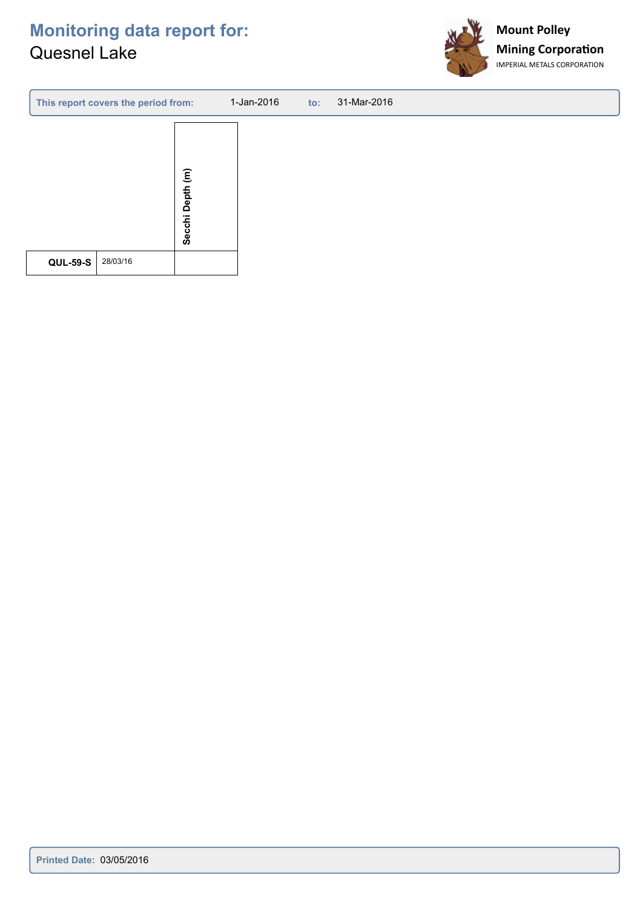

| This report covers the period from: |                                         | 1-Jan-2016<br>$\mathsf{to}$ : | 31-Mar-2016 |
|-------------------------------------|-----------------------------------------|-------------------------------|-------------|
|                                     | $\widehat{\epsilon}$<br>Depth<br>Secchi |                               |             |
| 28/03/16<br><b>QUL-59-S</b>         |                                         |                               |             |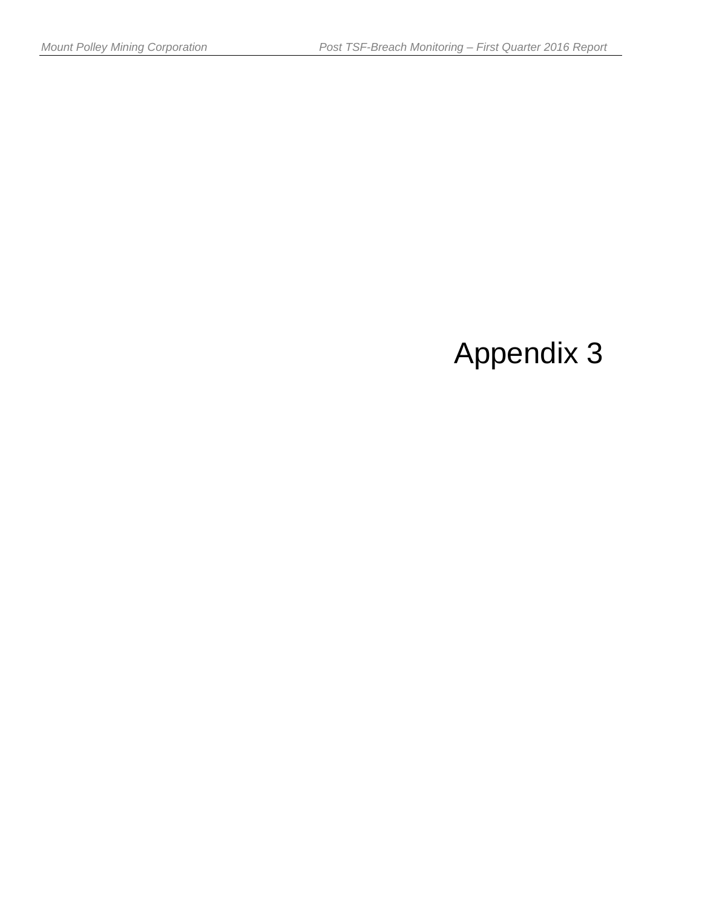# Appendix 3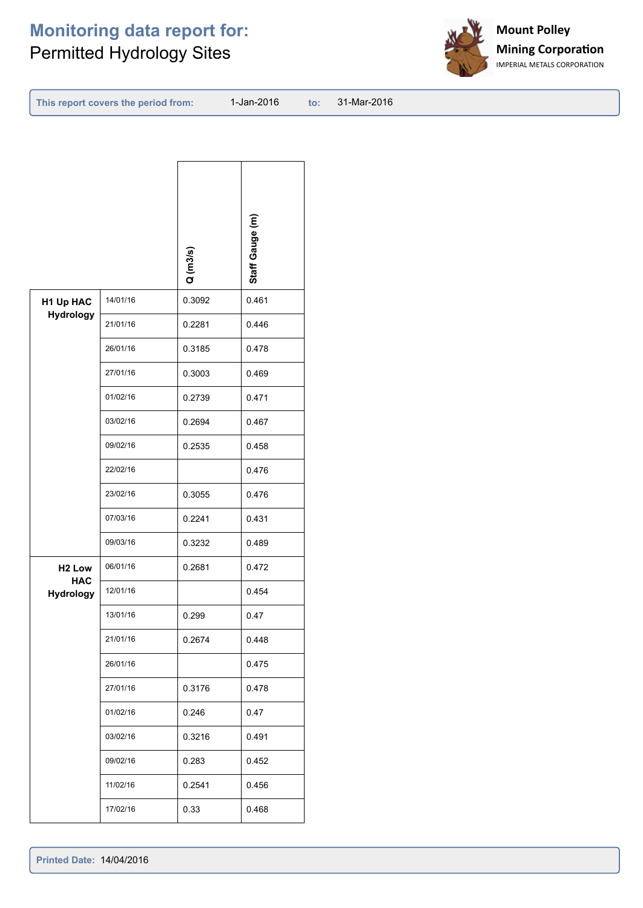## **Monitoring data report for:** Permitted Hydrology Sites



| This report covers the period from: |  |  |  |
|-------------------------------------|--|--|--|
|-------------------------------------|--|--|--|

**This report covers the period from: to:**

to: 31-Mar-2016

|                         |          | Q(m3/s) | Staff Gauge (m) |
|-------------------------|----------|---------|-----------------|
| H1 Up HAC<br>Hydrology  | 14/01/16 | 0.3092  | 0.461           |
|                         | 21/01/16 | 0.2281  | 0.446           |
|                         | 26/01/16 | 0.3185  | 0.478           |
|                         | 27/01/16 | 0.3003  | 0.469           |
|                         | 01/02/16 | 0.2739  | 0.471           |
|                         | 03/02/16 | 0.2694  | 0.467           |
|                         | 09/02/16 | 0.2535  | 0.458           |
|                         | 22/02/16 |         | 0.476           |
|                         | 23/02/16 | 0.3055  | 0.476           |
|                         | 07/03/16 | 0.2241  | 0.431           |
|                         | 09/03/16 | 0.3232  | 0.489           |
| H <sub>2</sub> Low      | 06/01/16 | 0.2681  | 0.472           |
| <b>HAC</b><br>Hydrology | 12/01/16 |         | 0.454           |
|                         | 13/01/16 | 0.299   | 0.47            |
|                         | 21/01/16 | 0.2674  | 0.448           |
|                         | 26/01/16 |         | 0.475           |
|                         | 27/01/16 | 0.3176  | 0.478           |
|                         | 01/02/16 | 0.246   | 0.47            |
|                         | 03/02/16 | 0.3216  | 0.491           |
|                         | 09/02/16 | 0.283   | 0.452           |
|                         | 11/02/16 | 0.2541  | 0.456           |
|                         | 17/02/16 | 0.33    | 0.468           |